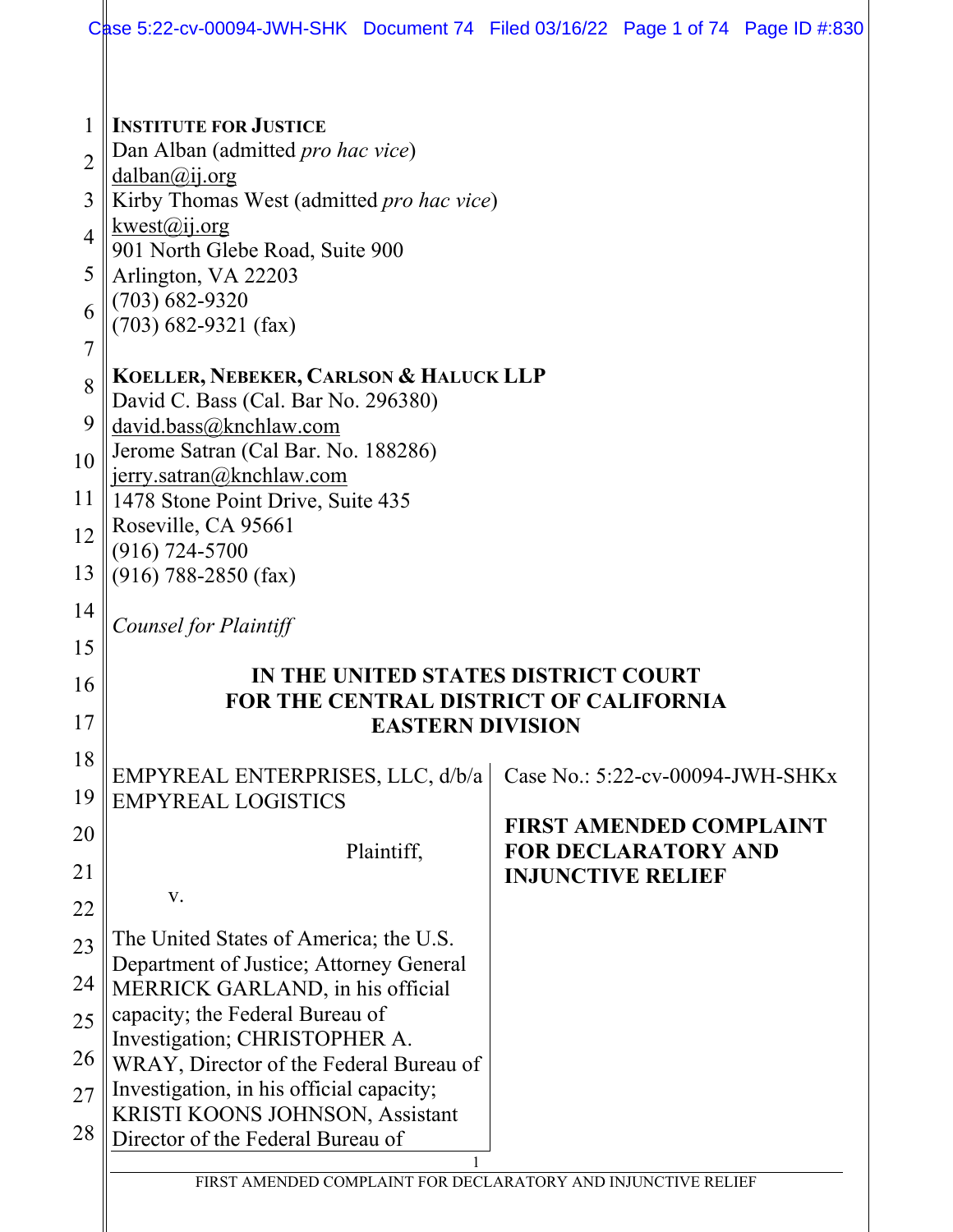|                                                                   | Case 5:22-cv-00094-JWH-SHK Document 74 Filed 03/16/22 Page 1 of 74 Page ID #:830                                                                                                                                                                                      |                          |                                  |  |
|-------------------------------------------------------------------|-----------------------------------------------------------------------------------------------------------------------------------------------------------------------------------------------------------------------------------------------------------------------|--------------------------|----------------------------------|--|
|                                                                   |                                                                                                                                                                                                                                                                       |                          |                                  |  |
| $\overline{2}$<br>3<br>$\overline{4}$<br>5<br>6<br>$\overline{7}$ | <b>INSTITUTE FOR JUSTICE</b><br>Dan Alban (admitted pro hac vice)<br>$d$ alban $\omega$ ij.org<br>Kirby Thomas West (admitted pro hac vice)<br>kwest@ij.org<br>901 North Glebe Road, Suite 900<br>Arlington, VA 22203<br>$(703) 682 - 9320$<br>$(703)$ 682-9321 (fax) |                          |                                  |  |
| 8<br>9<br>10                                                      | <b>KOELLER, NEBEKER, CARLSON &amp; HALUCK LLP</b><br>David C. Bass (Cal. Bar No. 296380)<br>david.bass@knchlaw.com<br>Jerome Satran (Cal Bar. No. 188286)                                                                                                             |                          |                                  |  |
| 11                                                                | jerry.satran@knchlaw.com<br>1478 Stone Point Drive, Suite 435                                                                                                                                                                                                         |                          |                                  |  |
| 12                                                                | Roseville, CA 95661                                                                                                                                                                                                                                                   |                          |                                  |  |
| 13                                                                | $(916) 724 - 5700$<br>$(916)$ 788-2850 (fax)                                                                                                                                                                                                                          |                          |                                  |  |
| 14                                                                | Counsel for Plaintiff                                                                                                                                                                                                                                                 |                          |                                  |  |
| 15                                                                |                                                                                                                                                                                                                                                                       |                          |                                  |  |
| 16                                                                | IN THE UNITED STATES DISTRICT COURT<br><b>FOR THE CENTRAL DISTRICT OF CALIFORNIA</b>                                                                                                                                                                                  |                          |                                  |  |
| 17                                                                | <b>EASTERN DIVISION</b>                                                                                                                                                                                                                                               |                          |                                  |  |
| 18                                                                |                                                                                                                                                                                                                                                                       |                          |                                  |  |
| 19                                                                | EMPYREAL ENTERPRISES, LLC, d/b/a<br><b>EMPYREAL LOGISTICS</b>                                                                                                                                                                                                         |                          | Case No.: 5:22-cv-00094-JWH-SHKx |  |
| 20                                                                |                                                                                                                                                                                                                                                                       |                          | <b>FIRST AMENDED COMPLAINT</b>   |  |
| 21                                                                | Plaintiff,                                                                                                                                                                                                                                                            | <b>INJUNCTIVE RELIEF</b> | <b>FOR DECLARATORY AND</b>       |  |
| 22                                                                | V.                                                                                                                                                                                                                                                                    |                          |                                  |  |
| 23                                                                | The United States of America; the U.S.                                                                                                                                                                                                                                |                          |                                  |  |
| 24                                                                | Department of Justice; Attorney General                                                                                                                                                                                                                               |                          |                                  |  |
| 25                                                                | MERRICK GARLAND, in his official<br>capacity; the Federal Bureau of                                                                                                                                                                                                   |                          |                                  |  |
|                                                                   | Investigation; CHRISTOPHER A.                                                                                                                                                                                                                                         |                          |                                  |  |
| 26                                                                | WRAY, Director of the Federal Bureau of<br>Investigation, in his official capacity;                                                                                                                                                                                   |                          |                                  |  |
| 27                                                                | KRISTI KOONS JOHNSON, Assistant                                                                                                                                                                                                                                       |                          |                                  |  |
| 28                                                                | Director of the Federal Bureau of                                                                                                                                                                                                                                     |                          |                                  |  |
|                                                                   | FIRST AMENDED COMPLAINT FOR DECLARATORY AND INJUNCTIVE RELIEF                                                                                                                                                                                                         |                          |                                  |  |
|                                                                   |                                                                                                                                                                                                                                                                       |                          |                                  |  |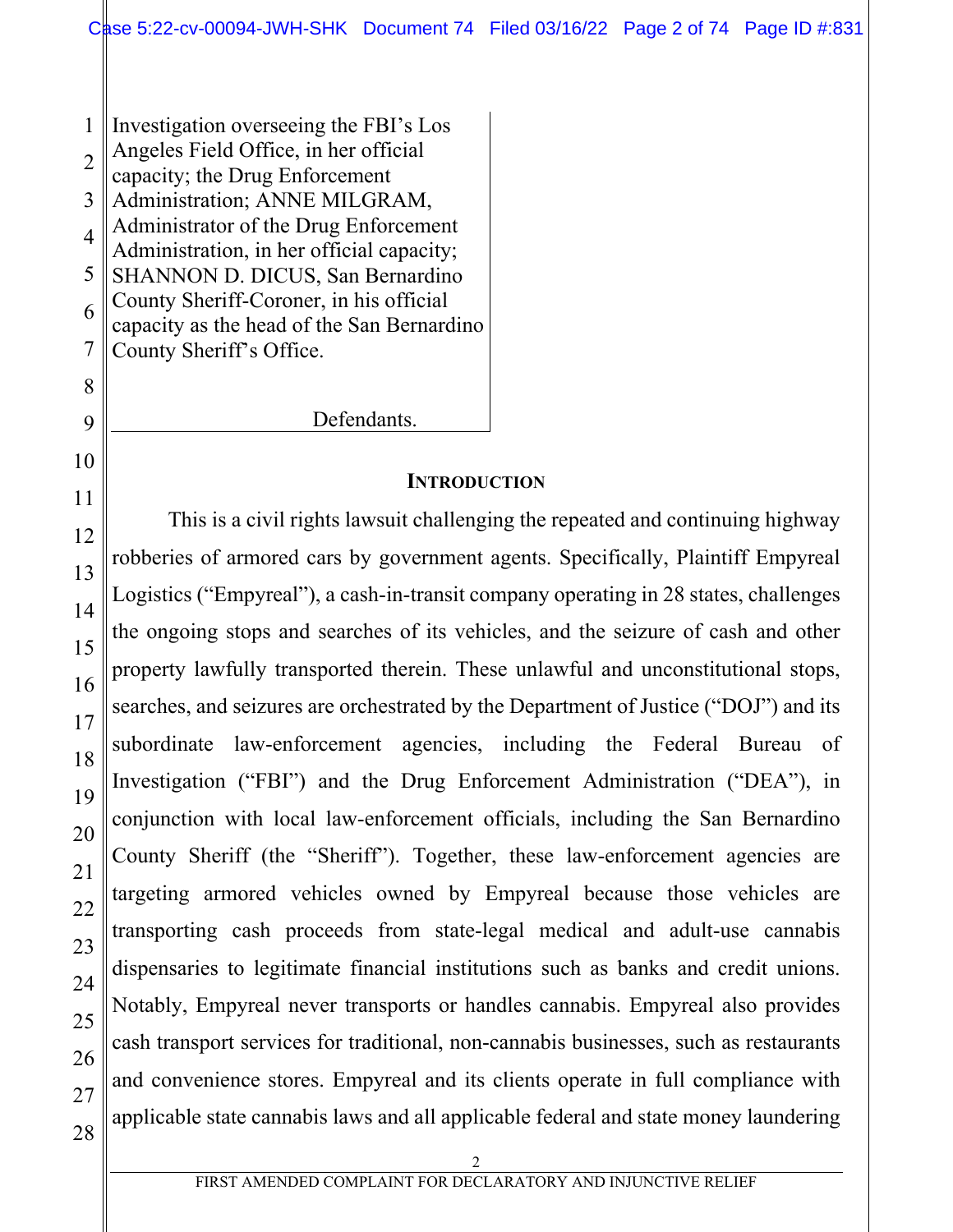1 2 3 4 5 6 7 8 Investigation overseeing the FBI's Los Angeles Field Office, in her official capacity; the Drug Enforcement Administration; ANNE MILGRAM, Administrator of the Drug Enforcement Administration, in her official capacity; SHANNON D. DICUS, San Bernardino County Sheriff-Coroner, in his official capacity as the head of the San Bernardino County Sheriff's Office.

Defendants.

### **INTRODUCTION**

This is a civil rights lawsuit challenging the repeated and continuing highway robberies of armored cars by government agents. Specifically, Plaintiff Empyreal Logistics ("Empyreal"), a cash-in-transit company operating in 28 states, challenges the ongoing stops and searches of its vehicles, and the seizure of cash and other property lawfully transported therein. These unlawful and unconstitutional stops, searches, and seizures are orchestrated by the Department of Justice ("DOJ") and its subordinate law-enforcement agencies, including the Federal Bureau of Investigation ("FBI") and the Drug Enforcement Administration ("DEA"), in conjunction with local law-enforcement officials, including the San Bernardino County Sheriff (the "Sheriff"). Together, these law-enforcement agencies are targeting armored vehicles owned by Empyreal because those vehicles are transporting cash proceeds from state-legal medical and adult-use cannabis dispensaries to legitimate financial institutions such as banks and credit unions. Notably, Empyreal never transports or handles cannabis. Empyreal also provides cash transport services for traditional, non-cannabis businesses, such as restaurants and convenience stores. Empyreal and its clients operate in full compliance with applicable state cannabis laws and all applicable federal and state money laundering

9

10

11

12

13

14

15

16

17

18

19

20

21

22

23

24

25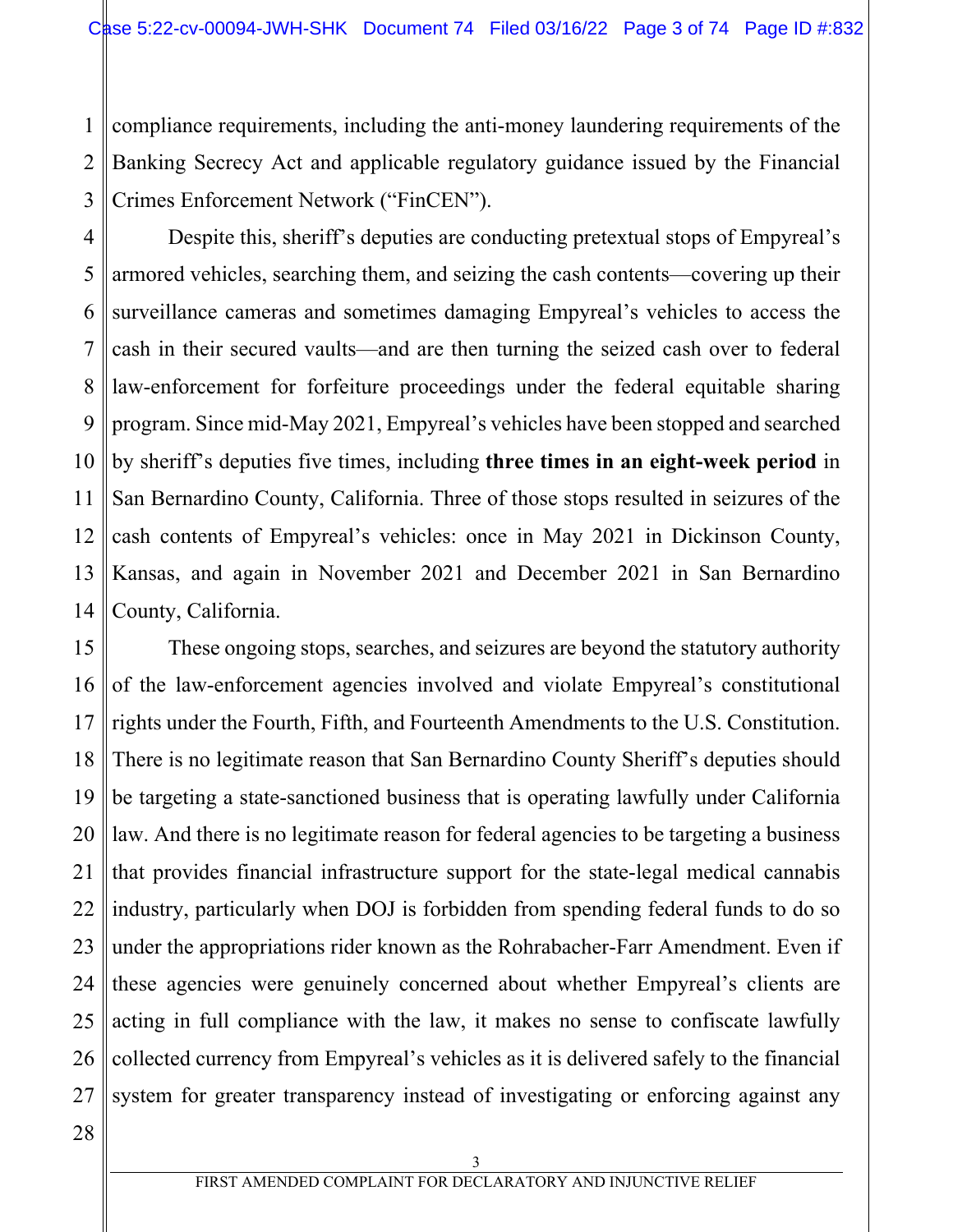1 2 3 compliance requirements, including the anti-money laundering requirements of the Banking Secrecy Act and applicable regulatory guidance issued by the Financial Crimes Enforcement Network ("FinCEN").

4 5 6 7 8 9 10 11 12 13 14 Despite this, sheriff's deputies are conducting pretextual stops of Empyreal's armored vehicles, searching them, and seizing the cash contents—covering up their surveillance cameras and sometimes damaging Empyreal's vehicles to access the cash in their secured vaults—and are then turning the seized cash over to federal law-enforcement for forfeiture proceedings under the federal equitable sharing program. Since mid-May 2021, Empyreal's vehicles have been stopped and searched by sheriff's deputies five times, including **three times in an eight-week period** in San Bernardino County, California. Three of those stops resulted in seizures of the cash contents of Empyreal's vehicles: once in May 2021 in Dickinson County, Kansas, and again in November 2021 and December 2021 in San Bernardino County, California.

15 16 17 18 19 20 21 22 23 24 25 26 27 These ongoing stops, searches, and seizures are beyond the statutory authority of the law-enforcement agencies involved and violate Empyreal's constitutional rights under the Fourth, Fifth, and Fourteenth Amendments to the U.S. Constitution. There is no legitimate reason that San Bernardino County Sheriff's deputies should be targeting a state-sanctioned business that is operating lawfully under California law. And there is no legitimate reason for federal agencies to be targeting a business that provides financial infrastructure support for the state-legal medical cannabis industry, particularly when DOJ is forbidden from spending federal funds to do so under the appropriations rider known as the Rohrabacher-Farr Amendment. Even if these agencies were genuinely concerned about whether Empyreal's clients are acting in full compliance with the law, it makes no sense to confiscate lawfully collected currency from Empyreal's vehicles as it is delivered safely to the financial system for greater transparency instead of investigating or enforcing against any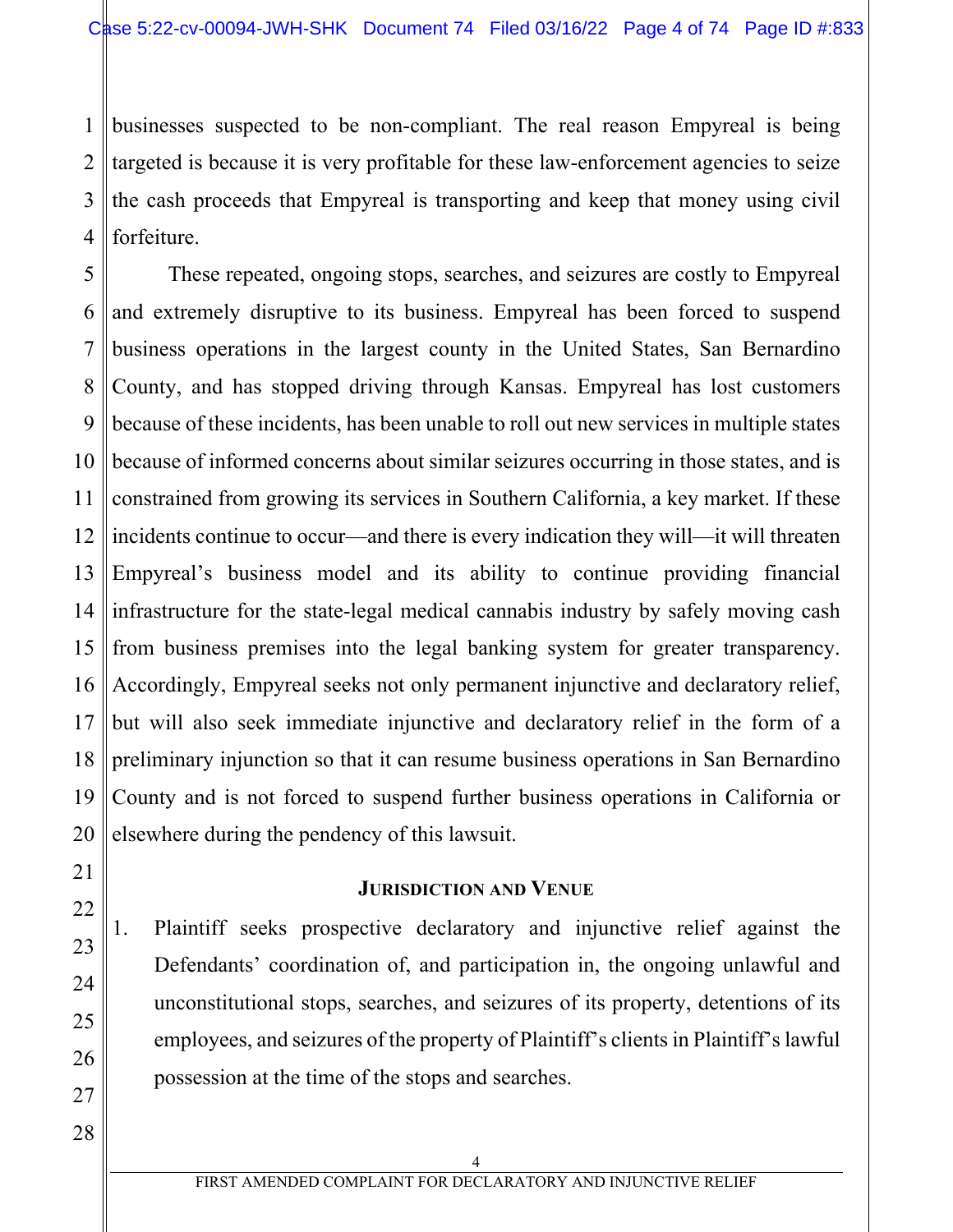1 2 3 4 businesses suspected to be non-compliant. The real reason Empyreal is being targeted is because it is very profitable for these law-enforcement agencies to seize the cash proceeds that Empyreal is transporting and keep that money using civil forfeiture.

5 6 7 8 9 10 11 12 13 14 15 16 17 18 19 20 These repeated, ongoing stops, searches, and seizures are costly to Empyreal and extremely disruptive to its business. Empyreal has been forced to suspend business operations in the largest county in the United States, San Bernardino County, and has stopped driving through Kansas. Empyreal has lost customers because of these incidents, has been unable to roll out new services in multiple states because of informed concerns about similar seizures occurring in those states, and is constrained from growing its services in Southern California, a key market. If these incidents continue to occur—and there is every indication they will—it will threaten Empyreal's business model and its ability to continue providing financial infrastructure for the state-legal medical cannabis industry by safely moving cash from business premises into the legal banking system for greater transparency. Accordingly, Empyreal seeks not only permanent injunctive and declaratory relief, but will also seek immediate injunctive and declaratory relief in the form of a preliminary injunction so that it can resume business operations in San Bernardino County and is not forced to suspend further business operations in California or elsewhere during the pendency of this lawsuit.

## **JURISDICTION AND VENUE**

- 1. Plaintiff seeks prospective declaratory and injunctive relief against the Defendants' coordination of, and participation in, the ongoing unlawful and unconstitutional stops, searches, and seizures of its property, detentions of its employees, and seizures of the property of Plaintiff's clients in Plaintiff's lawful possession at the time of the stops and searches.
- 28

21

22

23

24

25

26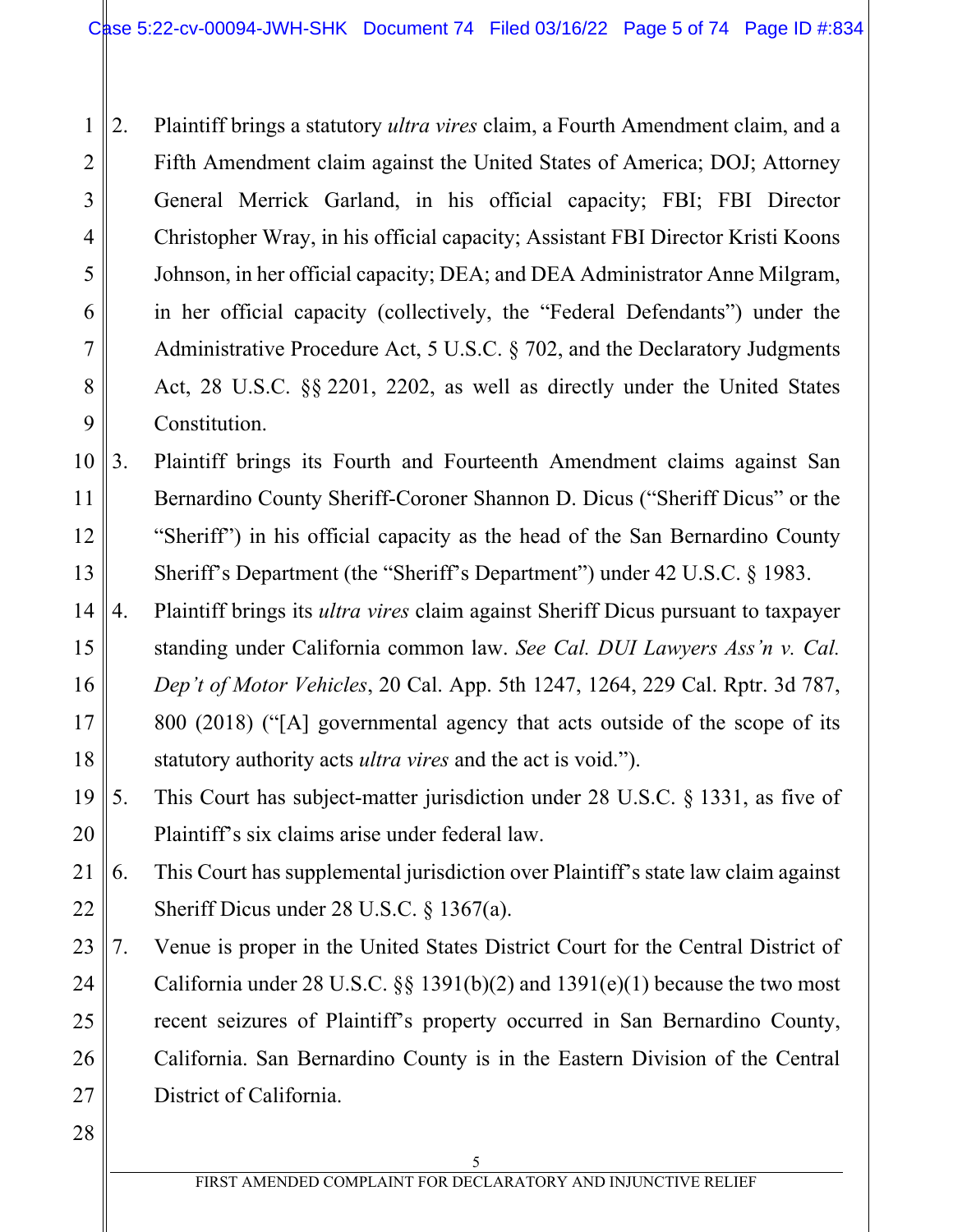1 2 3 4 5 6 7 8 9 2. Plaintiff brings a statutory *ultra vires* claim, a Fourth Amendment claim, and a Fifth Amendment claim against the United States of America; DOJ; Attorney General Merrick Garland, in his official capacity; FBI; FBI Director Christopher Wray, in his official capacity; Assistant FBI Director Kristi Koons Johnson, in her official capacity; DEA; and DEA Administrator Anne Milgram, in her official capacity (collectively, the "Federal Defendants") under the Administrative Procedure Act, 5 U.S.C. § 702, and the Declaratory Judgments Act, 28 U.S.C. §§ 2201, 2202, as well as directly under the United States Constitution.

10 11 12 13 3. Plaintiff brings its Fourth and Fourteenth Amendment claims against San Bernardino County Sheriff-Coroner Shannon D. Dicus ("Sheriff Dicus" or the "Sheriff") in his official capacity as the head of the San Bernardino County Sheriff's Department (the "Sheriff's Department") under 42 U.S.C. § 1983.

- 14 15 16 17 18 4. Plaintiff brings its *ultra vires* claim against Sheriff Dicus pursuant to taxpayer standing under California common law. *See Cal. DUI Lawyers Ass'n v. Cal. Dep't of Motor Vehicles*, 20 Cal. App. 5th 1247, 1264, 229 Cal. Rptr. 3d 787, 800 (2018) ("[A] governmental agency that acts outside of the scope of its statutory authority acts *ultra vires* and the act is void.").
- 19 20 5. This Court has subject-matter jurisdiction under 28 U.S.C. § 1331, as five of Plaintiff's six claims arise under federal law.

21 22 6. This Court has supplemental jurisdiction over Plaintiff's state law claim against Sheriff Dicus under 28 U.S.C. § 1367(a).

- 23 24 25 26 27 7. Venue is proper in the United States District Court for the Central District of California under 28 U.S.C.  $\S$  1391(b)(2) and 1391(e)(1) because the two most recent seizures of Plaintiff's property occurred in San Bernardino County, California. San Bernardino County is in the Eastern Division of the Central District of California.
- 28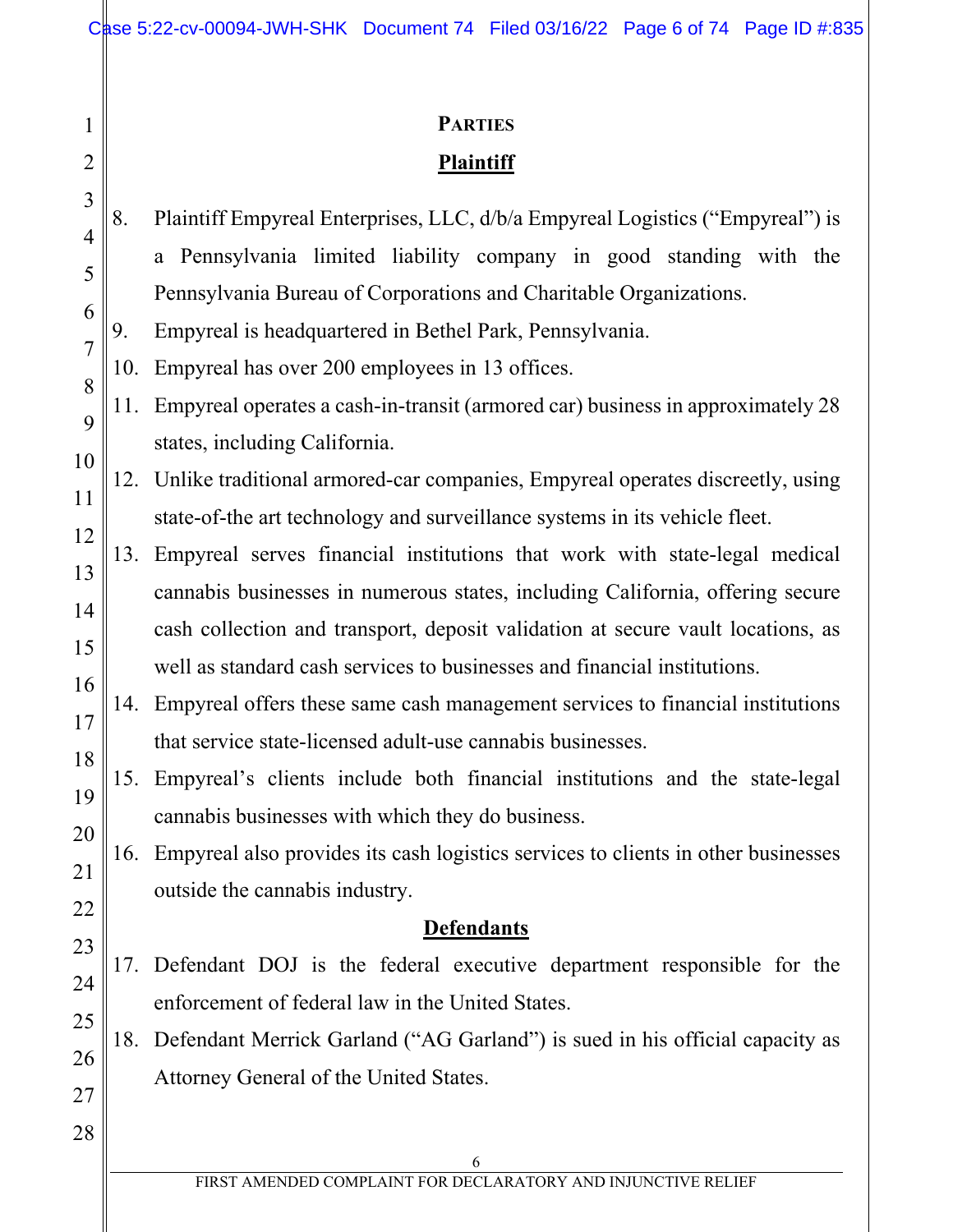|                                             | <b>PARTIES</b>                                                                                                                                                                                                                                                                                                                                                                                                                                                                                                                                                                                                                                                                                                                                                                                                                                                                                                                                                                                                                                                                                                                                                                                                                                                                                                                     |
|---------------------------------------------|------------------------------------------------------------------------------------------------------------------------------------------------------------------------------------------------------------------------------------------------------------------------------------------------------------------------------------------------------------------------------------------------------------------------------------------------------------------------------------------------------------------------------------------------------------------------------------------------------------------------------------------------------------------------------------------------------------------------------------------------------------------------------------------------------------------------------------------------------------------------------------------------------------------------------------------------------------------------------------------------------------------------------------------------------------------------------------------------------------------------------------------------------------------------------------------------------------------------------------------------------------------------------------------------------------------------------------|
|                                             | Plaintiff                                                                                                                                                                                                                                                                                                                                                                                                                                                                                                                                                                                                                                                                                                                                                                                                                                                                                                                                                                                                                                                                                                                                                                                                                                                                                                                          |
| 8.<br>9.<br>10.<br>11.<br>13.<br>14.<br>16. | Plaintiff Empyreal Enterprises, LLC, d/b/a Empyreal Logistics ("Empyreal") is<br>a Pennsylvania limited liability company in good standing with the<br>Pennsylvania Bureau of Corporations and Charitable Organizations.<br>Empyreal is headquartered in Bethel Park, Pennsylvania.<br>Empyreal has over 200 employees in 13 offices.<br>Empyreal operates a cash-in-transit (armored car) business in approximately 28<br>states, including California.<br>12. Unlike traditional armored-car companies, Empyreal operates discreetly, using<br>state-of-the art technology and surveillance systems in its vehicle fleet.<br>Empyreal serves financial institutions that work with state-legal medical<br>cannabis businesses in numerous states, including California, offering secure<br>cash collection and transport, deposit validation at secure vault locations, as<br>well as standard cash services to businesses and financial institutions.<br>Empyreal offers these same cash management services to financial institutions<br>that service state-licensed adult-use cannabis businesses.<br>15. Empyreal's clients include both financial institutions and the state-legal<br>cannabis businesses with which they do business.<br>Empyreal also provides its cash logistics services to clients in other businesses |
|                                             | outside the cannabis industry.                                                                                                                                                                                                                                                                                                                                                                                                                                                                                                                                                                                                                                                                                                                                                                                                                                                                                                                                                                                                                                                                                                                                                                                                                                                                                                     |
|                                             | <b>Defendants</b>                                                                                                                                                                                                                                                                                                                                                                                                                                                                                                                                                                                                                                                                                                                                                                                                                                                                                                                                                                                                                                                                                                                                                                                                                                                                                                                  |
|                                             | 17. Defendant DOJ is the federal executive department responsible for the<br>enforcement of federal law in the United States.                                                                                                                                                                                                                                                                                                                                                                                                                                                                                                                                                                                                                                                                                                                                                                                                                                                                                                                                                                                                                                                                                                                                                                                                      |
|                                             | 18. Defendant Merrick Garland ("AG Garland") is sued in his official capacity as                                                                                                                                                                                                                                                                                                                                                                                                                                                                                                                                                                                                                                                                                                                                                                                                                                                                                                                                                                                                                                                                                                                                                                                                                                                   |
|                                             | Attorney General of the United States.                                                                                                                                                                                                                                                                                                                                                                                                                                                                                                                                                                                                                                                                                                                                                                                                                                                                                                                                                                                                                                                                                                                                                                                                                                                                                             |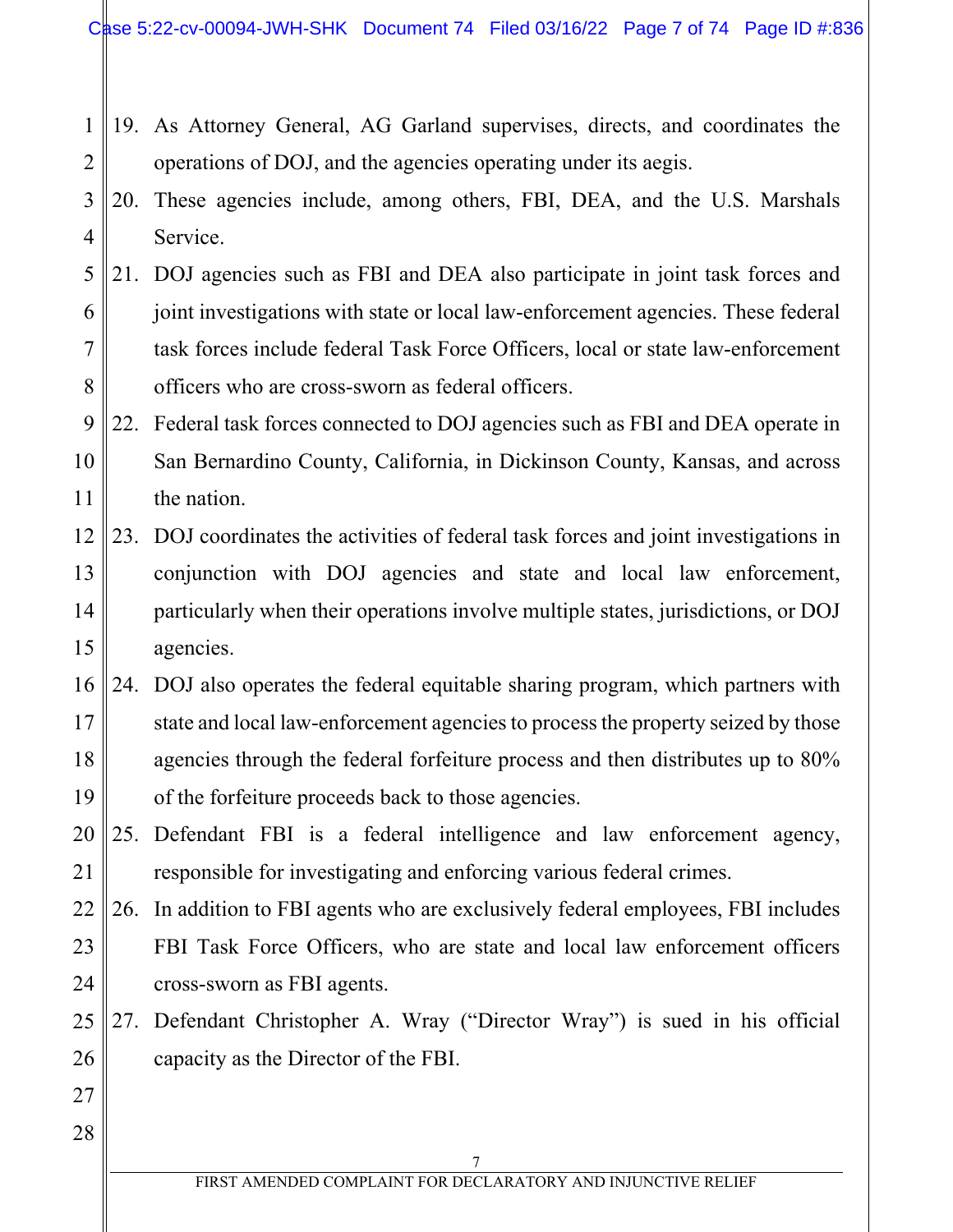- 1 2 19. As Attorney General, AG Garland supervises, directs, and coordinates the operations of DOJ, and the agencies operating under its aegis.
- 3 4 20. These agencies include, among others, FBI, DEA, and the U.S. Marshals Service.
- 5 6 7 8 21. DOJ agencies such as FBI and DEA also participate in joint task forces and joint investigations with state or local law-enforcement agencies. These federal task forces include federal Task Force Officers, local or state law-enforcement officers who are cross-sworn as federal officers.
- 9 10 11 22. Federal task forces connected to DOJ agencies such as FBI and DEA operate in San Bernardino County, California, in Dickinson County, Kansas, and across the nation.
- 12 13 14 15 23. DOJ coordinates the activities of federal task forces and joint investigations in conjunction with DOJ agencies and state and local law enforcement, particularly when their operations involve multiple states, jurisdictions, or DOJ agencies.
- 16 17 18 19 24. DOJ also operates the federal equitable sharing program, which partners with state and local law-enforcement agencies to process the property seized by those agencies through the federal forfeiture process and then distributes up to 80% of the forfeiture proceeds back to those agencies.
- 20 21 25. Defendant FBI is a federal intelligence and law enforcement agency, responsible for investigating and enforcing various federal crimes.
- 22 23 24 26. In addition to FBI agents who are exclusively federal employees, FBI includes FBI Task Force Officers, who are state and local law enforcement officers cross-sworn as FBI agents.
- 25 26 27. Defendant Christopher A. Wray ("Director Wray") is sued in his official capacity as the Director of the FBI.
- 27 28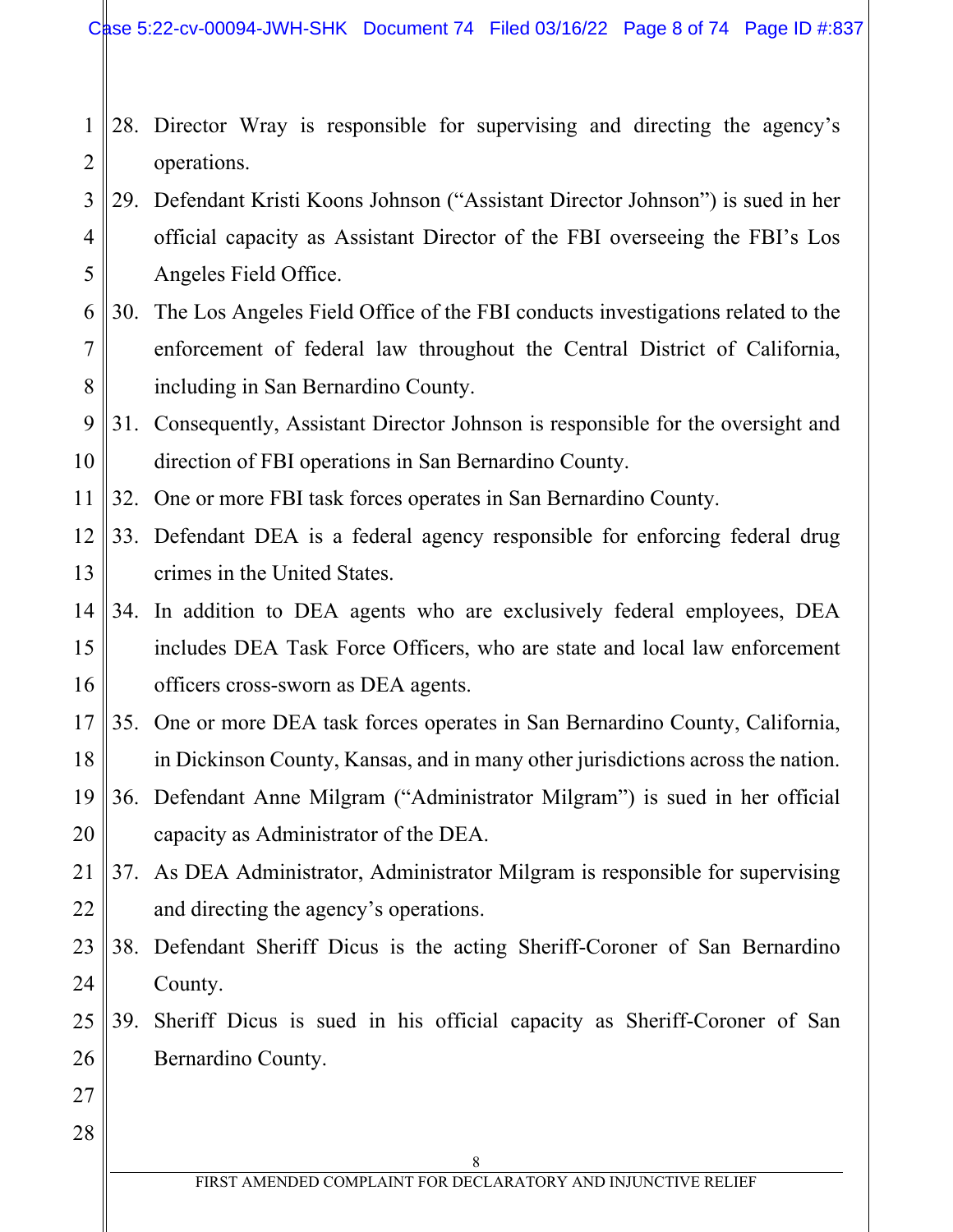- 1 2 28. Director Wray is responsible for supervising and directing the agency's operations.
- 3 4 5 29. Defendant Kristi Koons Johnson ("Assistant Director Johnson") is sued in her official capacity as Assistant Director of the FBI overseeing the FBI's Los Angeles Field Office.
- 6 7 8 30. The Los Angeles Field Office of the FBI conducts investigations related to the enforcement of federal law throughout the Central District of California, including in San Bernardino County.

9 10 31. Consequently, Assistant Director Johnson is responsible for the oversight and direction of FBI operations in San Bernardino County.

11 32. One or more FBI task forces operates in San Bernardino County.

- 12 13 33. Defendant DEA is a federal agency responsible for enforcing federal drug crimes in the United States.
- 14 15 16 34. In addition to DEA agents who are exclusively federal employees, DEA includes DEA Task Force Officers, who are state and local law enforcement officers cross-sworn as DEA agents.
- 17 18 35. One or more DEA task forces operates in San Bernardino County, California, in Dickinson County, Kansas, and in many other jurisdictions across the nation.
- 19 20 36. Defendant Anne Milgram ("Administrator Milgram") is sued in her official capacity as Administrator of the DEA.
- 21 22 37. As DEA Administrator, Administrator Milgram is responsible for supervising and directing the agency's operations.
- 23 24 38. Defendant Sheriff Dicus is the acting Sheriff-Coroner of San Bernardino County.
- 25 26 39. Sheriff Dicus is sued in his official capacity as Sheriff-Coroner of San Bernardino County.
- 27 28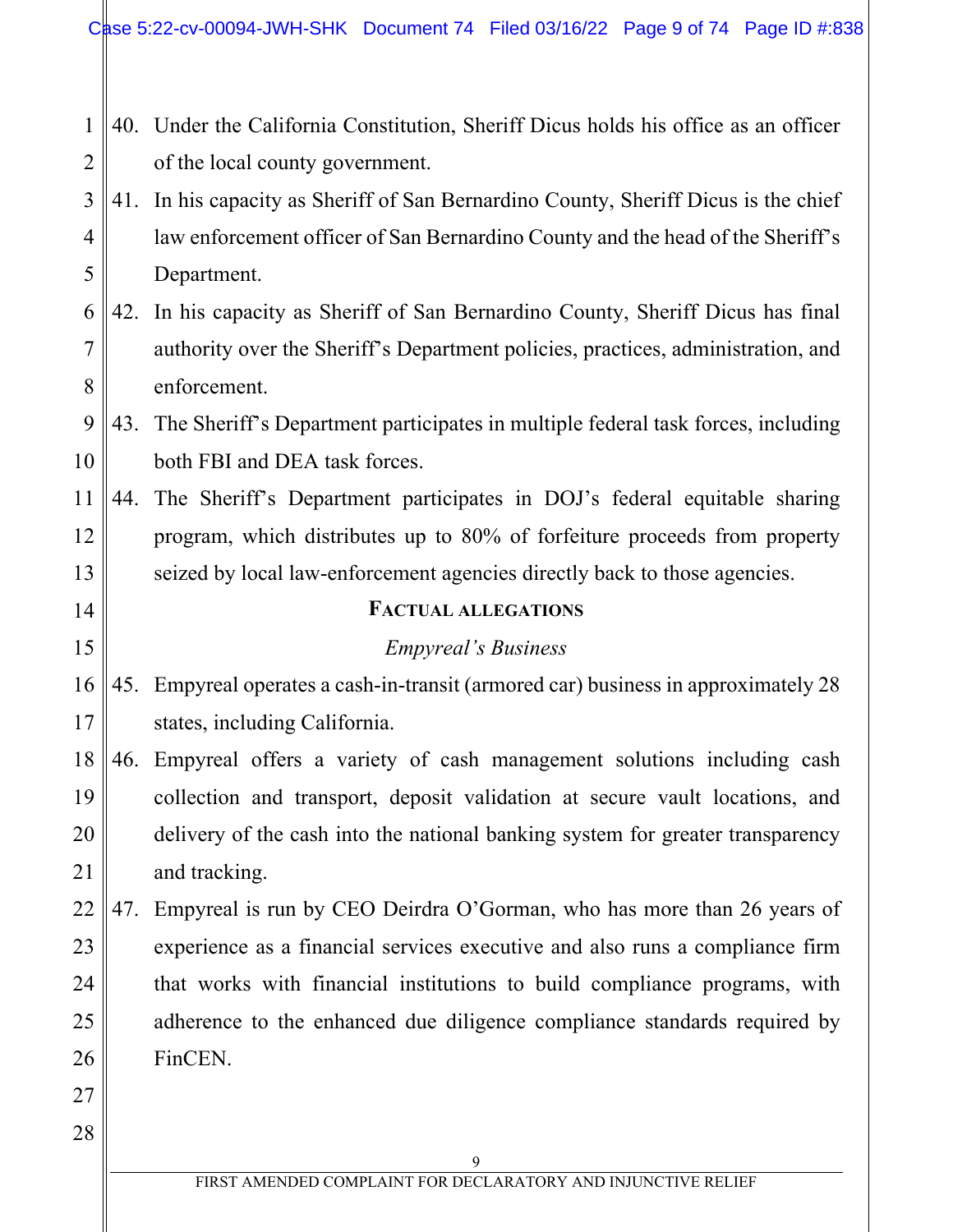|  | $1 \parallel 40$ . Under the California Constitution, Sheriff Dicus holds his office as an officer |
|--|----------------------------------------------------------------------------------------------------|
|  | $2 \parallel$ of the local county government.                                                      |

- 3 4 5 41. In his capacity as Sheriff of San Bernardino County, Sheriff Dicus is the chief law enforcement officer of San Bernardino County and the head of the Sheriff's Department.
- 6 7 8 42. In his capacity as Sheriff of San Bernardino County, Sheriff Dicus has final authority over the Sheriff's Department policies, practices, administration, and enforcement.

9 10 43. The Sheriff's Department participates in multiple federal task forces, including both FBI and DEA task forces.

11 12 13 44. The Sheriff's Department participates in DOJ's federal equitable sharing program, which distributes up to 80% of forfeiture proceeds from property seized by local law-enforcement agencies directly back to those agencies.

### **FACTUAL ALLEGATIONS**

### *Empyreal's Business*

16 17 45. Empyreal operates a cash-in-transit (armored car) business in approximately 28 states, including California.

- 18 19 20 21 46. Empyreal offers a variety of cash management solutions including cash collection and transport, deposit validation at secure vault locations, and delivery of the cash into the national banking system for greater transparency and tracking.
- 22 23 24 25 26 47. Empyreal is run by CEO Deirdra O'Gorman, who has more than 26 years of experience as a financial services executive and also runs a compliance firm that works with financial institutions to build compliance programs, with adherence to the enhanced due diligence compliance standards required by FinCEN.
- 27 28

14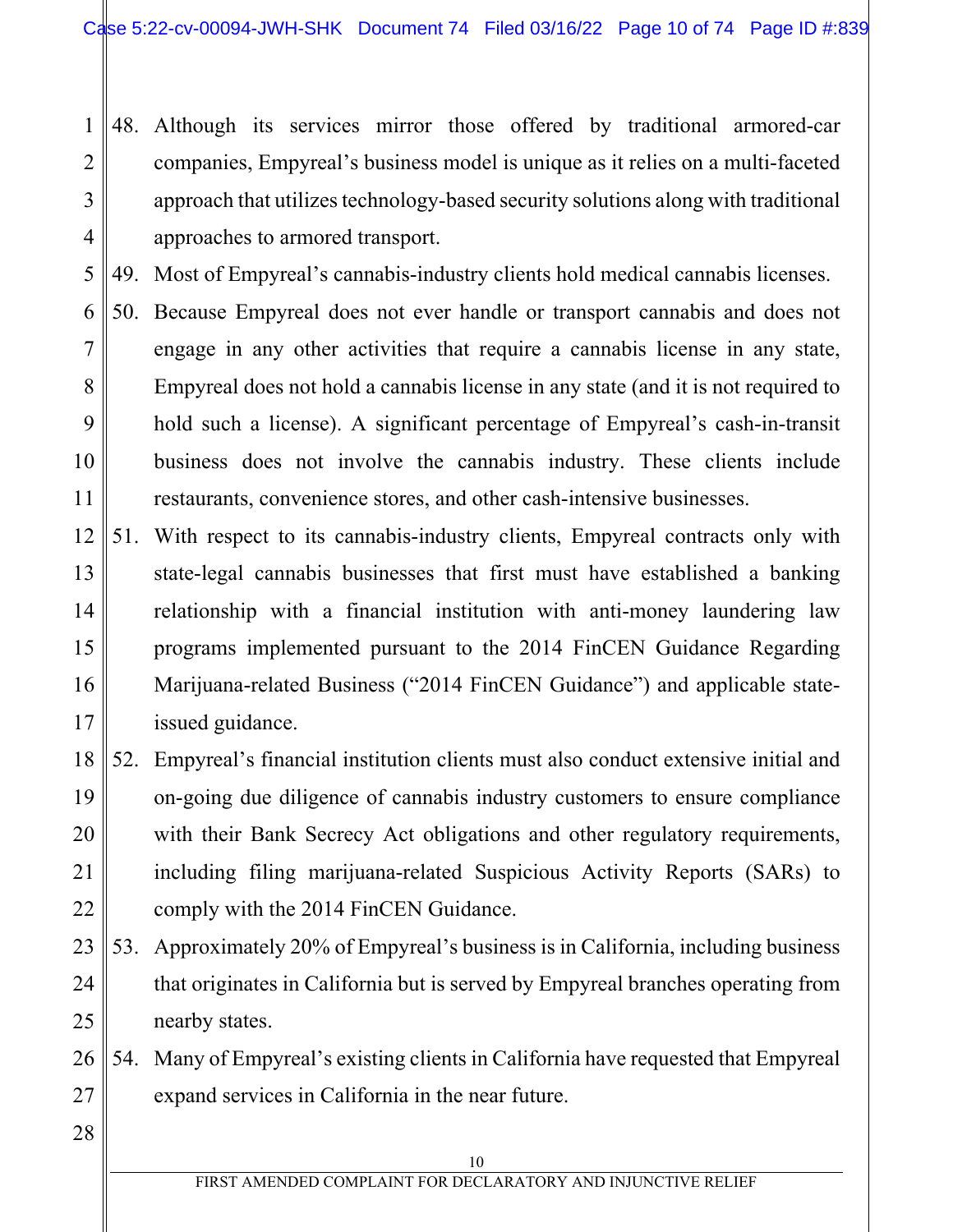1 2 3 4 48. Although its services mirror those offered by traditional armored-car companies, Empyreal's business model is unique as it relies on a multi-faceted approach that utilizes technology-based security solutions along with traditional approaches to armored transport.

5 49. Most of Empyreal's cannabis-industry clients hold medical cannabis licenses.

6 7 8 9 10 11 50. Because Empyreal does not ever handle or transport cannabis and does not engage in any other activities that require a cannabis license in any state, Empyreal does not hold a cannabis license in any state (and it is not required to hold such a license). A significant percentage of Empyreal's cash-in-transit business does not involve the cannabis industry. These clients include restaurants, convenience stores, and other cash-intensive businesses.

- 12 13 14 15 16 17 51. With respect to its cannabis-industry clients, Empyreal contracts only with state-legal cannabis businesses that first must have established a banking relationship with a financial institution with anti-money laundering law programs implemented pursuant to the 2014 FinCEN Guidance Regarding Marijuana-related Business ("2014 FinCEN Guidance") and applicable stateissued guidance.
- 18 19 20 21 22 52. Empyreal's financial institution clients must also conduct extensive initial and on-going due diligence of cannabis industry customers to ensure compliance with their Bank Secrecy Act obligations and other regulatory requirements, including filing marijuana-related Suspicious Activity Reports (SARs) to comply with the 2014 FinCEN Guidance.
- 23 24 25 53. Approximately 20% of Empyreal's business is in California, including business that originates in California but is served by Empyreal branches operating from nearby states.

26 27 54. Many of Empyreal's existing clients in California have requested that Empyreal expand services in California in the near future.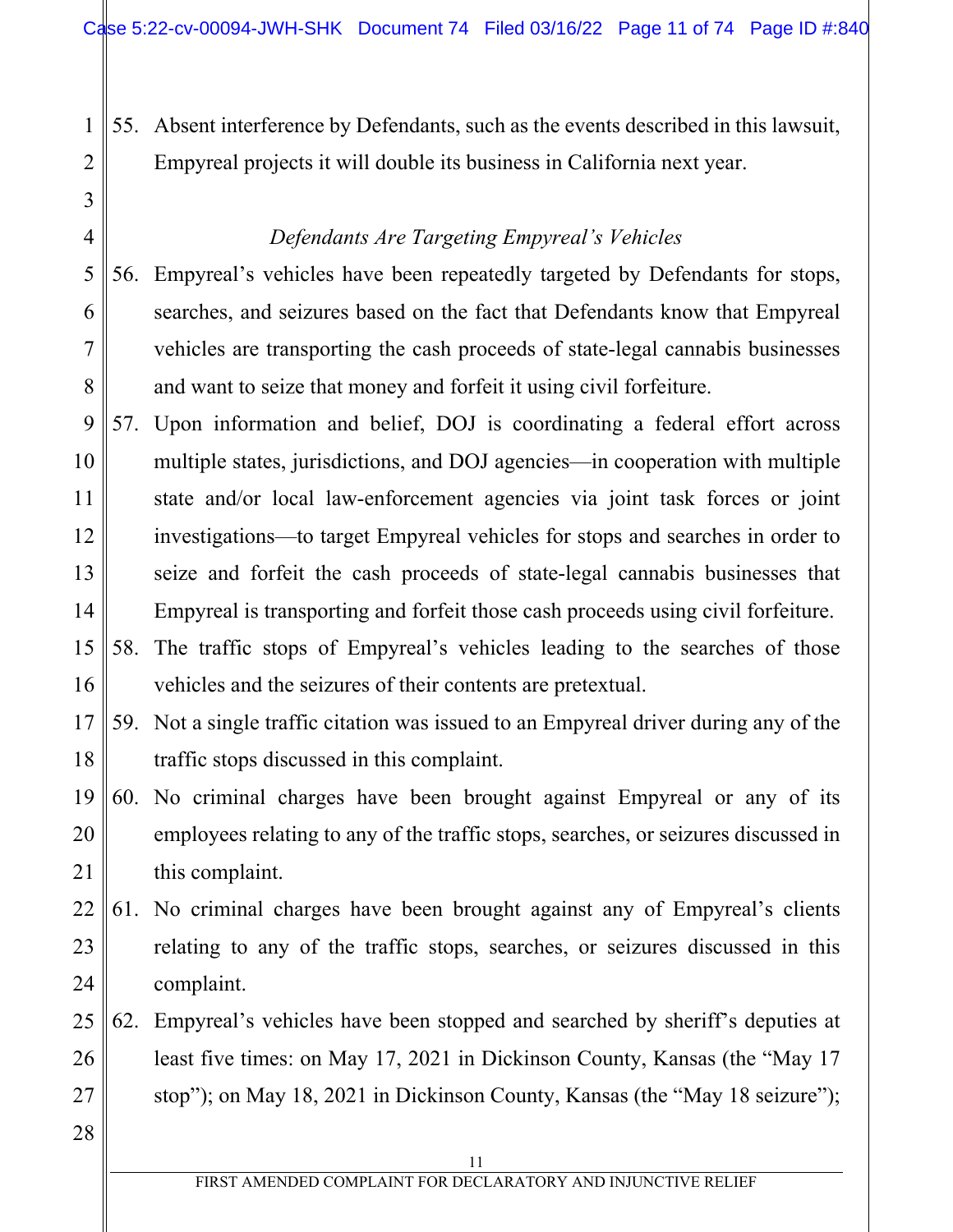55. Absent interference by Defendants, such as the events described in this lawsuit, Empyreal projects it will double its business in California next year.

# *Defendants Are Targeting Empyreal's Vehicles*

- 5 6 7 8 56. Empyreal's vehicles have been repeatedly targeted by Defendants for stops, searches, and seizures based on the fact that Defendants know that Empyreal vehicles are transporting the cash proceeds of state-legal cannabis businesses and want to seize that money and forfeit it using civil forfeiture.
- 9 10 11 12 13 14 57. Upon information and belief, DOJ is coordinating a federal effort across multiple states, jurisdictions, and DOJ agencies—in cooperation with multiple state and/or local law-enforcement agencies via joint task forces or joint investigations—to target Empyreal vehicles for stops and searches in order to seize and forfeit the cash proceeds of state-legal cannabis businesses that Empyreal is transporting and forfeit those cash proceeds using civil forfeiture.
- 15 16 58. The traffic stops of Empyreal's vehicles leading to the searches of those vehicles and the seizures of their contents are pretextual.
- 17 18 59. Not a single traffic citation was issued to an Empyreal driver during any of the traffic stops discussed in this complaint.
- 19 20 21 60. No criminal charges have been brought against Empyreal or any of its employees relating to any of the traffic stops, searches, or seizures discussed in this complaint.
- 22 23 24 61. No criminal charges have been brought against any of Empyreal's clients relating to any of the traffic stops, searches, or seizures discussed in this complaint.
- 25 26 27 62. Empyreal's vehicles have been stopped and searched by sheriff's deputies at least five times: on May 17, 2021 in Dickinson County, Kansas (the "May 17 stop"); on May 18, 2021 in Dickinson County, Kansas (the "May 18 seizure");
- 28

1

2

3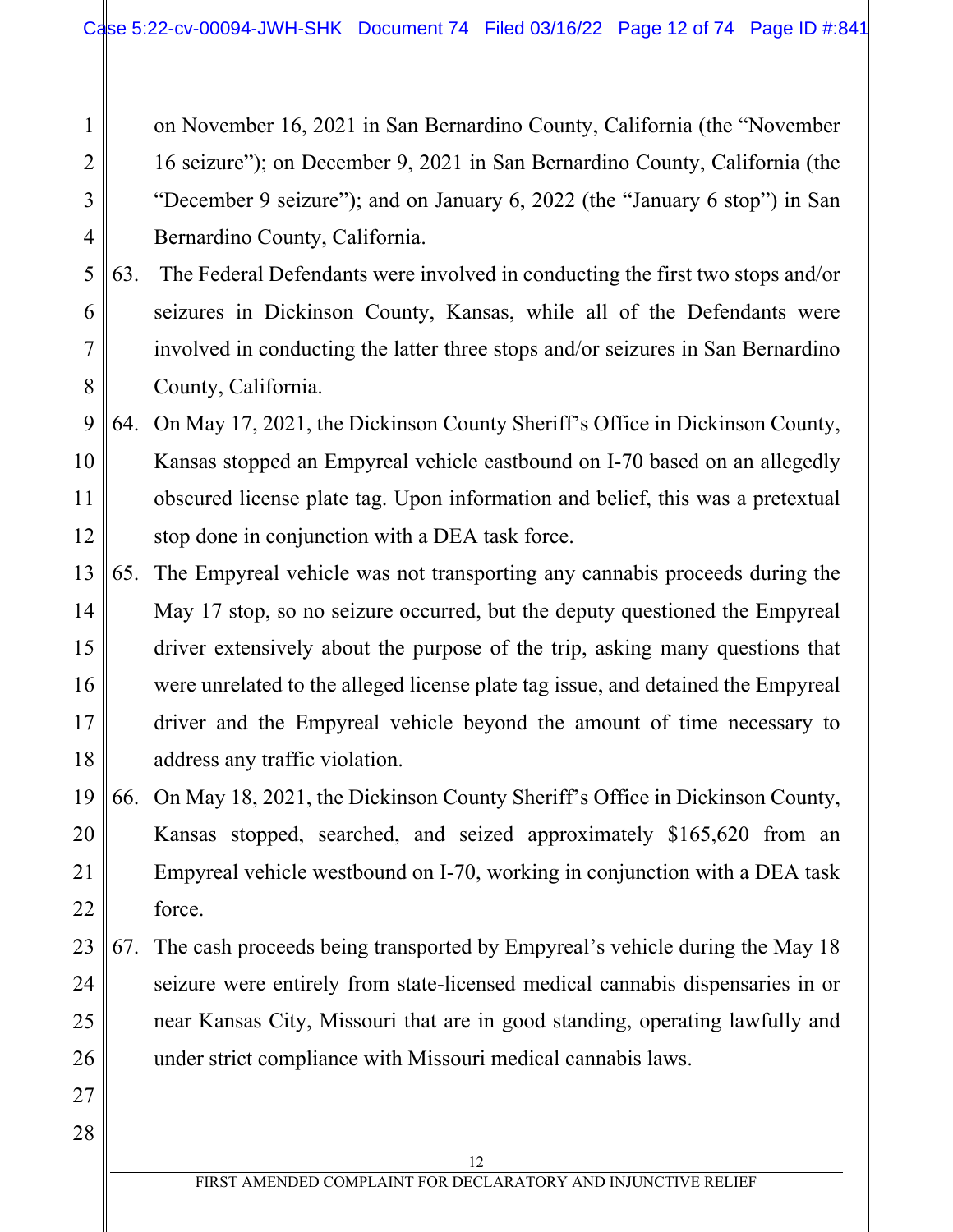on November 16, 2021 in San Bernardino County, California (the "November 16 seizure"); on December 9, 2021 in San Bernardino County, California (the "December 9 seizure"); and on January 6, 2022 (the "January 6 stop") in San Bernardino County, California.

#### 5 6 7 8 63. The Federal Defendants were involved in conducting the first two stops and/or seizures in Dickinson County, Kansas, while all of the Defendants were involved in conducting the latter three stops and/or seizures in San Bernardino County, California.

#### 9 10 11 12 64. On May 17, 2021, the Dickinson County Sheriff's Office in Dickinson County, Kansas stopped an Empyreal vehicle eastbound on I-70 based on an allegedly obscured license plate tag. Upon information and belief, this was a pretextual stop done in conjunction with a DEA task force.

- 13 14 15 16 17 18 65. The Empyreal vehicle was not transporting any cannabis proceeds during the May 17 stop, so no seizure occurred, but the deputy questioned the Empyreal driver extensively about the purpose of the trip, asking many questions that were unrelated to the alleged license plate tag issue, and detained the Empyreal driver and the Empyreal vehicle beyond the amount of time necessary to address any traffic violation.
- 19 20 21 22 66. On May 18, 2021, the Dickinson County Sheriff's Office in Dickinson County, Kansas stopped, searched, and seized approximately \$165,620 from an Empyreal vehicle westbound on I-70, working in conjunction with a DEA task force.
- 23 24 25 26 67. The cash proceeds being transported by Empyreal's vehicle during the May 18 seizure were entirely from state-licensed medical cannabis dispensaries in or near Kansas City, Missouri that are in good standing, operating lawfully and under strict compliance with Missouri medical cannabis laws.
- 27 28

1

2

3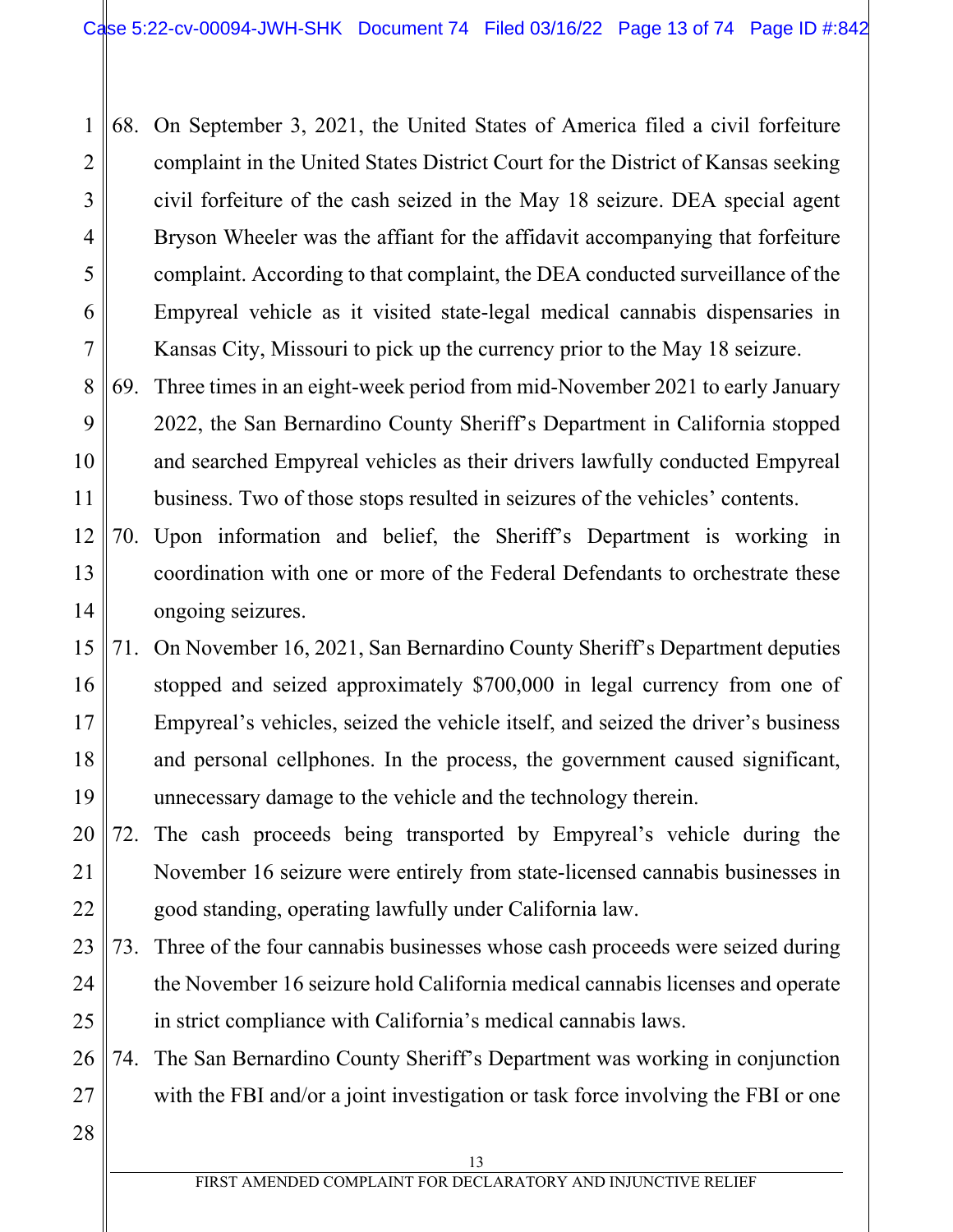1 2 3 4 5 6 7 68. On September 3, 2021, the United States of America filed a civil forfeiture complaint in the United States District Court for the District of Kansas seeking civil forfeiture of the cash seized in the May 18 seizure. DEA special agent Bryson Wheeler was the affiant for the affidavit accompanying that forfeiture complaint. According to that complaint, the DEA conducted surveillance of the Empyreal vehicle as it visited state-legal medical cannabis dispensaries in Kansas City, Missouri to pick up the currency prior to the May 18 seizure.

8 9 10 11 69. Three times in an eight-week period from mid-November 2021 to early January 2022, the San Bernardino County Sheriff's Department in California stopped and searched Empyreal vehicles as their drivers lawfully conducted Empyreal business. Two of those stops resulted in seizures of the vehicles' contents.

- 12 13 14 70. Upon information and belief, the Sheriff's Department is working in coordination with one or more of the Federal Defendants to orchestrate these ongoing seizures.
- 15 16 17 18 19 71. On November 16, 2021, San Bernardino County Sheriff's Department deputies stopped and seized approximately \$700,000 in legal currency from one of Empyreal's vehicles, seized the vehicle itself, and seized the driver's business and personal cellphones. In the process, the government caused significant, unnecessary damage to the vehicle and the technology therein.
- 20 21 22 72. The cash proceeds being transported by Empyreal's vehicle during the November 16 seizure were entirely from state-licensed cannabis businesses in good standing, operating lawfully under California law.
- 23 24 25 73. Three of the four cannabis businesses whose cash proceeds were seized during the November 16 seizure hold California medical cannabis licenses and operate in strict compliance with California's medical cannabis laws.
- 26 27 74. The San Bernardino County Sheriff's Department was working in conjunction with the FBI and/or a joint investigation or task force involving the FBI or one
- 28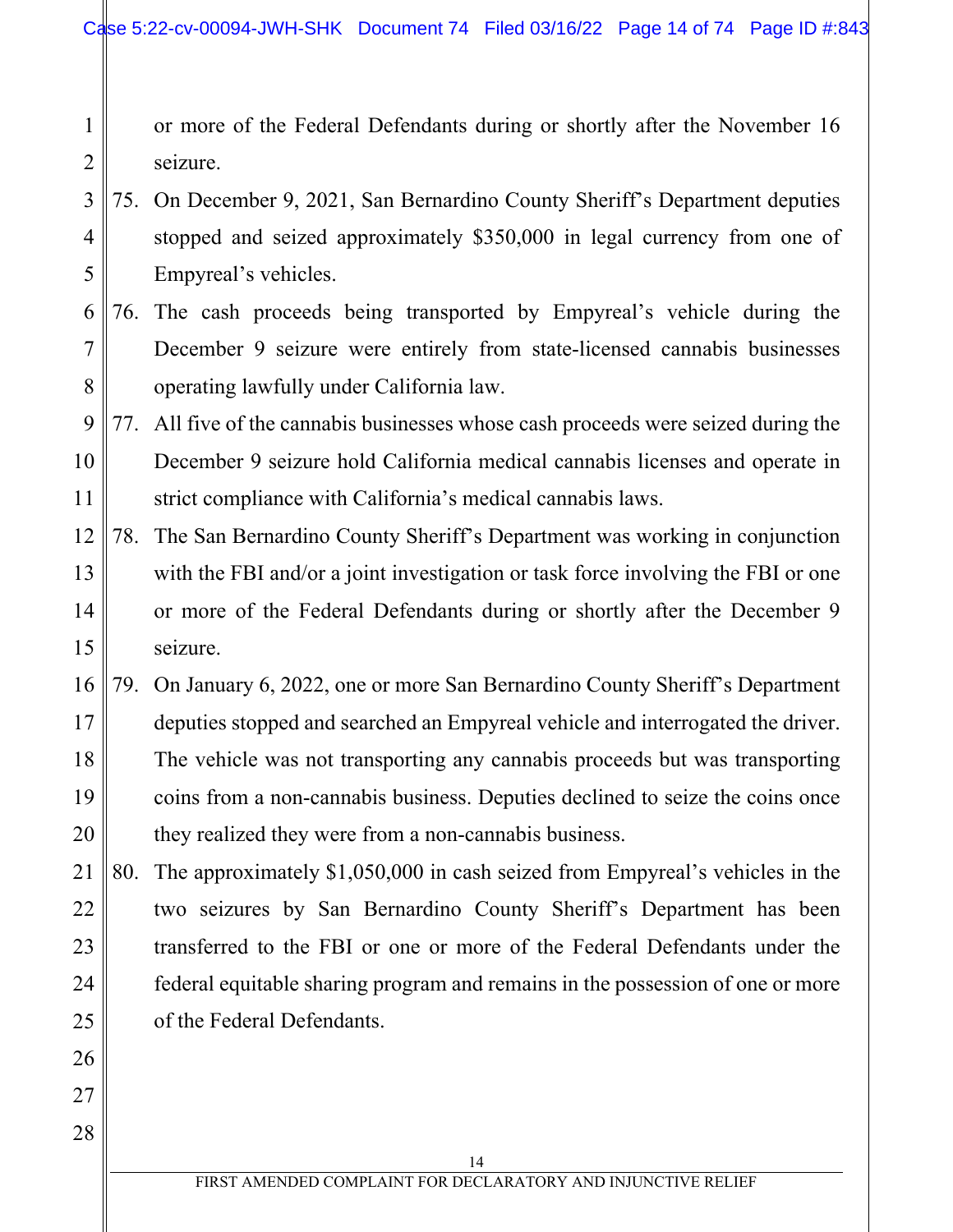1 2 or more of the Federal Defendants during or shortly after the November 16 seizure.

- 3 4 5 75. On December 9, 2021, San Bernardino County Sheriff's Department deputies stopped and seized approximately \$350,000 in legal currency from one of Empyreal's vehicles.
- 6 7 8 76. The cash proceeds being transported by Empyreal's vehicle during the December 9 seizure were entirely from state-licensed cannabis businesses operating lawfully under California law.
- 9 10 11 77. All five of the cannabis businesses whose cash proceeds were seized during the December 9 seizure hold California medical cannabis licenses and operate in strict compliance with California's medical cannabis laws.
- 12 13 14 15 78. The San Bernardino County Sheriff's Department was working in conjunction with the FBI and/or a joint investigation or task force involving the FBI or one or more of the Federal Defendants during or shortly after the December 9 seizure.
- 16 17 18 19 20 79. On January 6, 2022, one or more San Bernardino County Sheriff's Department deputies stopped and searched an Empyreal vehicle and interrogated the driver. The vehicle was not transporting any cannabis proceeds but was transporting coins from a non-cannabis business. Deputies declined to seize the coins once they realized they were from a non-cannabis business.
- 21 22 23 24 25 80. The approximately \$1,050,000 in cash seized from Empyreal's vehicles in the two seizures by San Bernardino County Sheriff's Department has been transferred to the FBI or one or more of the Federal Defendants under the federal equitable sharing program and remains in the possession of one or more of the Federal Defendants.

26

27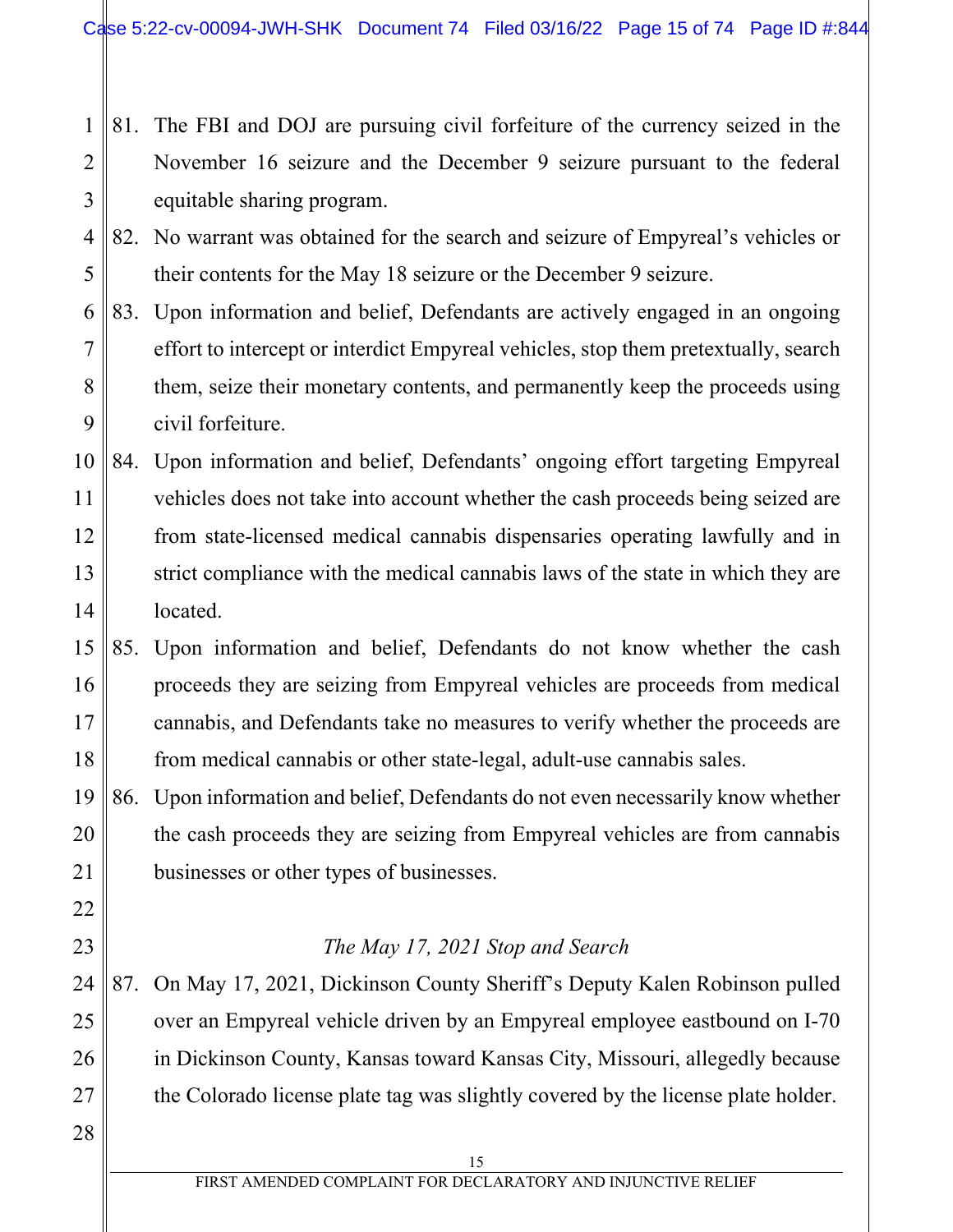- 1 2 3 81. The FBI and DOJ are pursuing civil forfeiture of the currency seized in the November 16 seizure and the December 9 seizure pursuant to the federal equitable sharing program.
- 4 5 82. No warrant was obtained for the search and seizure of Empyreal's vehicles or their contents for the May 18 seizure or the December 9 seizure.
- 6 7 8 9 83. Upon information and belief, Defendants are actively engaged in an ongoing effort to intercept or interdict Empyreal vehicles, stop them pretextually, search them, seize their monetary contents, and permanently keep the proceeds using civil forfeiture.
- 10 11 12 13 14 84. Upon information and belief, Defendants' ongoing effort targeting Empyreal vehicles does not take into account whether the cash proceeds being seized are from state-licensed medical cannabis dispensaries operating lawfully and in strict compliance with the medical cannabis laws of the state in which they are located.
- 15 16 17 18 85. Upon information and belief, Defendants do not know whether the cash proceeds they are seizing from Empyreal vehicles are proceeds from medical cannabis, and Defendants take no measures to verify whether the proceeds are from medical cannabis or other state-legal, adult-use cannabis sales.

19 20 21 86. Upon information and belief, Defendants do not even necessarily know whether the cash proceeds they are seizing from Empyreal vehicles are from cannabis businesses or other types of businesses.

## *The May 17, 2021 Stop and Search*

- 24 25 26 27 87. On May 17, 2021, Dickinson County Sheriff's Deputy Kalen Robinson pulled over an Empyreal vehicle driven by an Empyreal employee eastbound on I-70 in Dickinson County, Kansas toward Kansas City, Missouri, allegedly because the Colorado license plate tag was slightly covered by the license plate holder.
- 28

22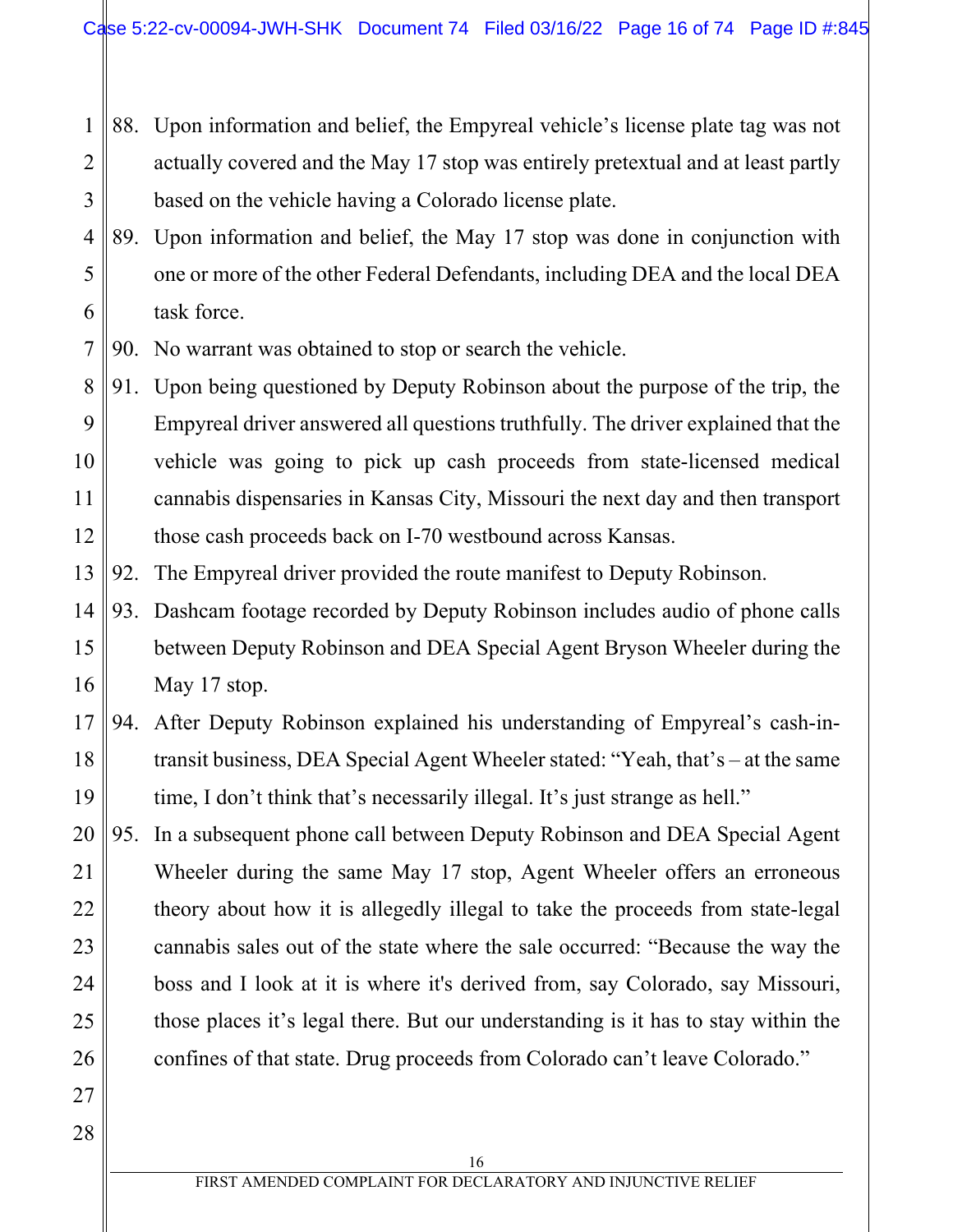- 1 2 3 88. Upon information and belief, the Empyreal vehicle's license plate tag was not actually covered and the May 17 stop was entirely pretextual and at least partly based on the vehicle having a Colorado license plate.
- 4 5 6 89. Upon information and belief, the May 17 stop was done in conjunction with one or more of the other Federal Defendants, including DEA and the local DEA task force.

7 90. No warrant was obtained to stop or search the vehicle.

8 9 10 11 12 91. Upon being questioned by Deputy Robinson about the purpose of the trip, the Empyreal driver answered all questions truthfully. The driver explained that the vehicle was going to pick up cash proceeds from state-licensed medical cannabis dispensaries in Kansas City, Missouri the next day and then transport those cash proceeds back on I-70 westbound across Kansas.

- 13 92. The Empyreal driver provided the route manifest to Deputy Robinson.
- 14 15 16 93. Dashcam footage recorded by Deputy Robinson includes audio of phone calls between Deputy Robinson and DEA Special Agent Bryson Wheeler during the May 17 stop.
- 17 18 19 94. After Deputy Robinson explained his understanding of Empyreal's cash-intransit business, DEA Special Agent Wheeler stated: "Yeah, that's – at the same time, I don't think that's necessarily illegal. It's just strange as hell."
- 20 21 22 23 24 25 26 95. In a subsequent phone call between Deputy Robinson and DEA Special Agent Wheeler during the same May 17 stop, Agent Wheeler offers an erroneous theory about how it is allegedly illegal to take the proceeds from state-legal cannabis sales out of the state where the sale occurred: "Because the way the boss and I look at it is where it's derived from, say Colorado, say Missouri, those places it's legal there. But our understanding is it has to stay within the confines of that state. Drug proceeds from Colorado can't leave Colorado."
- 27 28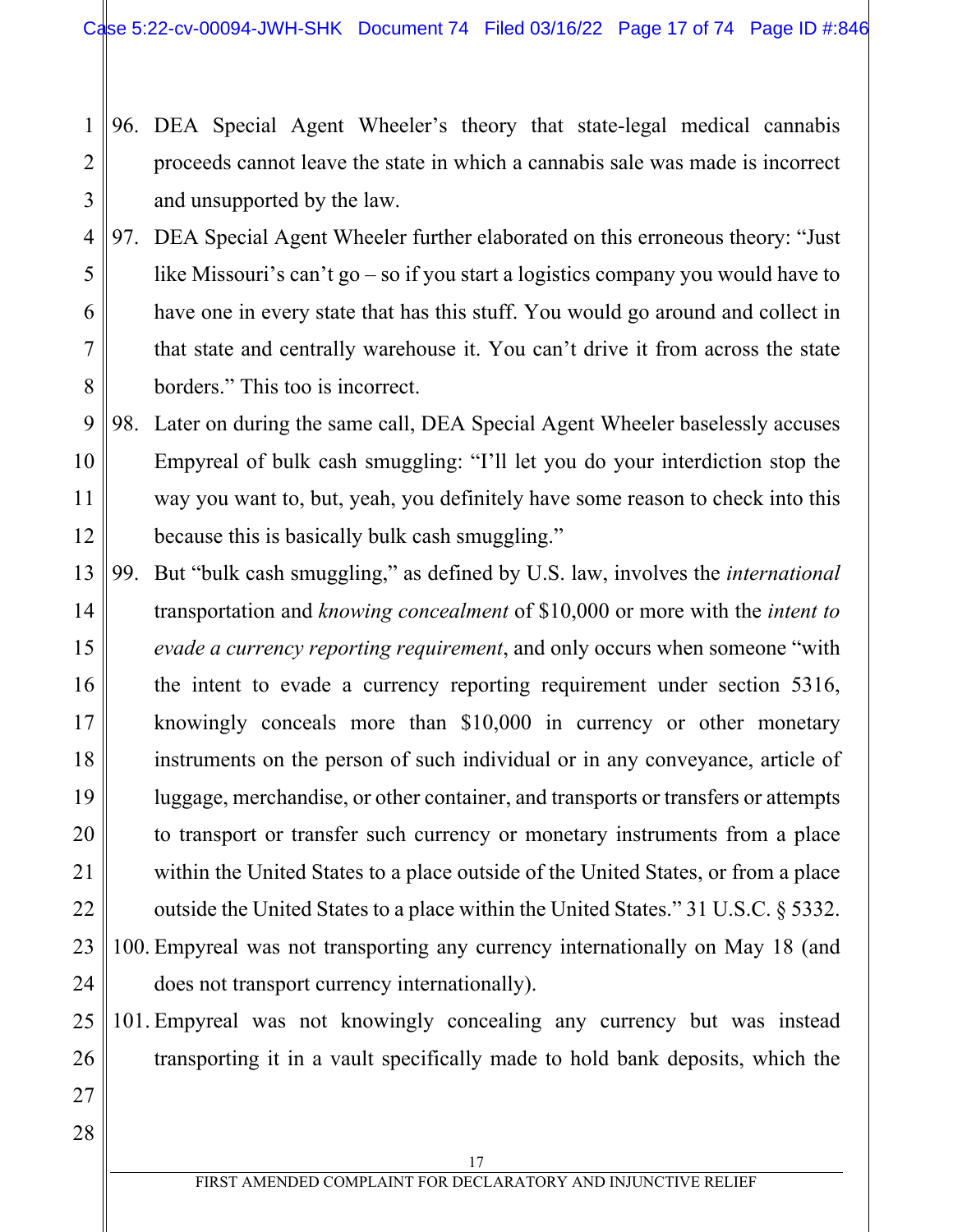#### 1 2 3 96. DEA Special Agent Wheeler's theory that state-legal medical cannabis proceeds cannot leave the state in which a cannabis sale was made is incorrect and unsupported by the law.

4 5 6 7 8 97. DEA Special Agent Wheeler further elaborated on this erroneous theory: "Just like Missouri's can't go – so if you start a logistics company you would have to have one in every state that has this stuff. You would go around and collect in that state and centrally warehouse it. You can't drive it from across the state borders." This too is incorrect.

9 10 11 12 98. Later on during the same call, DEA Special Agent Wheeler baselessly accuses Empyreal of bulk cash smuggling: "I'll let you do your interdiction stop the way you want to, but, yeah, you definitely have some reason to check into this because this is basically bulk cash smuggling."

13 14 15 16 17 18 19 20 21 22 23 24 99. But "bulk cash smuggling," as defined by U.S. law, involves the *international*  transportation and *knowing concealment* of \$10,000 or more with the *intent to evade a currency reporting requirement*, and only occurs when someone "with the intent to evade a currency reporting requirement under section 5316, knowingly conceals more than \$10,000 in currency or other monetary instruments on the person of such individual or in any conveyance, article of luggage, merchandise, or other container, and transports or transfers or attempts to transport or transfer such currency or monetary instruments from a place within the United States to a place outside of the United States, or from a place outside the United States to a place within the United States." 31 U.S.C. § 5332. 100. Empyreal was not transporting any currency internationally on May 18 (and does not transport currency internationally).

25 26 101. Empyreal was not knowingly concealing any currency but was instead transporting it in a vault specifically made to hold bank deposits, which the

28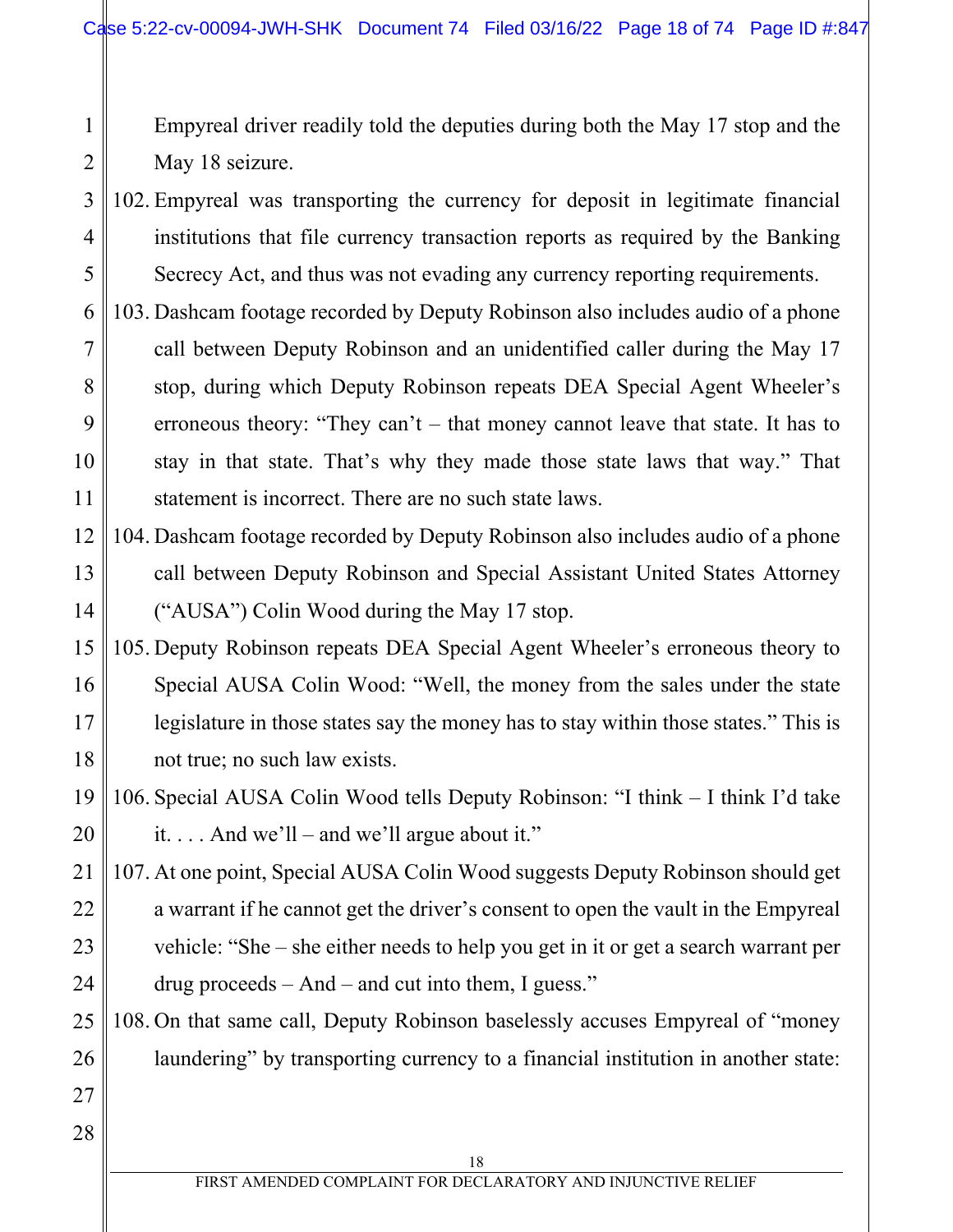Empyreal driver readily told the deputies during both the May 17 stop and the May 18 seizure.

- 3 4 5 102. Empyreal was transporting the currency for deposit in legitimate financial institutions that file currency transaction reports as required by the Banking Secrecy Act, and thus was not evading any currency reporting requirements.
- 6 7 8 9 10 11 103. Dashcam footage recorded by Deputy Robinson also includes audio of a phone call between Deputy Robinson and an unidentified caller during the May 17 stop, during which Deputy Robinson repeats DEA Special Agent Wheeler's erroneous theory: "They can't – that money cannot leave that state. It has to stay in that state. That's why they made those state laws that way." That statement is incorrect. There are no such state laws.
- 12 13 14 104. Dashcam footage recorded by Deputy Robinson also includes audio of a phone call between Deputy Robinson and Special Assistant United States Attorney ("AUSA") Colin Wood during the May 17 stop.
- 15 16 17 18 105. Deputy Robinson repeats DEA Special Agent Wheeler's erroneous theory to Special AUSA Colin Wood: "Well, the money from the sales under the state legislature in those states say the money has to stay within those states." This is not true; no such law exists.
- 19 20 106. Special AUSA Colin Wood tells Deputy Robinson: "I think – I think I'd take it.... And we'll – and we'll argue about it."
- 21 22 23 24 107. At one point, Special AUSA Colin Wood suggests Deputy Robinson should get a warrant if he cannot get the driver's consent to open the vault in the Empyreal vehicle: "She – she either needs to help you get in it or get a search warrant per drug proceeds – And – and cut into them, I guess."
- 25 26 108. On that same call, Deputy Robinson baselessly accuses Empyreal of "money laundering" by transporting currency to a financial institution in another state:

27 28

1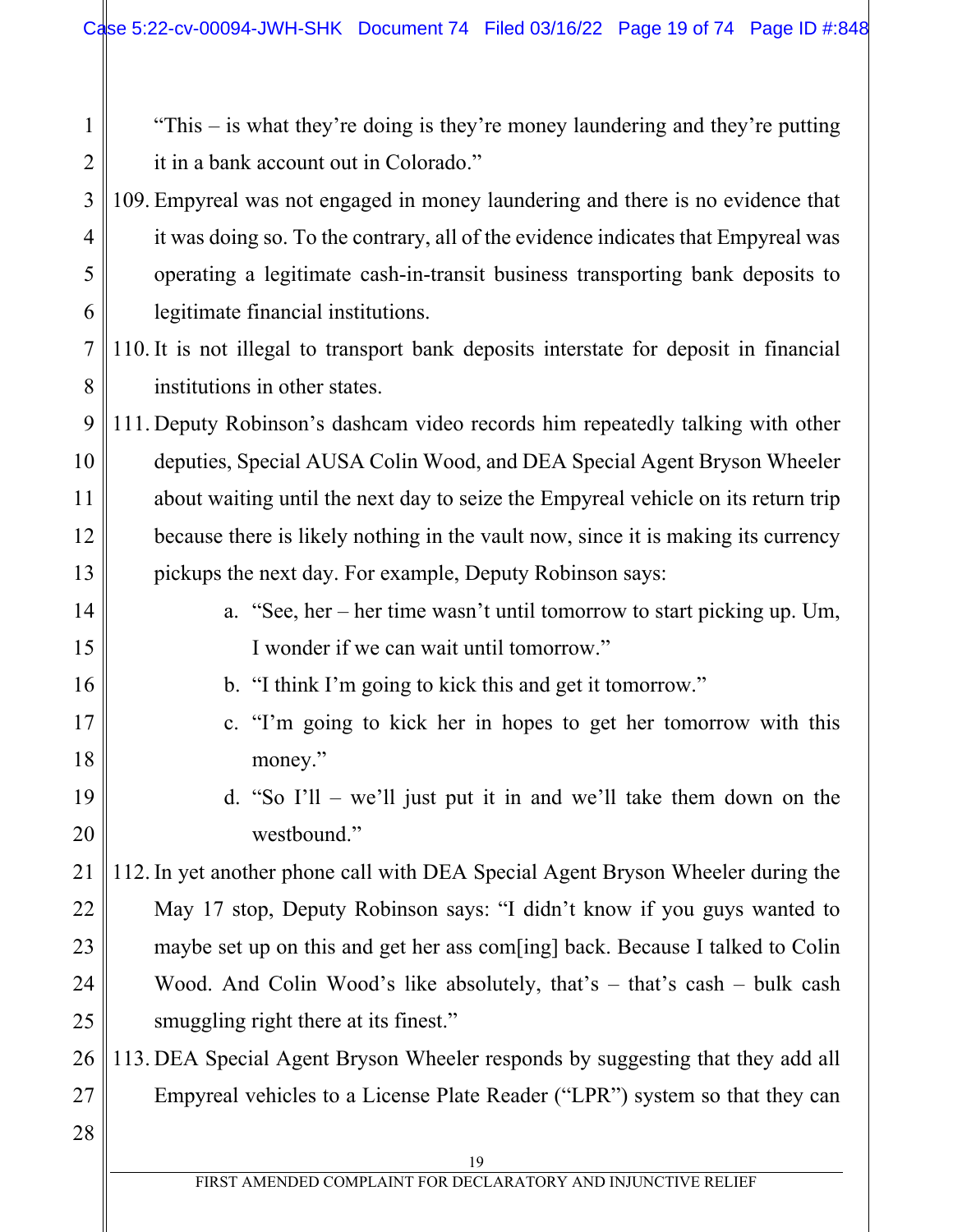1 2 3 4 5 6 7 8 "This – is what they're doing is they're money laundering and they're putting it in a bank account out in Colorado." 109. Empyreal was not engaged in money laundering and there is no evidence that it was doing so. To the contrary, all of the evidence indicates that Empyreal was operating a legitimate cash-in-transit business transporting bank deposits to legitimate financial institutions. 110. It is not illegal to transport bank deposits interstate for deposit in financial institutions in other states.

9 10 11 12 13 111. Deputy Robinson's dashcam video records him repeatedly talking with other deputies, Special AUSA Colin Wood, and DEA Special Agent Bryson Wheeler about waiting until the next day to seize the Empyreal vehicle on its return trip because there is likely nothing in the vault now, since it is making its currency pickups the next day. For example, Deputy Robinson says:

14 15

16

17

18

19

20

a. "See, her – her time wasn't until tomorrow to start picking up. Um, I wonder if we can wait until tomorrow."

- b. "I think I'm going to kick this and get it tomorrow."
	- c. "I'm going to kick her in hopes to get her tomorrow with this money."
		- d. "So I'll we'll just put it in and we'll take them down on the westbound."

21 22 23 24 25 112. In yet another phone call with DEA Special Agent Bryson Wheeler during the May 17 stop, Deputy Robinson says: "I didn't know if you guys wanted to maybe set up on this and get her ass com[ing] back. Because I talked to Colin Wood. And Colin Wood's like absolutely, that's – that's cash – bulk cash smuggling right there at its finest."

26 27 113. DEA Special Agent Bryson Wheeler responds by suggesting that they add all Empyreal vehicles to a License Plate Reader ("LPR") system so that they can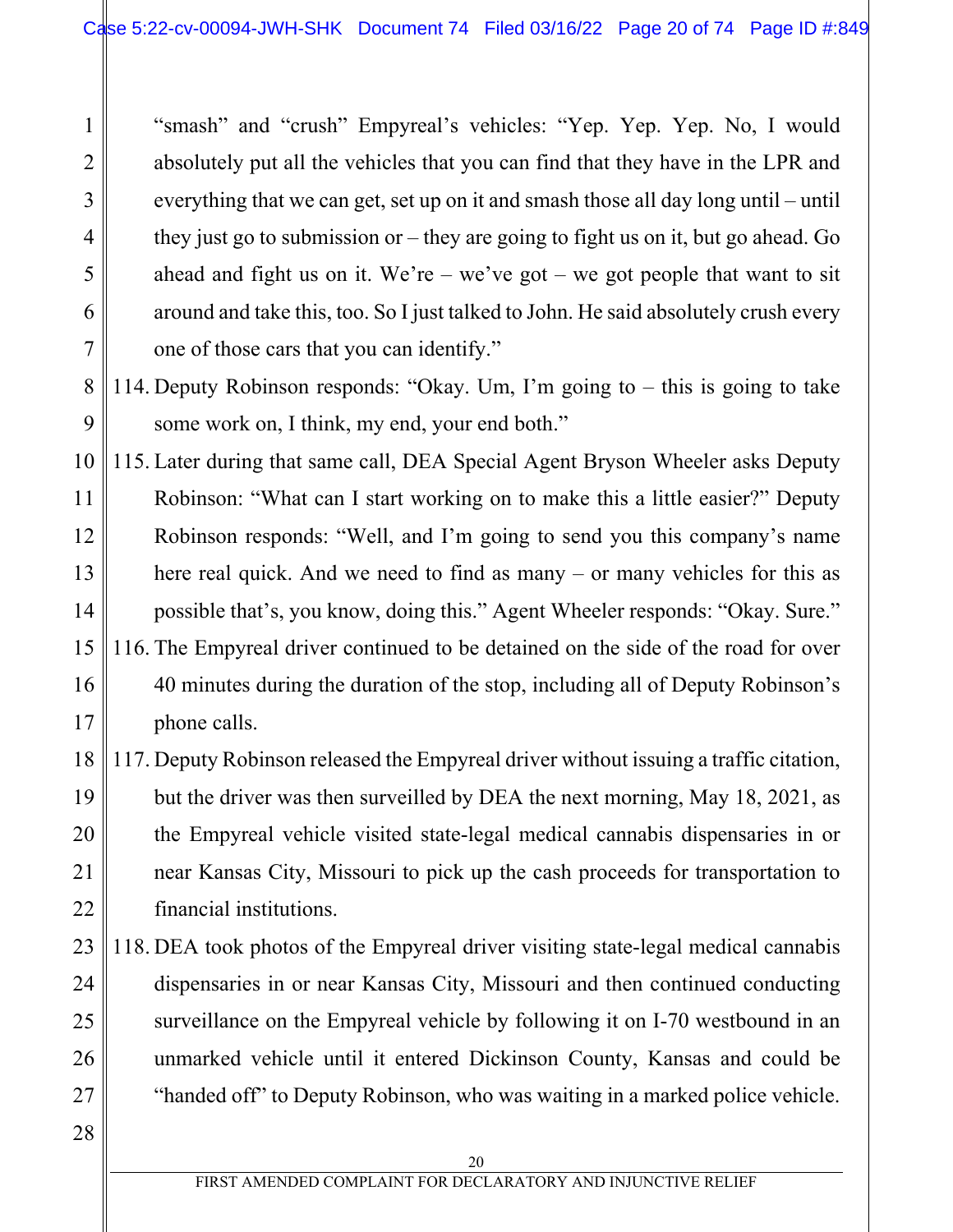"smash" and "crush" Empyreal's vehicles: "Yep. Yep. Yep. No, I would absolutely put all the vehicles that you can find that they have in the LPR and everything that we can get, set up on it and smash those all day long until – until they just go to submission or – they are going to fight us on it, but go ahead. Go ahead and fight us on it. We're – we've got – we got people that want to sit around and take this, too. So I just talked to John. He said absolutely crush every one of those cars that you can identify."

- 8 9 114. Deputy Robinson responds: "Okay. Um, I'm going to – this is going to take some work on, I think, my end, your end both."
- 10 11 12 13 14 15 16 17 115. Later during that same call, DEA Special Agent Bryson Wheeler asks Deputy Robinson: "What can I start working on to make this a little easier?" Deputy Robinson responds: "Well, and I'm going to send you this company's name here real quick. And we need to find as many – or many vehicles for this as possible that's, you know, doing this." Agent Wheeler responds: "Okay. Sure." 116. The Empyreal driver continued to be detained on the side of the road for over 40 minutes during the duration of the stop, including all of Deputy Robinson's phone calls.
- 18 19 20 21 22 117. Deputy Robinson released the Empyreal driver without issuing a traffic citation, but the driver was then surveilled by DEA the next morning, May 18, 2021, as the Empyreal vehicle visited state-legal medical cannabis dispensaries in or near Kansas City, Missouri to pick up the cash proceeds for transportation to financial institutions.
- 23 24 25 26 27 118. DEA took photos of the Empyreal driver visiting state-legal medical cannabis dispensaries in or near Kansas City, Missouri and then continued conducting surveillance on the Empyreal vehicle by following it on I-70 westbound in an unmarked vehicle until it entered Dickinson County, Kansas and could be "handed off" to Deputy Robinson, who was waiting in a marked police vehicle.
- 28

1

2

3

4

5

6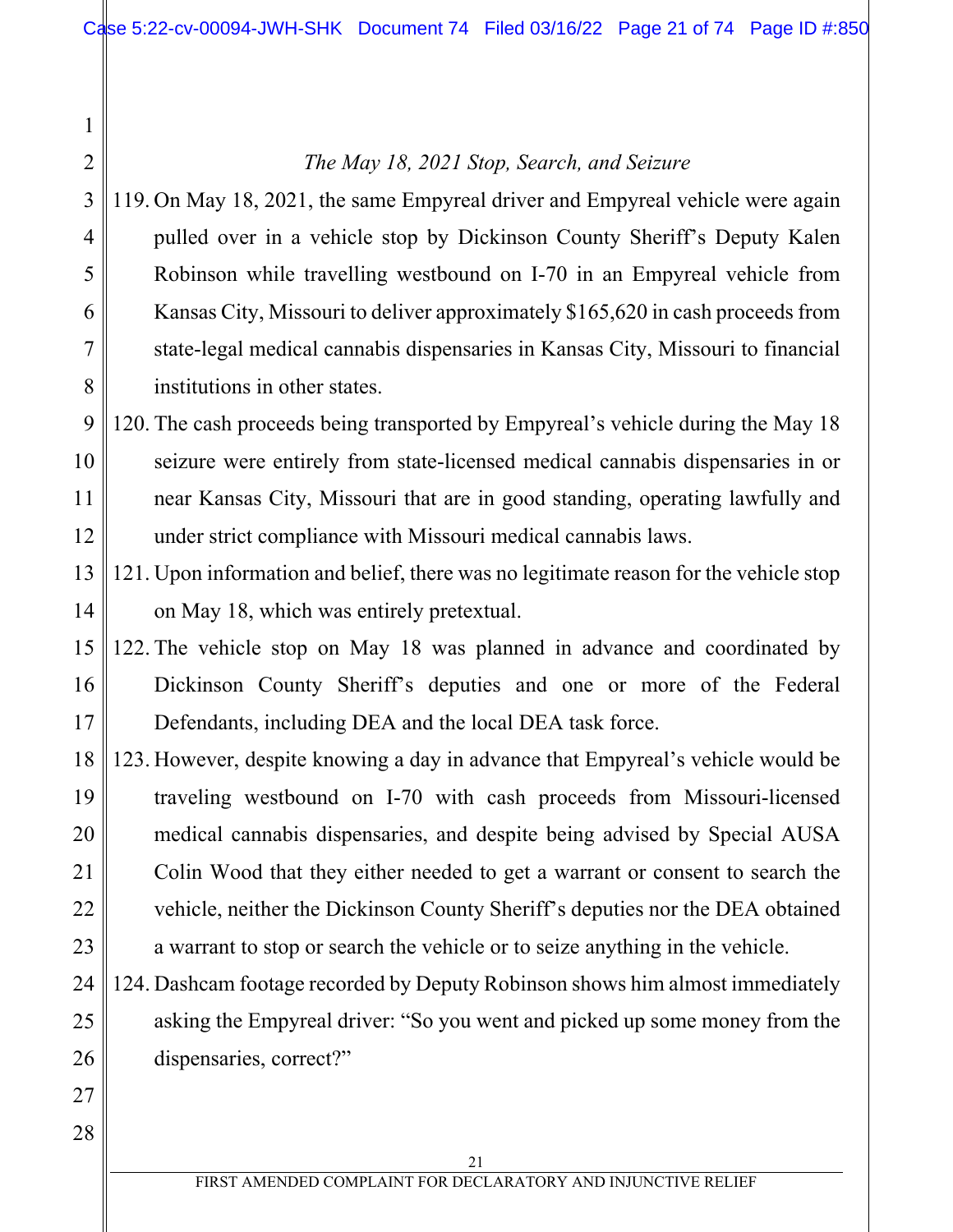## *The May 18, 2021 Stop, Search, and Seizure*

3 4 5 6 7 8 119. On May 18, 2021, the same Empyreal driver and Empyreal vehicle were again pulled over in a vehicle stop by Dickinson County Sheriff's Deputy Kalen Robinson while travelling westbound on I-70 in an Empyreal vehicle from Kansas City, Missouri to deliver approximately \$165,620 in cash proceeds from state-legal medical cannabis dispensaries in Kansas City, Missouri to financial institutions in other states.

#### 9 10 11 12 120. The cash proceeds being transported by Empyreal's vehicle during the May 18 seizure were entirely from state-licensed medical cannabis dispensaries in or near Kansas City, Missouri that are in good standing, operating lawfully and under strict compliance with Missouri medical cannabis laws.

- 13 14 121. Upon information and belief, there was no legitimate reason for the vehicle stop on May 18, which was entirely pretextual.
- 15 16 17 122. The vehicle stop on May 18 was planned in advance and coordinated by Dickinson County Sheriff's deputies and one or more of the Federal Defendants, including DEA and the local DEA task force.
- 18 19 20 21 22 23 123. However, despite knowing a day in advance that Empyreal's vehicle would be traveling westbound on I-70 with cash proceeds from Missouri-licensed medical cannabis dispensaries, and despite being advised by Special AUSA Colin Wood that they either needed to get a warrant or consent to search the vehicle, neither the Dickinson County Sheriff's deputies nor the DEA obtained a warrant to stop or search the vehicle or to seize anything in the vehicle.
- 24 25 26 124. Dashcam footage recorded by Deputy Robinson shows him almost immediately asking the Empyreal driver: "So you went and picked up some money from the dispensaries, correct?"
- 27 28

1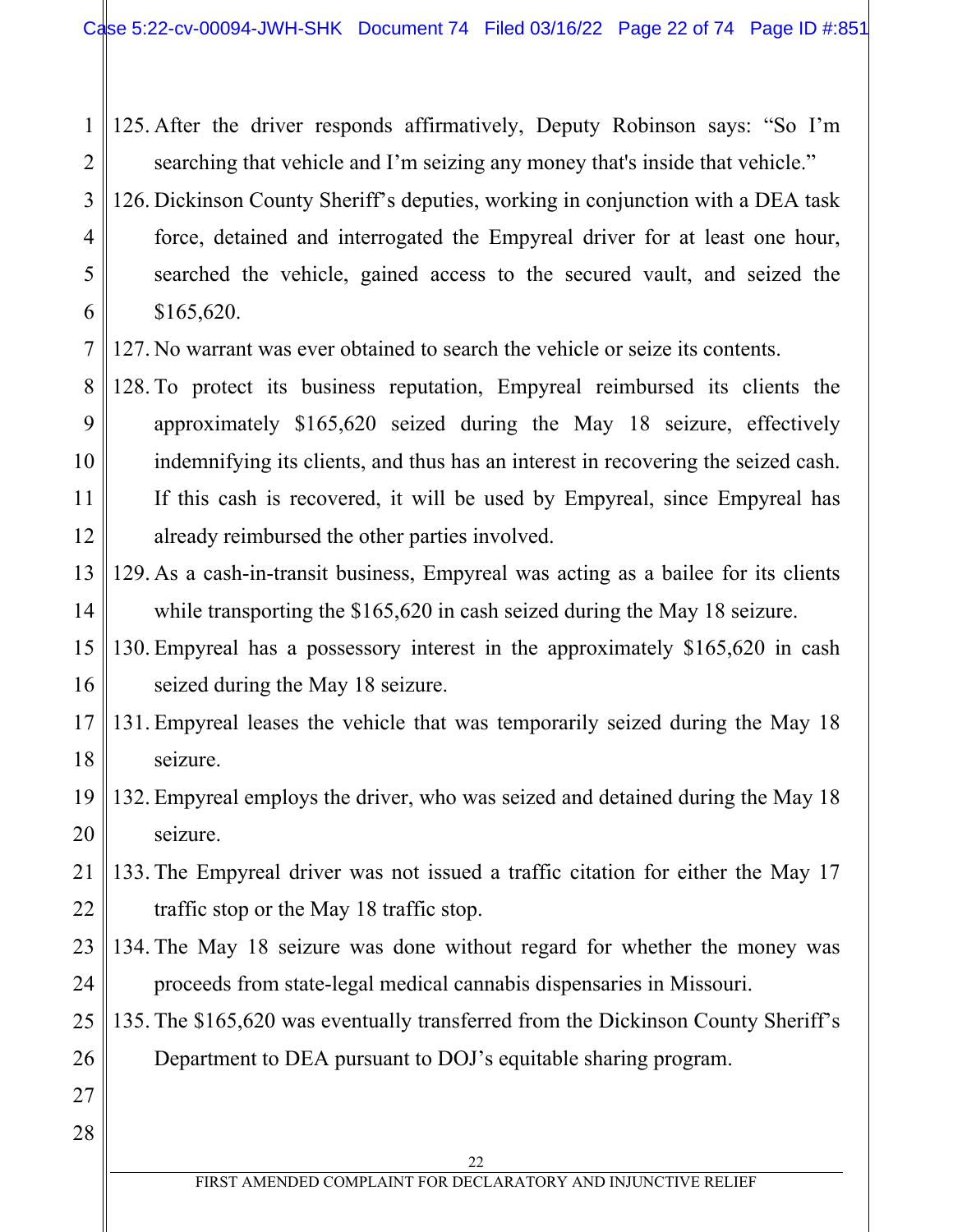1 2 125. After the driver responds affirmatively, Deputy Robinson says: "So I'm searching that vehicle and I'm seizing any money that's inside that vehicle."

3 4 5 6 126. Dickinson County Sheriff's deputies, working in conjunction with a DEA task force, detained and interrogated the Empyreal driver for at least one hour, searched the vehicle, gained access to the secured vault, and seized the \$165,620.

7 127. No warrant was ever obtained to search the vehicle or seize its contents.

- 8 9 10 11 12 128. To protect its business reputation, Empyreal reimbursed its clients the approximately \$165,620 seized during the May 18 seizure, effectively indemnifying its clients, and thus has an interest in recovering the seized cash. If this cash is recovered, it will be used by Empyreal, since Empyreal has already reimbursed the other parties involved.
- 13 14 129. As a cash-in-transit business, Empyreal was acting as a bailee for its clients while transporting the \$165,620 in cash seized during the May 18 seizure.
- 15 16 130. Empyreal has a possessory interest in the approximately \$165,620 in cash seized during the May 18 seizure.
- 17 18 131. Empyreal leases the vehicle that was temporarily seized during the May 18 seizure.
- 19 20 132. Empyreal employs the driver, who was seized and detained during the May 18 seizure.
- 21 22 133. The Empyreal driver was not issued a traffic citation for either the May 17 traffic stop or the May 18 traffic stop.
- 23 24 134. The May 18 seizure was done without regard for whether the money was proceeds from state-legal medical cannabis dispensaries in Missouri.
- 25 26 135. The \$165,620 was eventually transferred from the Dickinson County Sheriff's Department to DEA pursuant to DOJ's equitable sharing program.
- 27 28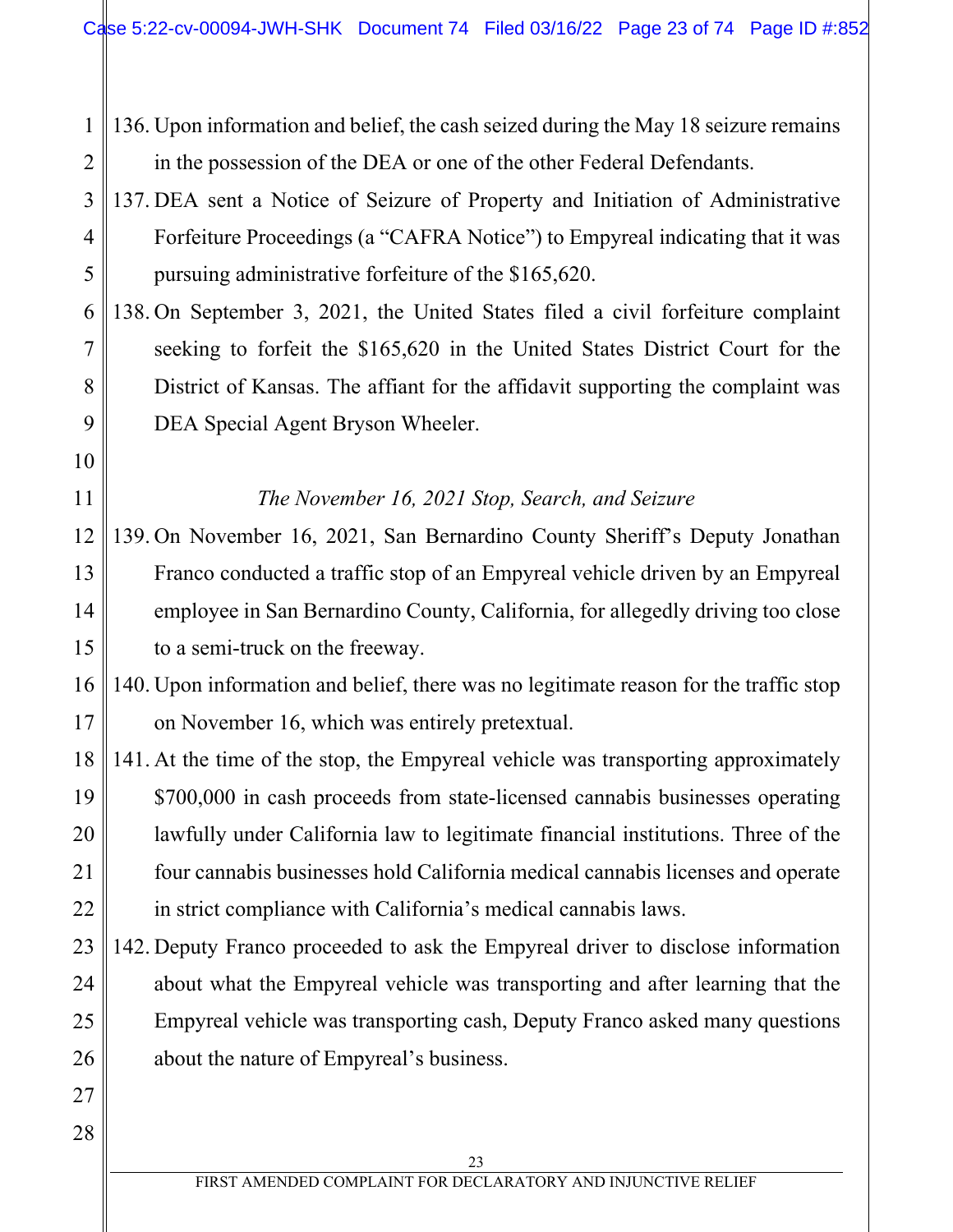1 2 136. Upon information and belief, the cash seized during the May 18 seizure remains in the possession of the DEA or one of the other Federal Defendants.

- 3 4 5 137. DEA sent a Notice of Seizure of Property and Initiation of Administrative Forfeiture Proceedings (a "CAFRA Notice") to Empyreal indicating that it was pursuing administrative forfeiture of the \$165,620.
- 6 7 8 9 138. On September 3, 2021, the United States filed a civil forfeiture complaint seeking to forfeit the \$165,620 in the United States District Court for the District of Kansas. The affiant for the affidavit supporting the complaint was DEA Special Agent Bryson Wheeler.
	- *The November 16, 2021 Stop, Search, and Seizure*
- 12 13 14 15 139. On November 16, 2021, San Bernardino County Sheriff's Deputy Jonathan Franco conducted a traffic stop of an Empyreal vehicle driven by an Empyreal employee in San Bernardino County, California, for allegedly driving too close to a semi-truck on the freeway.

16 17 140. Upon information and belief, there was no legitimate reason for the traffic stop on November 16, which was entirely pretextual.

- 18 19 20 21 22 141. At the time of the stop, the Empyreal vehicle was transporting approximately \$700,000 in cash proceeds from state-licensed cannabis businesses operating lawfully under California law to legitimate financial institutions. Three of the four cannabis businesses hold California medical cannabis licenses and operate in strict compliance with California's medical cannabis laws.
- 23 24 25 26 142. Deputy Franco proceeded to ask the Empyreal driver to disclose information about what the Empyreal vehicle was transporting and after learning that the Empyreal vehicle was transporting cash, Deputy Franco asked many questions about the nature of Empyreal's business.
- 28

27

10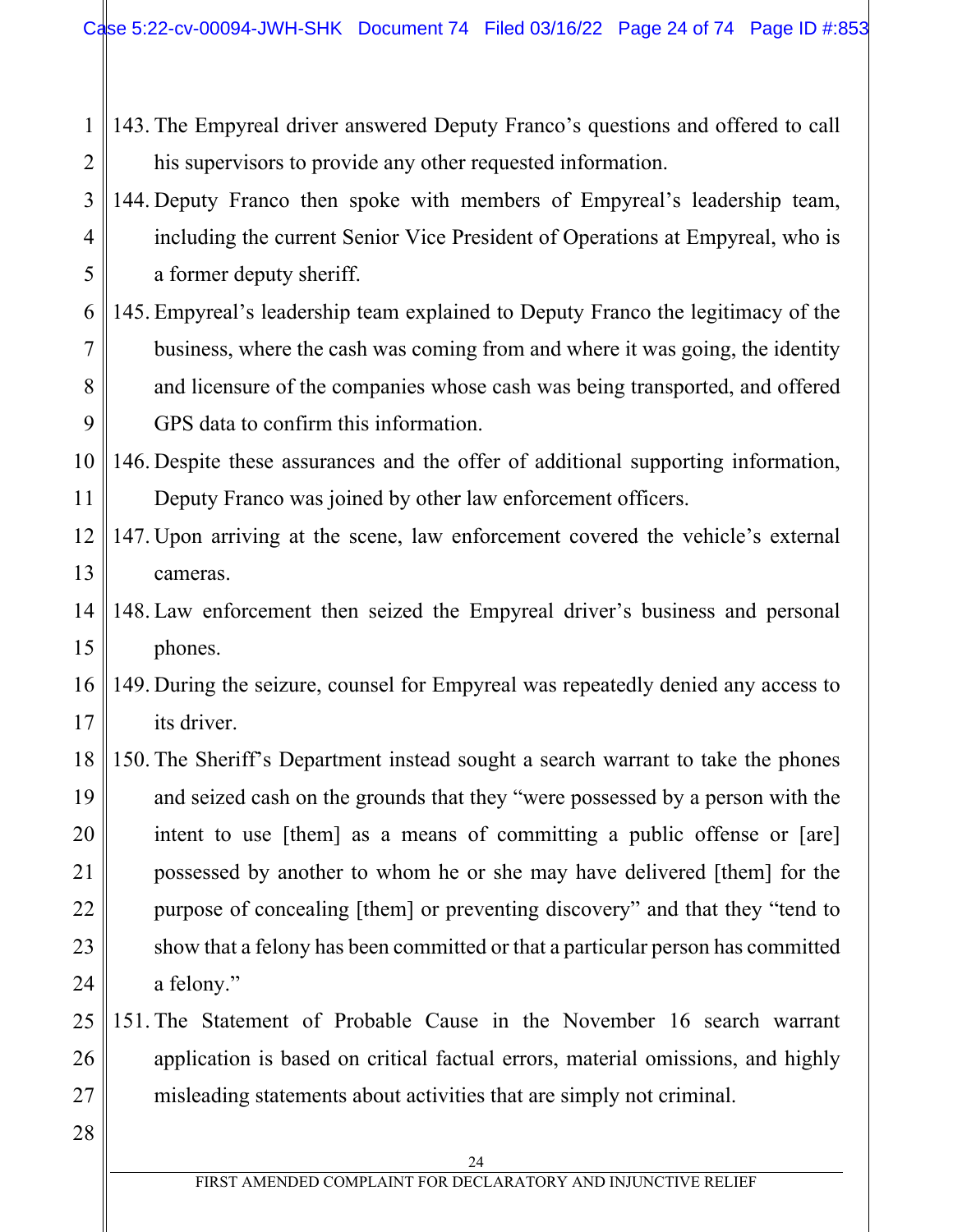- 1 2 143. The Empyreal driver answered Deputy Franco's questions and offered to call his supervisors to provide any other requested information.
- 3 4 5 144. Deputy Franco then spoke with members of Empyreal's leadership team, including the current Senior Vice President of Operations at Empyreal, who is a former deputy sheriff.
- 6 7 8 9 145. Empyreal's leadership team explained to Deputy Franco the legitimacy of the business, where the cash was coming from and where it was going, the identity and licensure of the companies whose cash was being transported, and offered GPS data to confirm this information.
- 10 11 146. Despite these assurances and the offer of additional supporting information, Deputy Franco was joined by other law enforcement officers.
- 12 13 147. Upon arriving at the scene, law enforcement covered the vehicle's external cameras.
- 14 15 148. Law enforcement then seized the Empyreal driver's business and personal phones.
- 16 17 149. During the seizure, counsel for Empyreal was repeatedly denied any access to its driver.
- 18 19 20 21 22 23 24 150. The Sheriff's Department instead sought a search warrant to take the phones and seized cash on the grounds that they "were possessed by a person with the intent to use [them] as a means of committing a public offense or [are] possessed by another to whom he or she may have delivered [them] for the purpose of concealing [them] or preventing discovery" and that they "tend to show that a felony has been committed or that a particular person has committed a felony."
- 25 26 27 151. The Statement of Probable Cause in the November 16 search warrant application is based on critical factual errors, material omissions, and highly misleading statements about activities that are simply not criminal.
- 28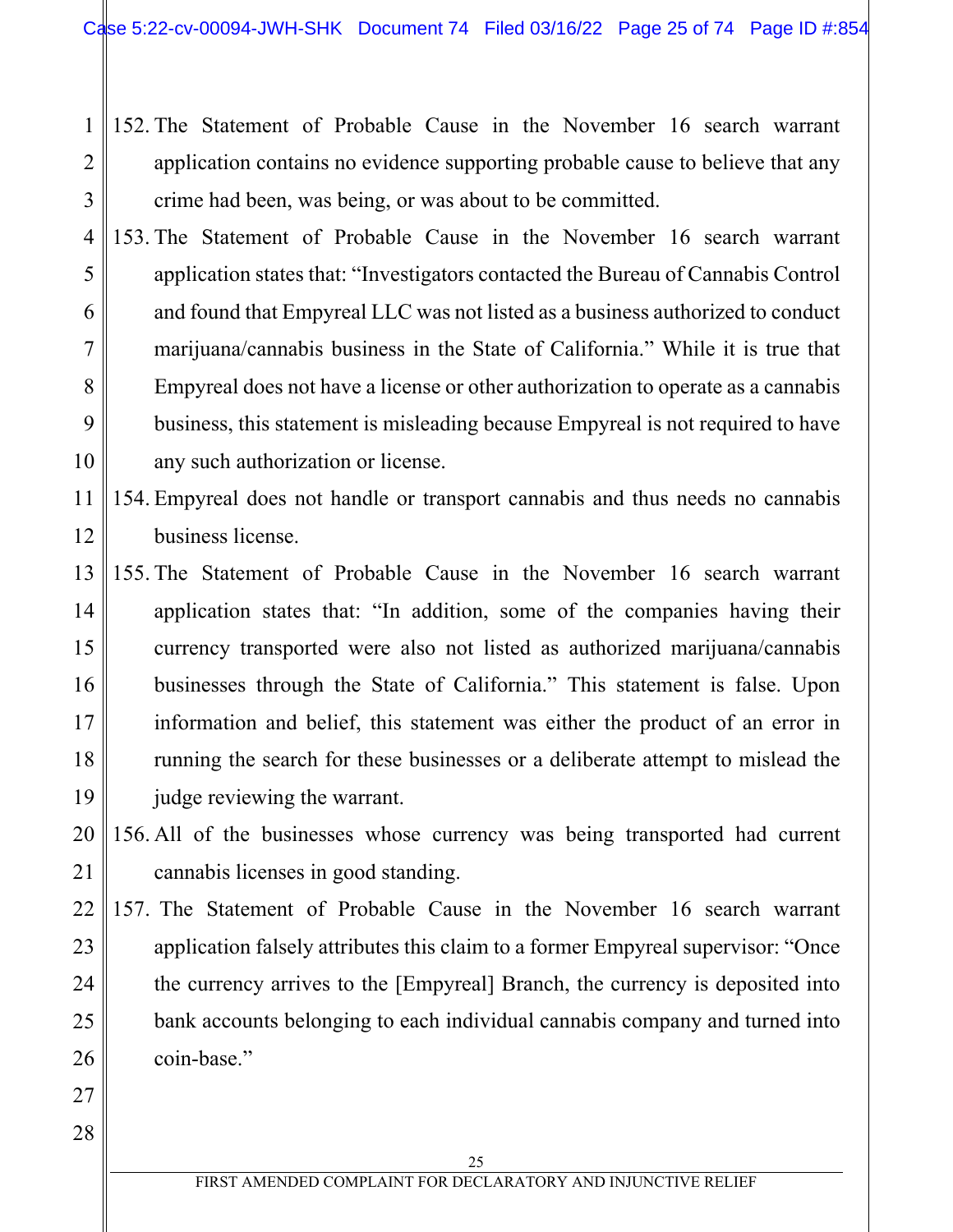- 1 2 3 152. The Statement of Probable Cause in the November 16 search warrant application contains no evidence supporting probable cause to believe that any crime had been, was being, or was about to be committed.
- 4 5 6 7 8 9 10 153. The Statement of Probable Cause in the November 16 search warrant application states that: "Investigators contacted the Bureau of Cannabis Control and found that Empyreal LLC was not listed as a business authorized to conduct marijuana/cannabis business in the State of California." While it is true that Empyreal does not have a license or other authorization to operate as a cannabis business, this statement is misleading because Empyreal is not required to have any such authorization or license.
- 11 12 154. Empyreal does not handle or transport cannabis and thus needs no cannabis business license.
- 13 14 15 16 17 18 19 155. The Statement of Probable Cause in the November 16 search warrant application states that: "In addition, some of the companies having their currency transported were also not listed as authorized marijuana/cannabis businesses through the State of California." This statement is false. Upon information and belief, this statement was either the product of an error in running the search for these businesses or a deliberate attempt to mislead the judge reviewing the warrant.

20 21 156. All of the businesses whose currency was being transported had current cannabis licenses in good standing.

22 23 24 25 26 157. The Statement of Probable Cause in the November 16 search warrant application falsely attributes this claim to a former Empyreal supervisor: "Once the currency arrives to the [Empyreal] Branch, the currency is deposited into bank accounts belonging to each individual cannabis company and turned into coin-base."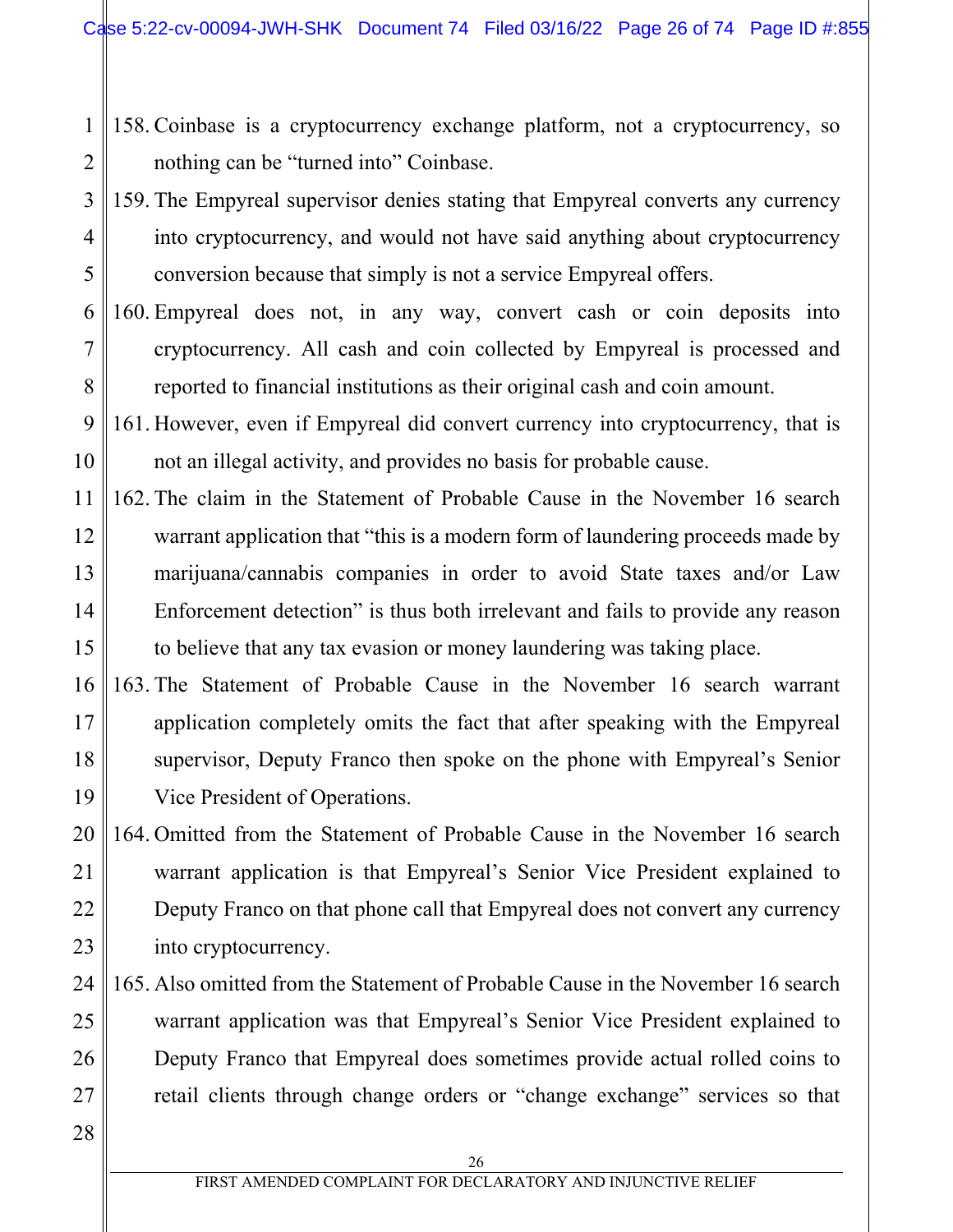- 1 2 158. Coinbase is a cryptocurrency exchange platform, not a cryptocurrency, so nothing can be "turned into" Coinbase.
- 3 4 5 159. The Empyreal supervisor denies stating that Empyreal converts any currency into cryptocurrency, and would not have said anything about cryptocurrency conversion because that simply is not a service Empyreal offers.
- 6 7 8 160. Empyreal does not, in any way, convert cash or coin deposits into cryptocurrency. All cash and coin collected by Empyreal is processed and reported to financial institutions as their original cash and coin amount.
- 9 10 161. However, even if Empyreal did convert currency into cryptocurrency, that is not an illegal activity, and provides no basis for probable cause.
- 11 12 13 14 15 162. The claim in the Statement of Probable Cause in the November 16 search warrant application that "this is a modern form of laundering proceeds made by marijuana/cannabis companies in order to avoid State taxes and/or Law Enforcement detection" is thus both irrelevant and fails to provide any reason to believe that any tax evasion or money laundering was taking place.
- 16 17 18 19 163. The Statement of Probable Cause in the November 16 search warrant application completely omits the fact that after speaking with the Empyreal supervisor, Deputy Franco then spoke on the phone with Empyreal's Senior Vice President of Operations.

20 21 22 23 164. Omitted from the Statement of Probable Cause in the November 16 search warrant application is that Empyreal's Senior Vice President explained to Deputy Franco on that phone call that Empyreal does not convert any currency into cryptocurrency.

- 24 25 26 27 165. Also omitted from the Statement of Probable Cause in the November 16 search warrant application was that Empyreal's Senior Vice President explained to Deputy Franco that Empyreal does sometimes provide actual rolled coins to retail clients through change orders or "change exchange" services so that
- 28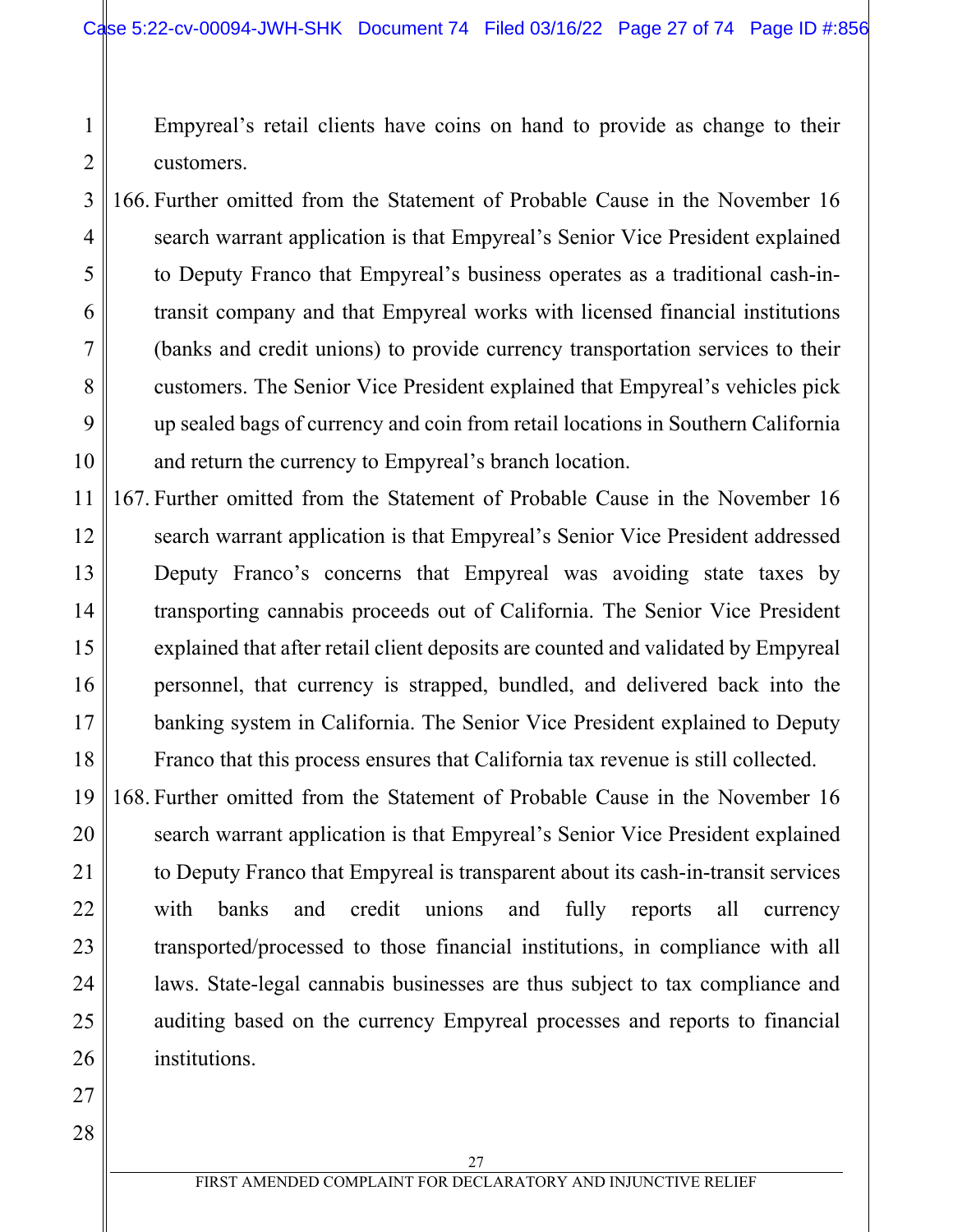Empyreal's retail clients have coins on hand to provide as change to their customers.

3 4 5 6 7 8 9 10 166. Further omitted from the Statement of Probable Cause in the November 16 search warrant application is that Empyreal's Senior Vice President explained to Deputy Franco that Empyreal's business operates as a traditional cash-intransit company and that Empyreal works with licensed financial institutions (banks and credit unions) to provide currency transportation services to their customers. The Senior Vice President explained that Empyreal's vehicles pick up sealed bags of currency and coin from retail locations in Southern California and return the currency to Empyreal's branch location.

11 12 13 14 15 16 17 18 167. Further omitted from the Statement of Probable Cause in the November 16 search warrant application is that Empyreal's Senior Vice President addressed Deputy Franco's concerns that Empyreal was avoiding state taxes by transporting cannabis proceeds out of California. The Senior Vice President explained that after retail client deposits are counted and validated by Empyreal personnel, that currency is strapped, bundled, and delivered back into the banking system in California. The Senior Vice President explained to Deputy Franco that this process ensures that California tax revenue is still collected.

19 20 21 22 23 24 25 26 168. Further omitted from the Statement of Probable Cause in the November 16 search warrant application is that Empyreal's Senior Vice President explained to Deputy Franco that Empyreal is transparent about its cash-in-transit services with banks and credit unions and fully reports all currency transported/processed to those financial institutions, in compliance with all laws. State-legal cannabis businesses are thus subject to tax compliance and auditing based on the currency Empyreal processes and reports to financial institutions.

28

27

1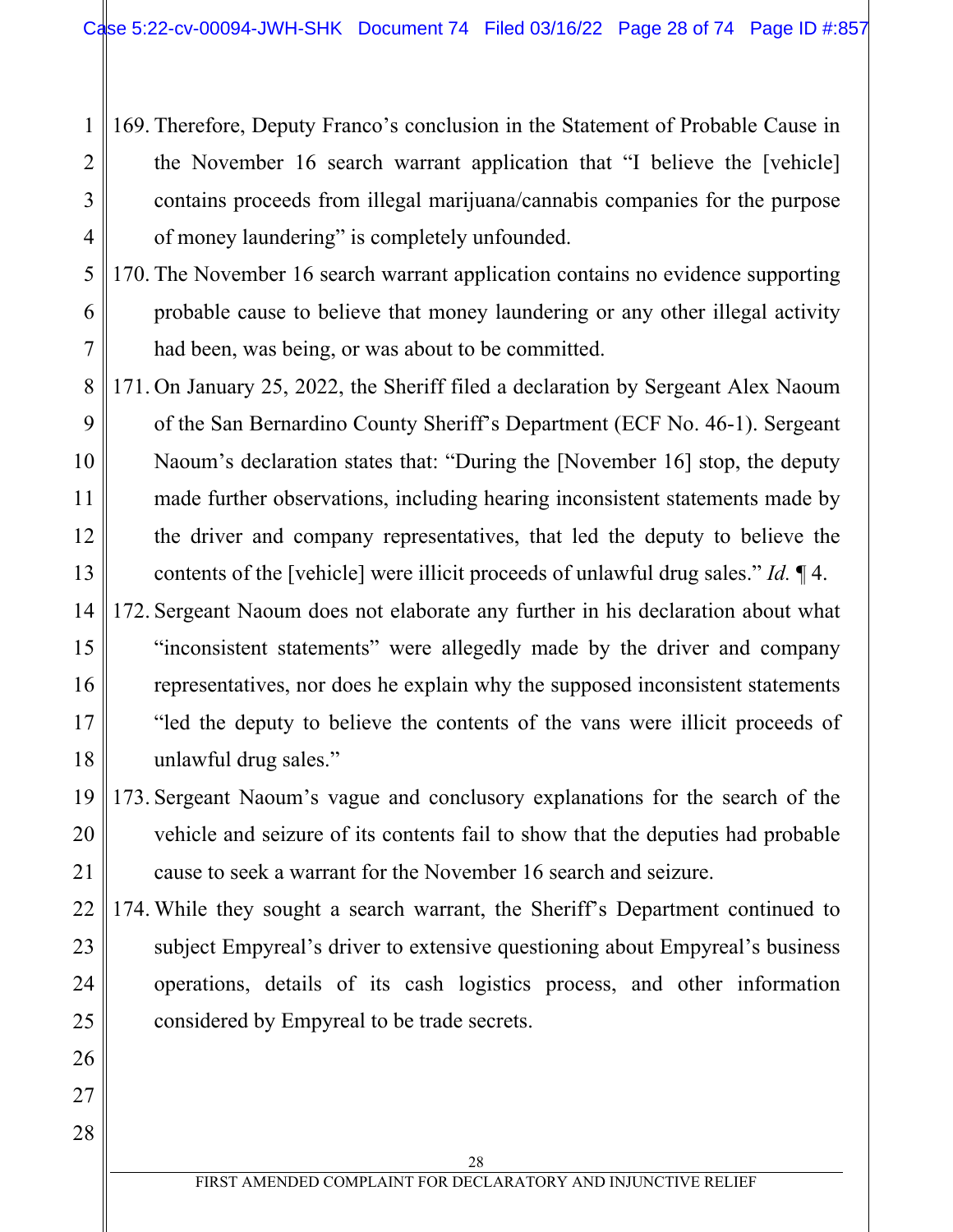1 2 3 4 169. Therefore, Deputy Franco's conclusion in the Statement of Probable Cause in the November 16 search warrant application that "I believe the [vehicle] contains proceeds from illegal marijuana/cannabis companies for the purpose of money laundering" is completely unfounded.

5 6 7 170. The November 16 search warrant application contains no evidence supporting probable cause to believe that money laundering or any other illegal activity had been, was being, or was about to be committed.

8 9 10 11 12 13 171. On January 25, 2022, the Sheriff filed a declaration by Sergeant Alex Naoum of the San Bernardino County Sheriff's Department (ECF No. 46-1). Sergeant Naoum's declaration states that: "During the [November 16] stop, the deputy made further observations, including hearing inconsistent statements made by the driver and company representatives, that led the deputy to believe the contents of the [vehicle] were illicit proceeds of unlawful drug sales." *Id.* ¶ 4.

14 15 16 17 18 172. Sergeant Naoum does not elaborate any further in his declaration about what "inconsistent statements" were allegedly made by the driver and company representatives, nor does he explain why the supposed inconsistent statements "led the deputy to believe the contents of the vans were illicit proceeds of unlawful drug sales."

- 19 20 21 173. Sergeant Naoum's vague and conclusory explanations for the search of the vehicle and seizure of its contents fail to show that the deputies had probable cause to seek a warrant for the November 16 search and seizure.
- 22 23 24 25 174. While they sought a search warrant, the Sheriff's Department continued to subject Empyreal's driver to extensive questioning about Empyreal's business operations, details of its cash logistics process, and other information considered by Empyreal to be trade secrets.

26

27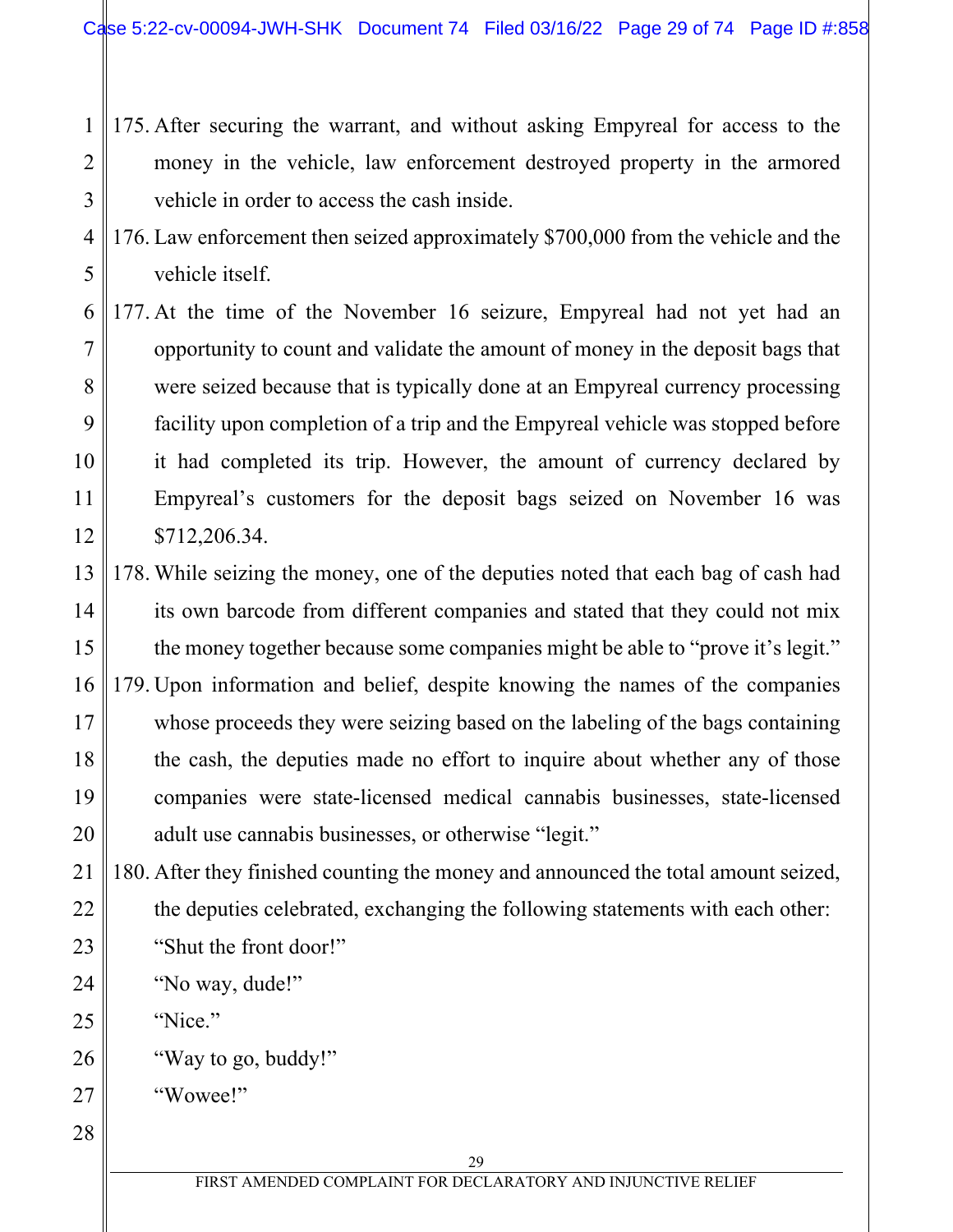- 1 2 3 175. After securing the warrant, and without asking Empyreal for access to the money in the vehicle, law enforcement destroyed property in the armored vehicle in order to access the cash inside.
- 4 5 176. Law enforcement then seized approximately \$700,000 from the vehicle and the vehicle itself.
- 6 7 8 9 10 11 12 177. At the time of the November 16 seizure, Empyreal had not yet had an opportunity to count and validate the amount of money in the deposit bags that were seized because that is typically done at an Empyreal currency processing facility upon completion of a trip and the Empyreal vehicle was stopped before it had completed its trip. However, the amount of currency declared by Empyreal's customers for the deposit bags seized on November 16 was \$712,206.34.
- 13 14 15 16 17 18 19 20 178. While seizing the money, one of the deputies noted that each bag of cash had its own barcode from different companies and stated that they could not mix the money together because some companies might be able to "prove it's legit." 179. Upon information and belief, despite knowing the names of the companies whose proceeds they were seizing based on the labeling of the bags containing the cash, the deputies made no effort to inquire about whether any of those companies were state-licensed medical cannabis businesses, state-licensed adult use cannabis businesses, or otherwise "legit."

21 22 23 180. After they finished counting the money and announced the total amount seized, the deputies celebrated, exchanging the following statements with each other: "Shut the front door!"

24 "No way, dude!"

25 "Nice."

26 "Way to go, buddy!"

27 "Wowee!"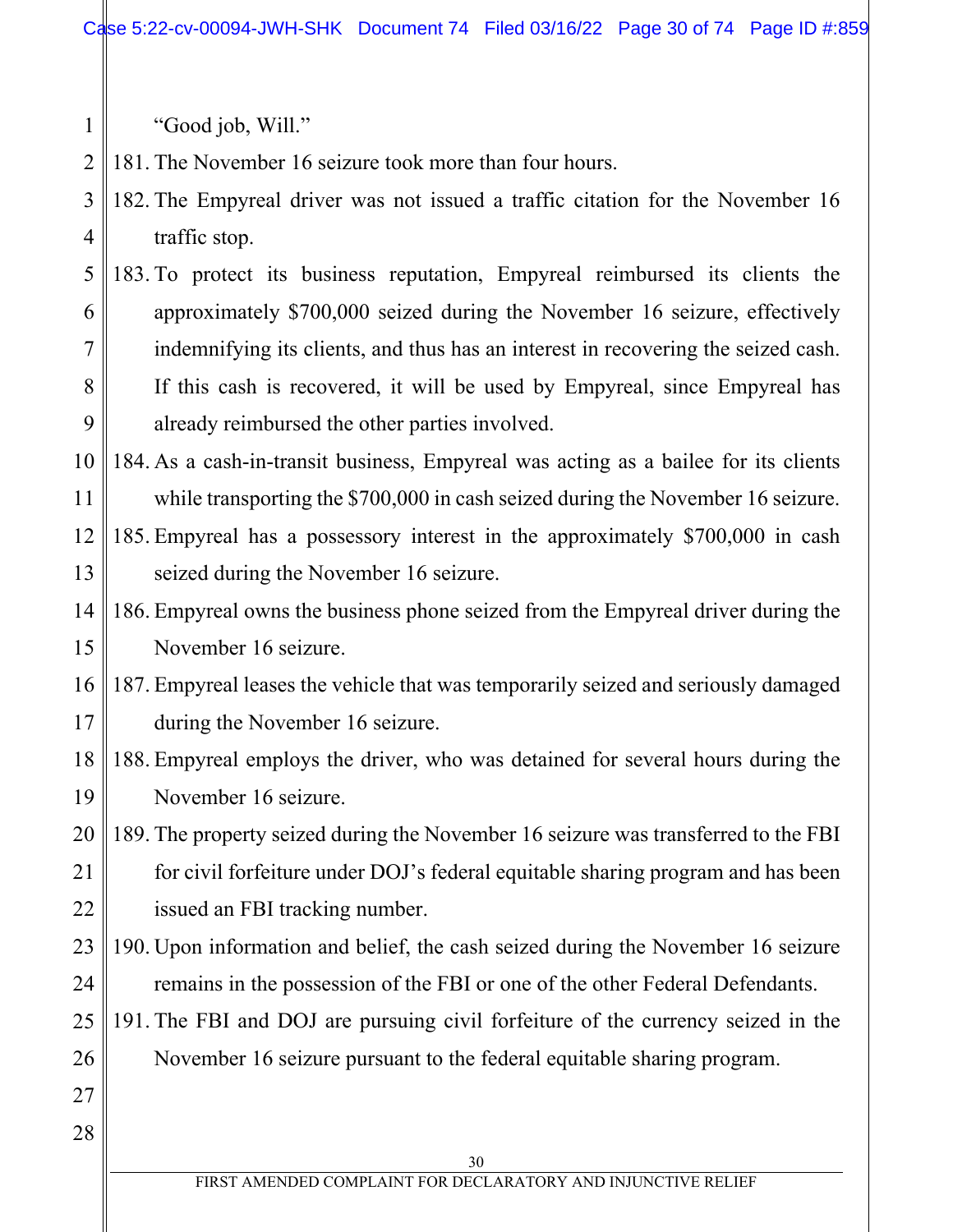"Good job, Will."

1

2 181. The November 16 seizure took more than four hours.

- 3 4 182. The Empyreal driver was not issued a traffic citation for the November 16 traffic stop.
- 5 6 7 8 9 183. To protect its business reputation, Empyreal reimbursed its clients the approximately \$700,000 seized during the November 16 seizure, effectively indemnifying its clients, and thus has an interest in recovering the seized cash. If this cash is recovered, it will be used by Empyreal, since Empyreal has already reimbursed the other parties involved.
- 10 11 184. As a cash-in-transit business, Empyreal was acting as a bailee for its clients while transporting the \$700,000 in cash seized during the November 16 seizure.
- 12 13 185. Empyreal has a possessory interest in the approximately \$700,000 in cash seized during the November 16 seizure.
- 14 15 186. Empyreal owns the business phone seized from the Empyreal driver during the November 16 seizure.
- 16 17 187. Empyreal leases the vehicle that was temporarily seized and seriously damaged during the November 16 seizure.
- 18 19 188. Empyreal employs the driver, who was detained for several hours during the November 16 seizure.
- 20 21 22 189. The property seized during the November 16 seizure was transferred to the FBI for civil forfeiture under DOJ's federal equitable sharing program and has been issued an FBI tracking number.
- 23 24 190. Upon information and belief, the cash seized during the November 16 seizure remains in the possession of the FBI or one of the other Federal Defendants.
- 25 26 191. The FBI and DOJ are pursuing civil forfeiture of the currency seized in the November 16 seizure pursuant to the federal equitable sharing program.
- 27 28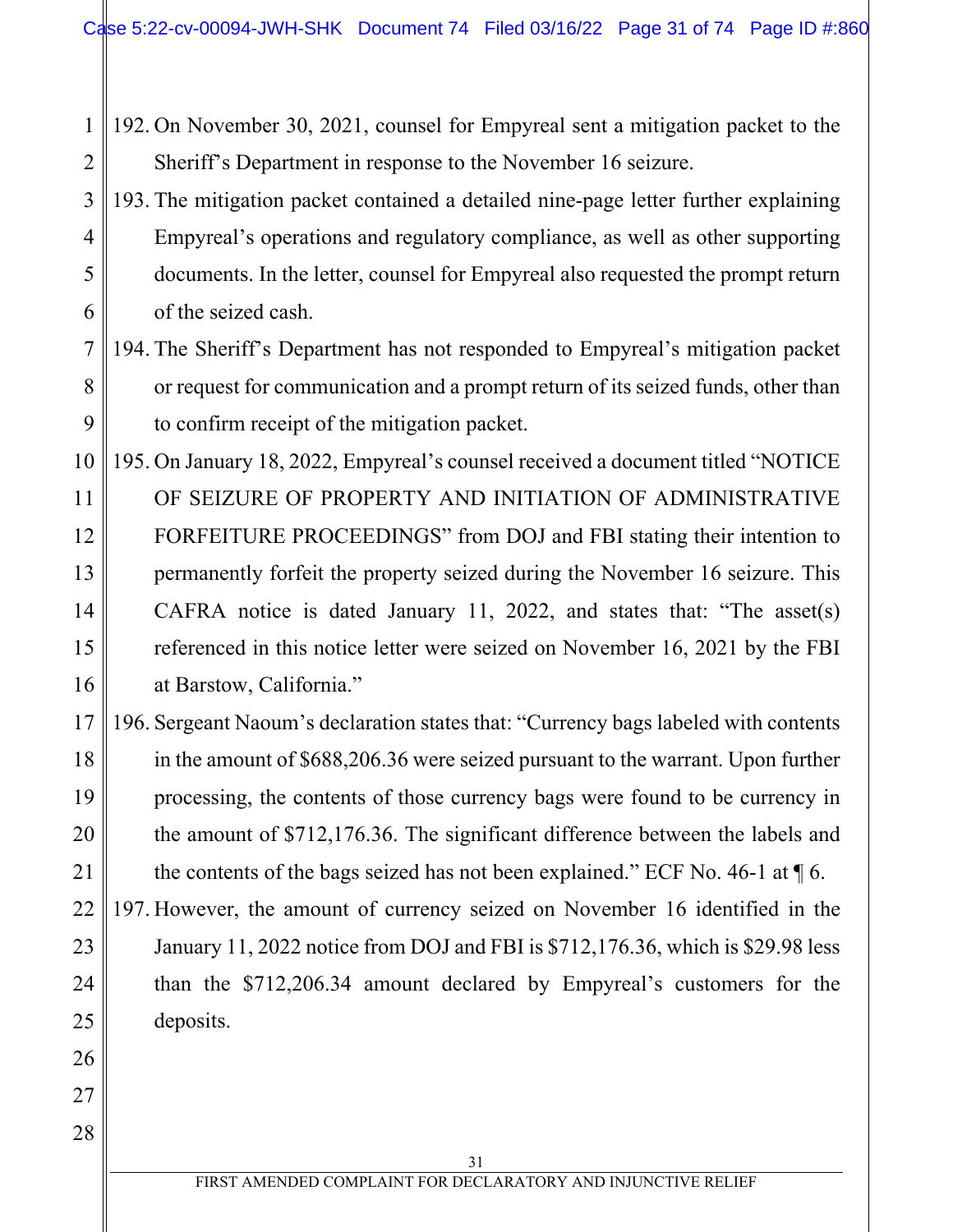- 1 2 192. On November 30, 2021, counsel for Empyreal sent a mitigation packet to the Sheriff's Department in response to the November 16 seizure.
- 3 4 5 6 193. The mitigation packet contained a detailed nine-page letter further explaining Empyreal's operations and regulatory compliance, as well as other supporting documents. In the letter, counsel for Empyreal also requested the prompt return of the seized cash.

#### 7 8 9 194. The Sheriff's Department has not responded to Empyreal's mitigation packet or request for communication and a prompt return of its seized funds, other than to confirm receipt of the mitigation packet.

- 10 11 12 13 14 15 16 195. On January 18, 2022, Empyreal's counsel received a document titled "NOTICE OF SEIZURE OF PROPERTY AND INITIATION OF ADMINISTRATIVE FORFEITURE PROCEEDINGS" from DOJ and FBI stating their intention to permanently forfeit the property seized during the November 16 seizure. This CAFRA notice is dated January 11, 2022, and states that: "The asset(s) referenced in this notice letter were seized on November 16, 2021 by the FBI at Barstow, California."
- 17 18 19 20 21 196. Sergeant Naoum's declaration states that: "Currency bags labeled with contents in the amount of \$688,206.36 were seized pursuant to the warrant. Upon further processing, the contents of those currency bags were found to be currency in the amount of \$712,176.36. The significant difference between the labels and the contents of the bags seized has not been explained." ECF No. 46-1 at  $\P$ 6.
- 22 23 24 25 197. However, the amount of currency seized on November 16 identified in the January 11, 2022 notice from DOJ and FBI is \$712,176.36, which is \$29.98 less than the \$712,206.34 amount declared by Empyreal's customers for the deposits.

26

27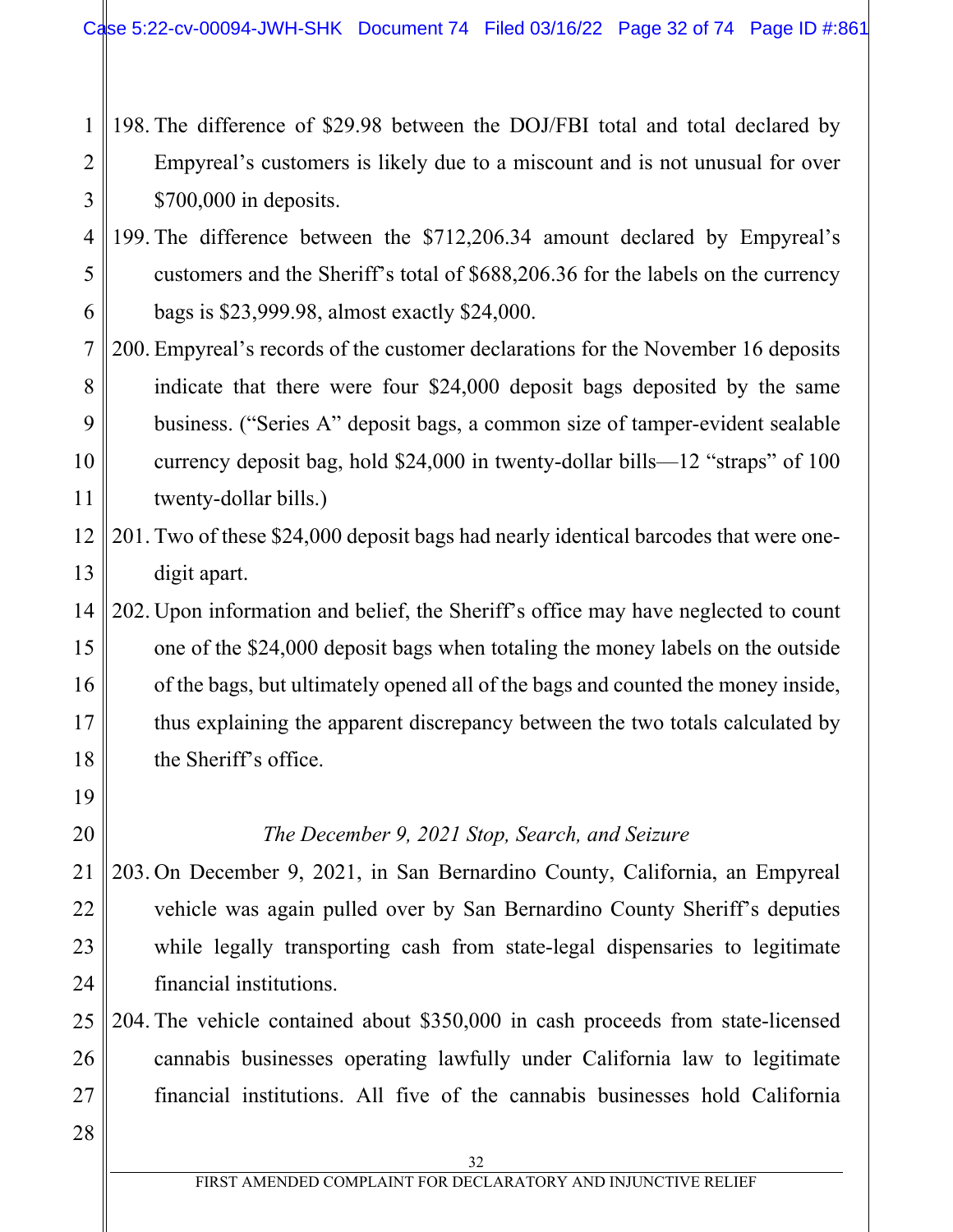- 1 2 3 198. The difference of \$29.98 between the DOJ/FBI total and total declared by Empyreal's customers is likely due to a miscount and is not unusual for over \$700,000 in deposits.
- 4 5 6 199. The difference between the \$712,206.34 amount declared by Empyreal's customers and the Sheriff's total of \$688,206.36 for the labels on the currency bags is \$23,999.98, almost exactly \$24,000.
- 7 8 9 10 11 200. Empyreal's records of the customer declarations for the November 16 deposits indicate that there were four \$24,000 deposit bags deposited by the same business. ("Series A" deposit bags, a common size of tamper-evident sealable currency deposit bag, hold \$24,000 in twenty-dollar bills—12 "straps" of 100 twenty-dollar bills.)
- 12 13 201. Two of these \$24,000 deposit bags had nearly identical barcodes that were onedigit apart.
- 14 15 16 17 18 202. Upon information and belief, the Sheriff's office may have neglected to count one of the \$24,000 deposit bags when totaling the money labels on the outside of the bags, but ultimately opened all of the bags and counted the money inside, thus explaining the apparent discrepancy between the two totals calculated by the Sheriff's office.
	- *The December 9, 2021 Stop, Search, and Seizure*

21 22 23 24 203. On December 9, 2021, in San Bernardino County, California, an Empyreal vehicle was again pulled over by San Bernardino County Sheriff's deputies while legally transporting cash from state-legal dispensaries to legitimate financial institutions.

- 25 26 27 204. The vehicle contained about \$350,000 in cash proceeds from state-licensed cannabis businesses operating lawfully under California law to legitimate financial institutions. All five of the cannabis businesses hold California
- 28

19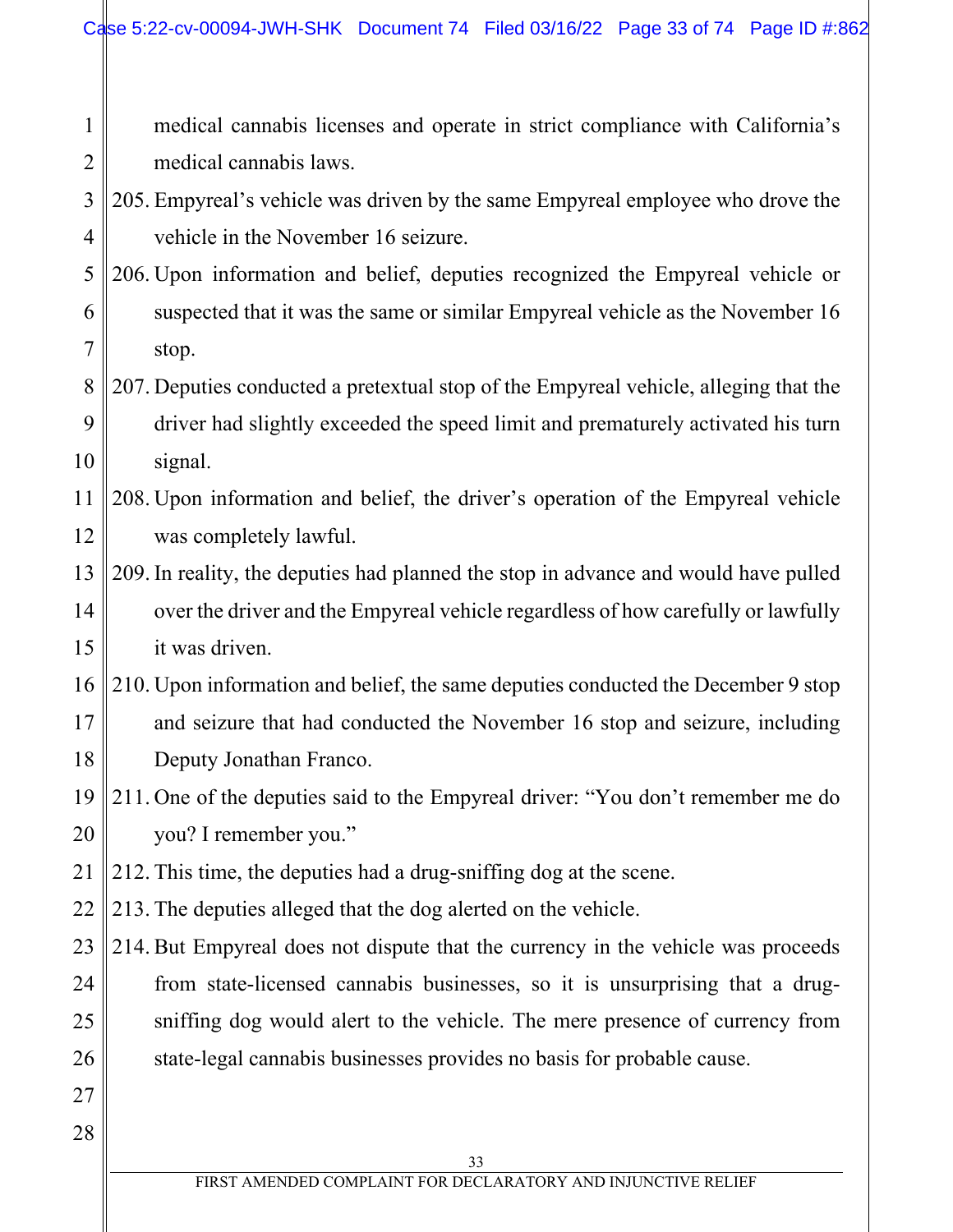| $\mathbf{1}$   | medical cannabis licenses and operate in strict compliance with California's         |
|----------------|--------------------------------------------------------------------------------------|
| $\overline{2}$ | medical cannabis laws.                                                               |
| $\overline{3}$ | 205. Empyreal's vehicle was driven by the same Empyreal employee who drove the       |
| $\overline{4}$ | vehicle in the November 16 seizure.                                                  |
| 5              | 206. Upon information and belief, deputies recognized the Empyreal vehicle or        |
| 6              | suspected that it was the same or similar Empyreal vehicle as the November 16        |
| $\overline{7}$ | stop.                                                                                |
| 8              | 207. Deputies conducted a pretextual stop of the Empyreal vehicle, alleging that the |
| 9              | driver had slightly exceeded the speed limit and prematurely activated his turn      |
| 10             | signal.                                                                              |
| 11             | 208. Upon information and belief, the driver's operation of the Empyreal vehicle     |
| 12             | was completely lawful.                                                               |
| 13             | 209. In reality, the deputies had planned the stop in advance and would have pulled  |
| 14             | over the driver and the Empyreal vehicle regardless of how carefully or lawfully     |
| 15             | it was driven.                                                                       |
| 16             | 210. Upon information and belief, the same deputies conducted the December 9 stop    |
| 17             | and seizure that had conducted the November 16 stop and seizure, including           |
| 18             | Deputy Jonathan Franco.                                                              |
| 19             | 211. One of the deputies said to the Empyreal driver: "You don't remember me do      |
| 20             | you? I remember you."                                                                |
| 21             | 212. This time, the deputies had a drug-sniffing dog at the scene.                   |
| 22             | 213. The deputies alleged that the dog alerted on the vehicle.                       |
| 23             | 214. But Empyreal does not dispute that the currency in the vehicle was proceeds     |
| 24             | from state-licensed cannabis businesses, so it is unsurprising that a drug-          |
| 25             | sniffing dog would alert to the vehicle. The mere presence of currency from          |
| 26             | state-legal cannabis businesses provides no basis for probable cause.                |
| 27             |                                                                                      |
| 28             |                                                                                      |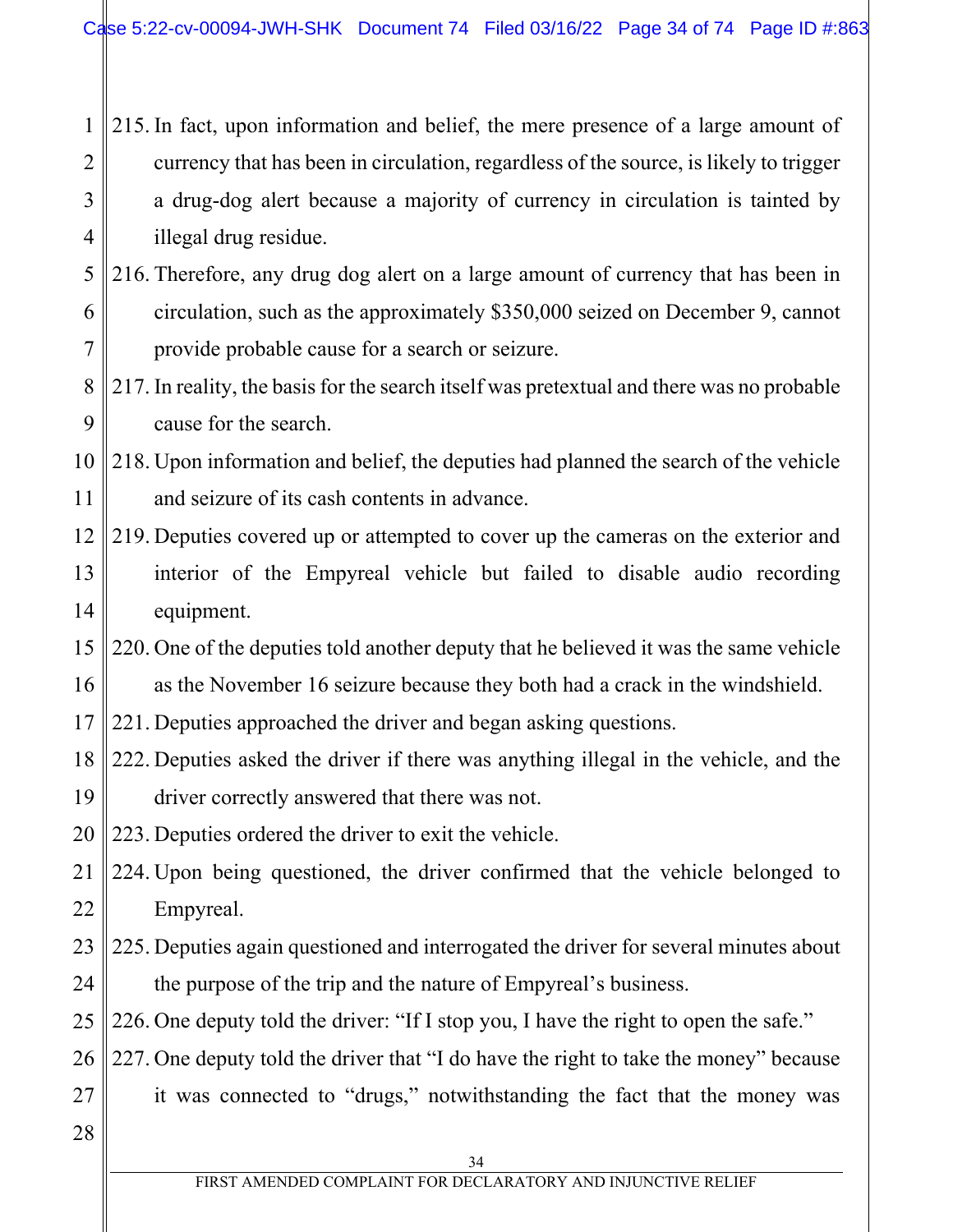1 2 3 4 215. In fact, upon information and belief, the mere presence of a large amount of currency that has been in circulation, regardless of the source, is likely to trigger a drug-dog alert because a majority of currency in circulation is tainted by illegal drug residue.

- 5 6 7 216. Therefore, any drug dog alert on a large amount of currency that has been in circulation, such as the approximately \$350,000 seized on December 9, cannot provide probable cause for a search or seizure.
- 8 9 217. In reality, the basis for the search itself was pretextual and there was no probable cause for the search.
- 10 11 218. Upon information and belief, the deputies had planned the search of the vehicle and seizure of its cash contents in advance.
- 12 13 14 219. Deputies covered up or attempted to cover up the cameras on the exterior and interior of the Empyreal vehicle but failed to disable audio recording equipment.
- 15 16 220. One of the deputies told another deputy that he believed it was the same vehicle as the November 16 seizure because they both had a crack in the windshield.

17 221. Deputies approached the driver and began asking questions.

18 19 222. Deputies asked the driver if there was anything illegal in the vehicle, and the driver correctly answered that there was not.

20 223. Deputies ordered the driver to exit the vehicle.

- 21 22 224. Upon being questioned, the driver confirmed that the vehicle belonged to Empyreal.
- 23 24 225. Deputies again questioned and interrogated the driver for several minutes about the purpose of the trip and the nature of Empyreal's business.
- 25 226. One deputy told the driver: "If I stop you, I have the right to open the safe."

26 227. One deputy told the driver that "I do have the right to take the money" because

- 27 it was connected to "drugs," notwithstanding the fact that the money was
- 28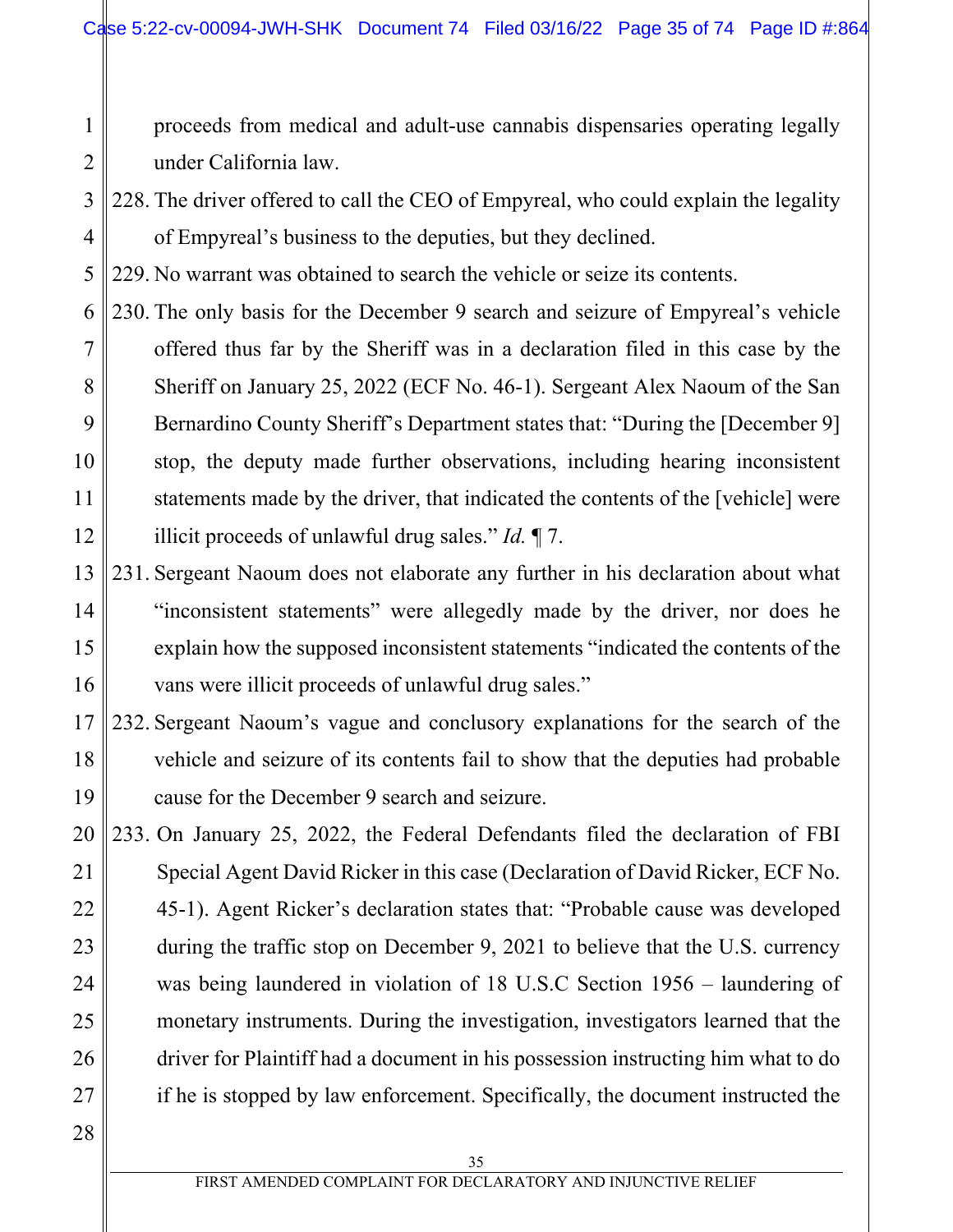proceeds from medical and adult-use cannabis dispensaries operating legally under California law.

3 4 228. The driver offered to call the CEO of Empyreal, who could explain the legality of Empyreal's business to the deputies, but they declined.

5 229. No warrant was obtained to search the vehicle or seize its contents.

- 6 7 8 9 10 11 12 230. The only basis for the December 9 search and seizure of Empyreal's vehicle offered thus far by the Sheriff was in a declaration filed in this case by the Sheriff on January 25, 2022 (ECF No. 46-1). Sergeant Alex Naoum of the San Bernardino County Sheriff's Department states that: "During the [December 9] stop, the deputy made further observations, including hearing inconsistent statements made by the driver, that indicated the contents of the [vehicle] were illicit proceeds of unlawful drug sales." *Id.* ¶ 7.
- 13 14 15 16 231. Sergeant Naoum does not elaborate any further in his declaration about what "inconsistent statements" were allegedly made by the driver, nor does he explain how the supposed inconsistent statements "indicated the contents of the vans were illicit proceeds of unlawful drug sales."
- 17 18 19 232. Sergeant Naoum's vague and conclusory explanations for the search of the vehicle and seizure of its contents fail to show that the deputies had probable cause for the December 9 search and seizure.
- 20 21 22 23 24 25 26 27 233. On January 25, 2022, the Federal Defendants filed the declaration of FBI Special Agent David Ricker in this case (Declaration of David Ricker, ECF No. 45-1). Agent Ricker's declaration states that: "Probable cause was developed during the traffic stop on December 9, 2021 to believe that the U.S. currency was being laundered in violation of 18 U.S.C Section 1956 – laundering of monetary instruments. During the investigation, investigators learned that the driver for Plaintiff had a document in his possession instructing him what to do if he is stopped by law enforcement. Specifically, the document instructed the
- 28

1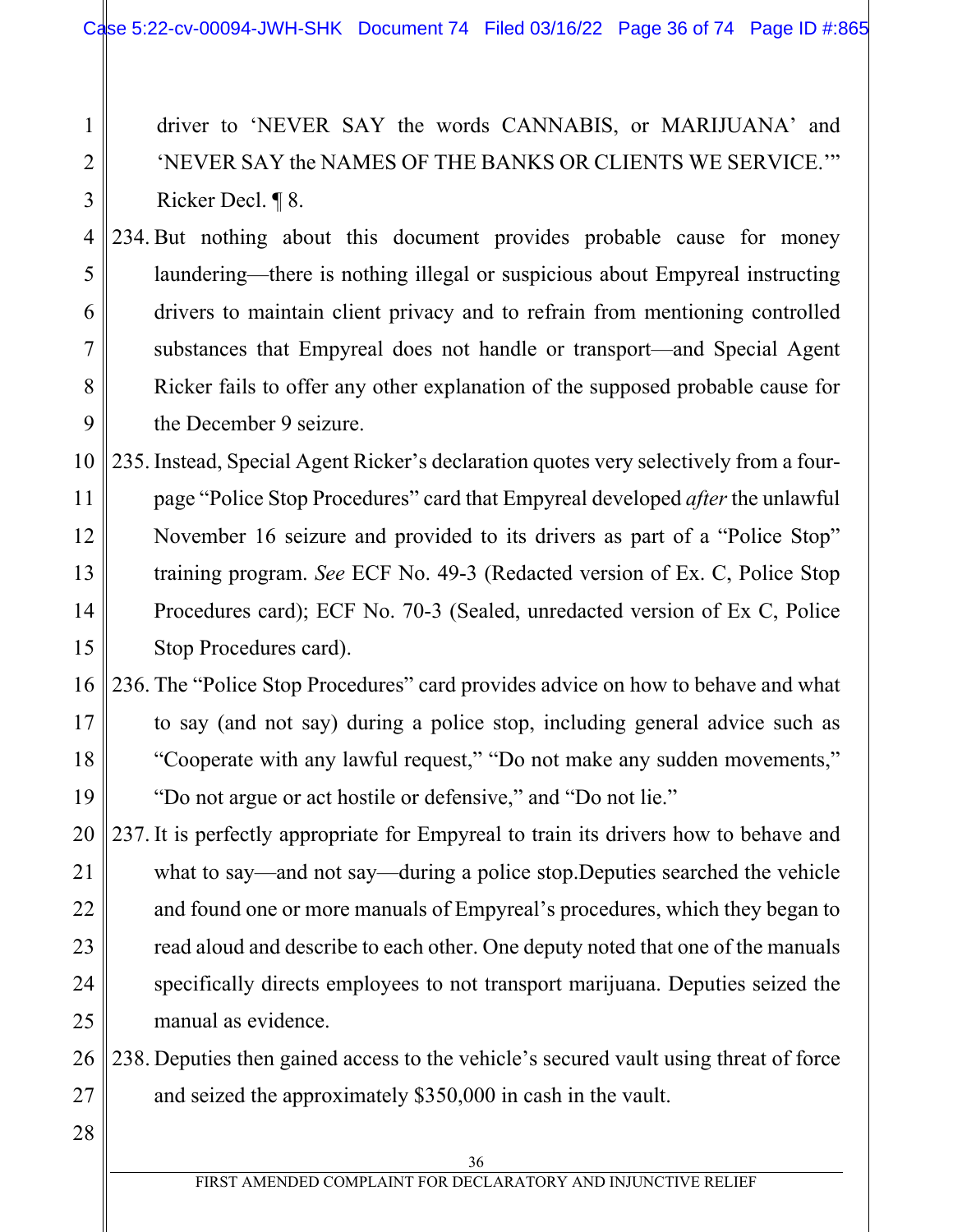driver to 'NEVER SAY the words CANNABIS, or MARIJUANA' and 'NEVER SAY the NAMES OF THE BANKS OR CLIENTS WE SERVICE.'" Ricker Decl. ¶ 8.

4 5 6 7 8 9 234. But nothing about this document provides probable cause for money laundering—there is nothing illegal or suspicious about Empyreal instructing drivers to maintain client privacy and to refrain from mentioning controlled substances that Empyreal does not handle or transport—and Special Agent Ricker fails to offer any other explanation of the supposed probable cause for the December 9 seizure.

10 11 12 13 14 15 235. Instead, Special Agent Ricker's declaration quotes very selectively from a fourpage "Police Stop Procedures" card that Empyreal developed *after* the unlawful November 16 seizure and provided to its drivers as part of a "Police Stop" training program. *See* ECF No. 49-3 (Redacted version of Ex. C, Police Stop Procedures card); ECF No. 70-3 (Sealed, unredacted version of Ex C, Police Stop Procedures card).

- 16 17 18 19 236. The "Police Stop Procedures" card provides advice on how to behave and what to say (and not say) during a police stop, including general advice such as "Cooperate with any lawful request," "Do not make any sudden movements," "Do not argue or act hostile or defensive," and "Do not lie."
- 20 21 22 23 24 25 237. It is perfectly appropriate for Empyreal to train its drivers how to behave and what to say—and not say—during a police stop.Deputies searched the vehicle and found one or more manuals of Empyreal's procedures, which they began to read aloud and describe to each other. One deputy noted that one of the manuals specifically directs employees to not transport marijuana. Deputies seized the manual as evidence.
- 26 27 238. Deputies then gained access to the vehicle's secured vault using threat of force and seized the approximately \$350,000 in cash in the vault.
- 28

1

2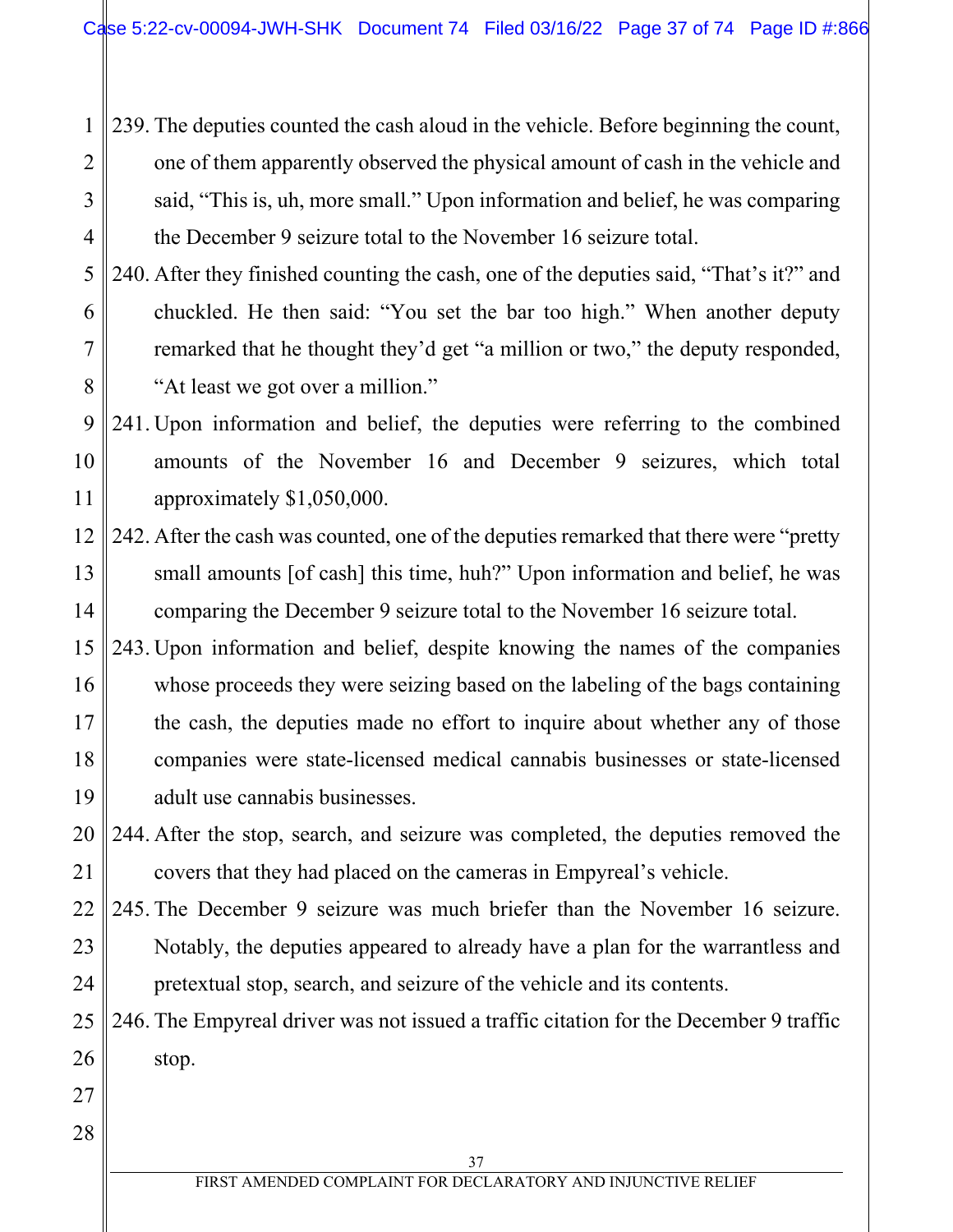1 2 3 4 239. The deputies counted the cash aloud in the vehicle. Before beginning the count, one of them apparently observed the physical amount of cash in the vehicle and said, "This is, uh, more small." Upon information and belief, he was comparing the December 9 seizure total to the November 16 seizure total.

5 6 7 8 240. After they finished counting the cash, one of the deputies said, "That's it?" and chuckled. He then said: "You set the bar too high." When another deputy remarked that he thought they'd get "a million or two," the deputy responded, "At least we got over a million."

9 10 11 241. Upon information and belief, the deputies were referring to the combined amounts of the November 16 and December 9 seizures, which total approximately \$1,050,000.

- 12 13 14 242. After the cash was counted, one of the deputies remarked that there were "pretty small amounts [of cash] this time, huh?" Upon information and belief, he was comparing the December 9 seizure total to the November 16 seizure total.
- 15 16 17 18 19 243. Upon information and belief, despite knowing the names of the companies whose proceeds they were seizing based on the labeling of the bags containing the cash, the deputies made no effort to inquire about whether any of those companies were state-licensed medical cannabis businesses or state-licensed adult use cannabis businesses.

20 21 244. After the stop, search, and seizure was completed, the deputies removed the covers that they had placed on the cameras in Empyreal's vehicle.

22 23 24 245. The December 9 seizure was much briefer than the November 16 seizure. Notably, the deputies appeared to already have a plan for the warrantless and pretextual stop, search, and seizure of the vehicle and its contents.

25 26 246. The Empyreal driver was not issued a traffic citation for the December 9 traffic stop.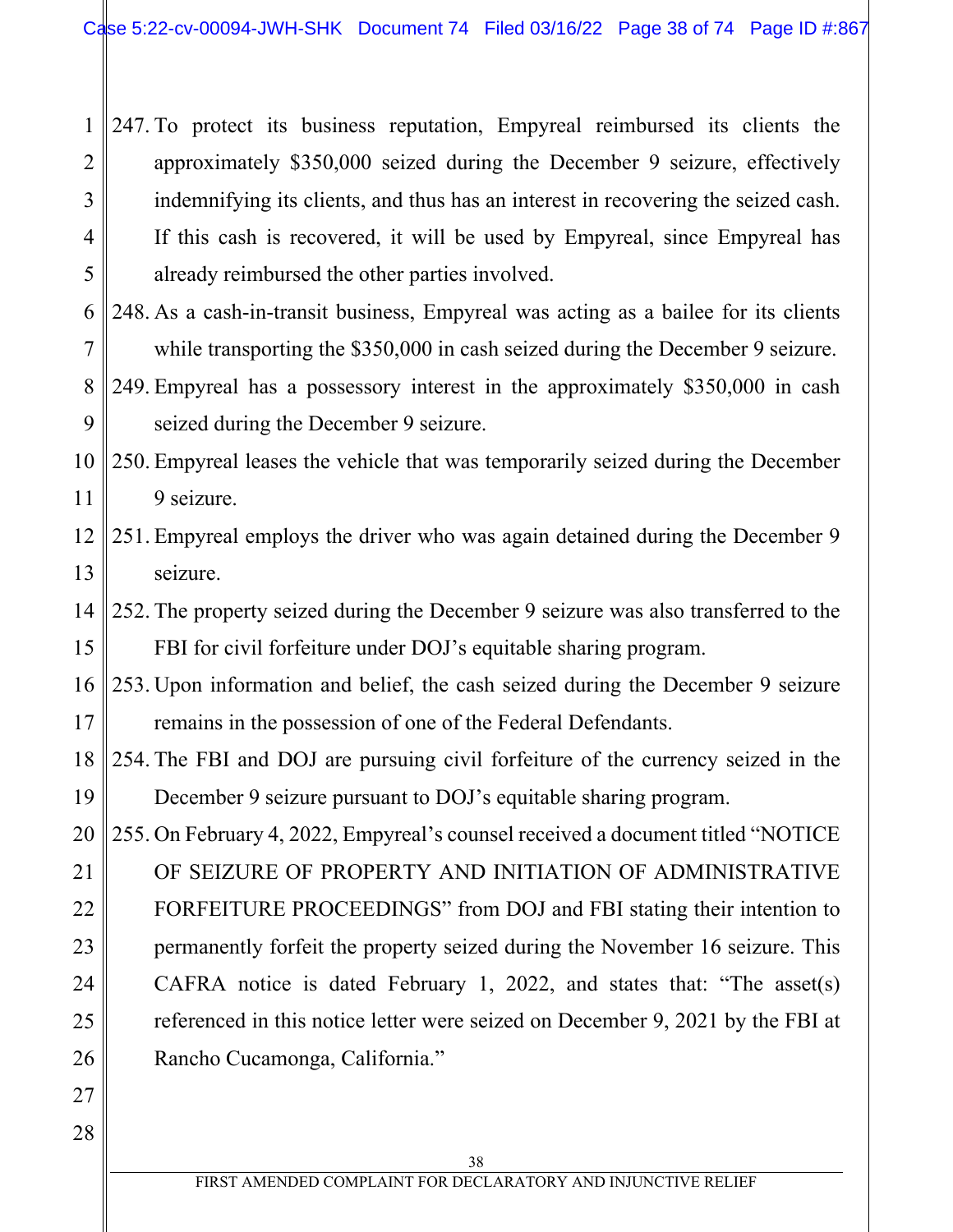1 2 3 4 5 247. To protect its business reputation, Empyreal reimbursed its clients the approximately \$350,000 seized during the December 9 seizure, effectively indemnifying its clients, and thus has an interest in recovering the seized cash. If this cash is recovered, it will be used by Empyreal, since Empyreal has already reimbursed the other parties involved.

- 6 7 248. As a cash-in-transit business, Empyreal was acting as a bailee for its clients while transporting the \$350,000 in cash seized during the December 9 seizure.
- 8 9 249. Empyreal has a possessory interest in the approximately \$350,000 in cash seized during the December 9 seizure.
- 10 11 250. Empyreal leases the vehicle that was temporarily seized during the December 9 seizure.
- 12 13 251. Empyreal employs the driver who was again detained during the December 9 seizure.
- 14 15 252. The property seized during the December 9 seizure was also transferred to the FBI for civil forfeiture under DOJ's equitable sharing program.
- 16 17 253. Upon information and belief, the cash seized during the December 9 seizure remains in the possession of one of the Federal Defendants.
- 18 19 254. The FBI and DOJ are pursuing civil forfeiture of the currency seized in the December 9 seizure pursuant to DOJ's equitable sharing program.

20 21 22 23 24 25 26 255. On February 4, 2022, Empyreal's counsel received a document titled "NOTICE OF SEIZURE OF PROPERTY AND INITIATION OF ADMINISTRATIVE FORFEITURE PROCEEDINGS" from DOJ and FBI stating their intention to permanently forfeit the property seized during the November 16 seizure. This CAFRA notice is dated February 1, 2022, and states that: "The asset(s) referenced in this notice letter were seized on December 9, 2021 by the FBI at Rancho Cucamonga, California."

28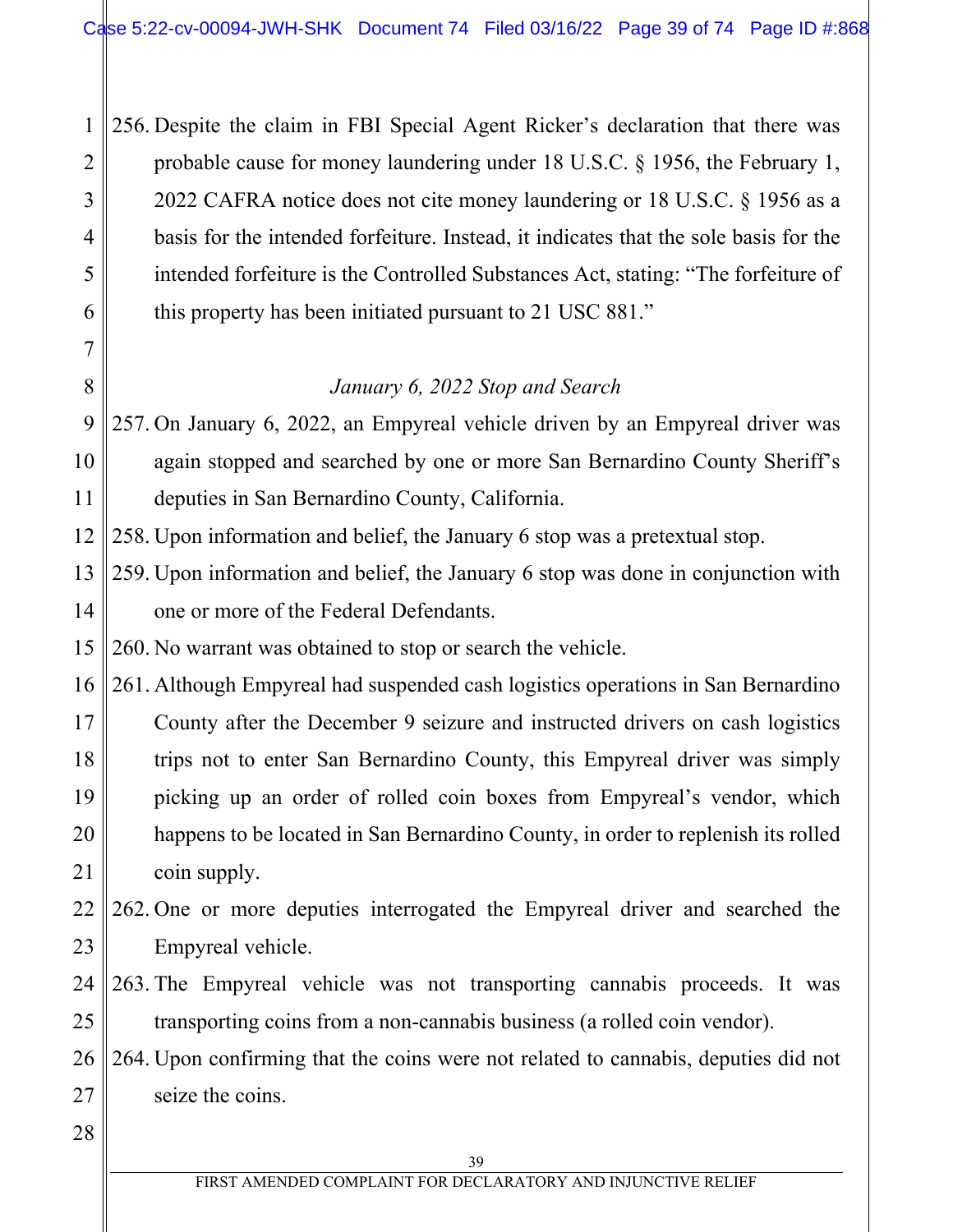1 2 3 4 5 6 256. Despite the claim in FBI Special Agent Ricker's declaration that there was probable cause for money laundering under 18 U.S.C. § 1956, the February 1, 2022 CAFRA notice does not cite money laundering or 18 U.S.C. § 1956 as a basis for the intended forfeiture. Instead, it indicates that the sole basis for the intended forfeiture is the Controlled Substances Act, stating: "The forfeiture of this property has been initiated pursuant to 21 USC 881."

*January 6, 2022 Stop and Search* 

9 10 11 257. On January 6, 2022, an Empyreal vehicle driven by an Empyreal driver was again stopped and searched by one or more San Bernardino County Sheriff's deputies in San Bernardino County, California.

12 258. Upon information and belief, the January 6 stop was a pretextual stop.

13 14 259. Upon information and belief, the January 6 stop was done in conjunction with one or more of the Federal Defendants.

15 260. No warrant was obtained to stop or search the vehicle.

16 17 18 19 20 21 261. Although Empyreal had suspended cash logistics operations in San Bernardino County after the December 9 seizure and instructed drivers on cash logistics trips not to enter San Bernardino County, this Empyreal driver was simply picking up an order of rolled coin boxes from Empyreal's vendor, which happens to be located in San Bernardino County, in order to replenish its rolled coin supply.

22 23 262. One or more deputies interrogated the Empyreal driver and searched the Empyreal vehicle.

- 24 25 263. The Empyreal vehicle was not transporting cannabis proceeds. It was transporting coins from a non-cannabis business (a rolled coin vendor).
- 26 27 264. Upon confirming that the coins were not related to cannabis, deputies did not seize the coins.
- 28

7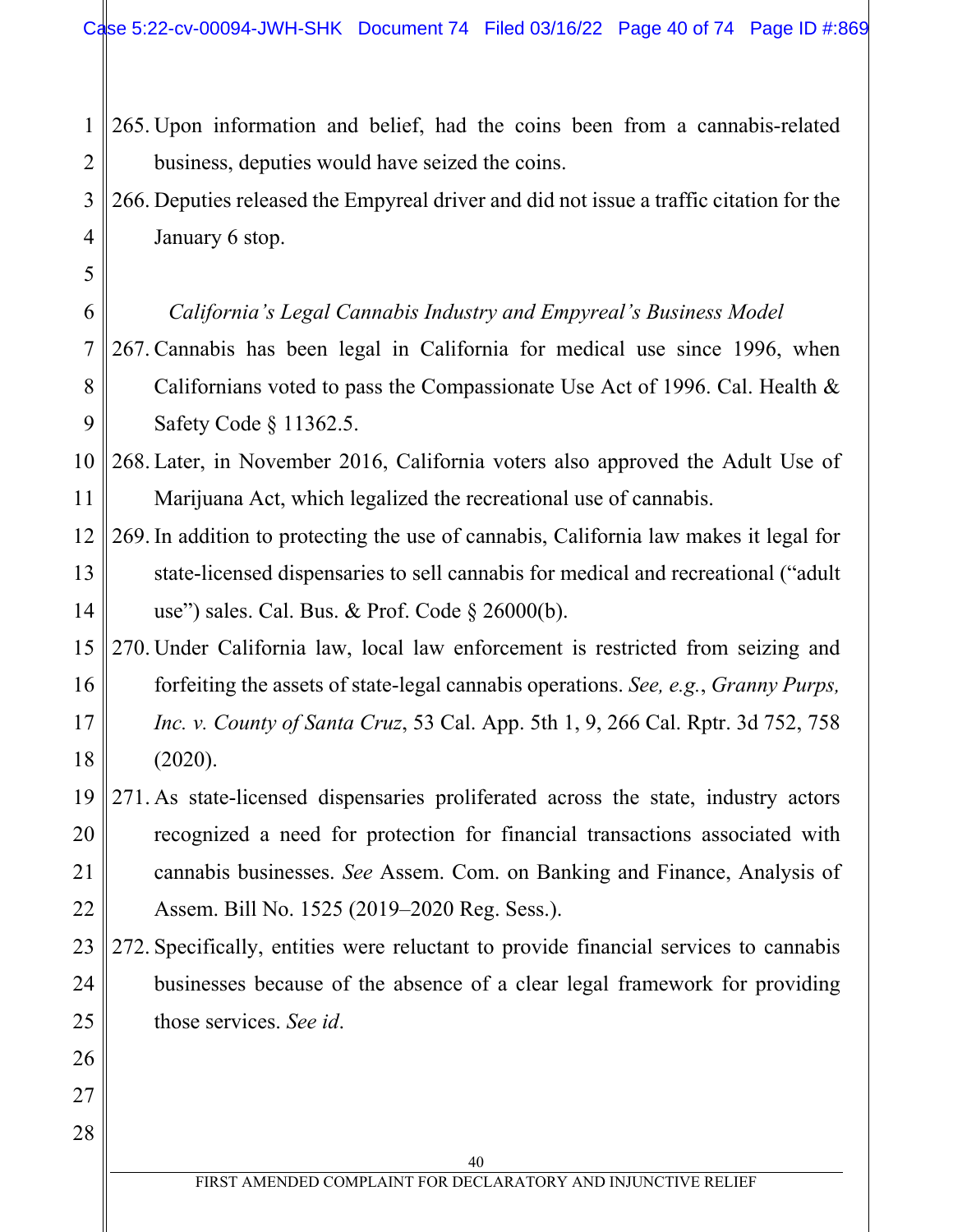- 1 2 265. Upon information and belief, had the coins been from a cannabis-related business, deputies would have seized the coins.
- 3 4 266. Deputies released the Empyreal driver and did not issue a traffic citation for the January 6 stop.
	- *California's Legal Cannabis Industry and Empyreal's Business Model*

5

6

26

27

- 7 8 9 267. Cannabis has been legal in California for medical use since 1996, when Californians voted to pass the Compassionate Use Act of 1996. Cal. Health & Safety Code § 11362.5.
- 10 11 268. Later, in November 2016, California voters also approved the Adult Use of Marijuana Act, which legalized the recreational use of cannabis.
- 12 13 14 269. In addition to protecting the use of cannabis, California law makes it legal for state-licensed dispensaries to sell cannabis for medical and recreational ("adult use") sales. Cal. Bus. & Prof. Code § 26000(b).
- 15 16 17 18 270. Under California law, local law enforcement is restricted from seizing and forfeiting the assets of state-legal cannabis operations. *See, e.g.*, *Granny Purps, Inc. v. County of Santa Cruz*, 53 Cal. App. 5th 1, 9, 266 Cal. Rptr. 3d 752, 758 (2020).
- 19 20 21 22 271. As state-licensed dispensaries proliferated across the state, industry actors recognized a need for protection for financial transactions associated with cannabis businesses. *See* Assem. Com. on Banking and Finance, Analysis of Assem. Bill No. 1525 (2019–2020 Reg. Sess.).
- 23 24 25 272. Specifically, entities were reluctant to provide financial services to cannabis businesses because of the absence of a clear legal framework for providing those services. *See id*.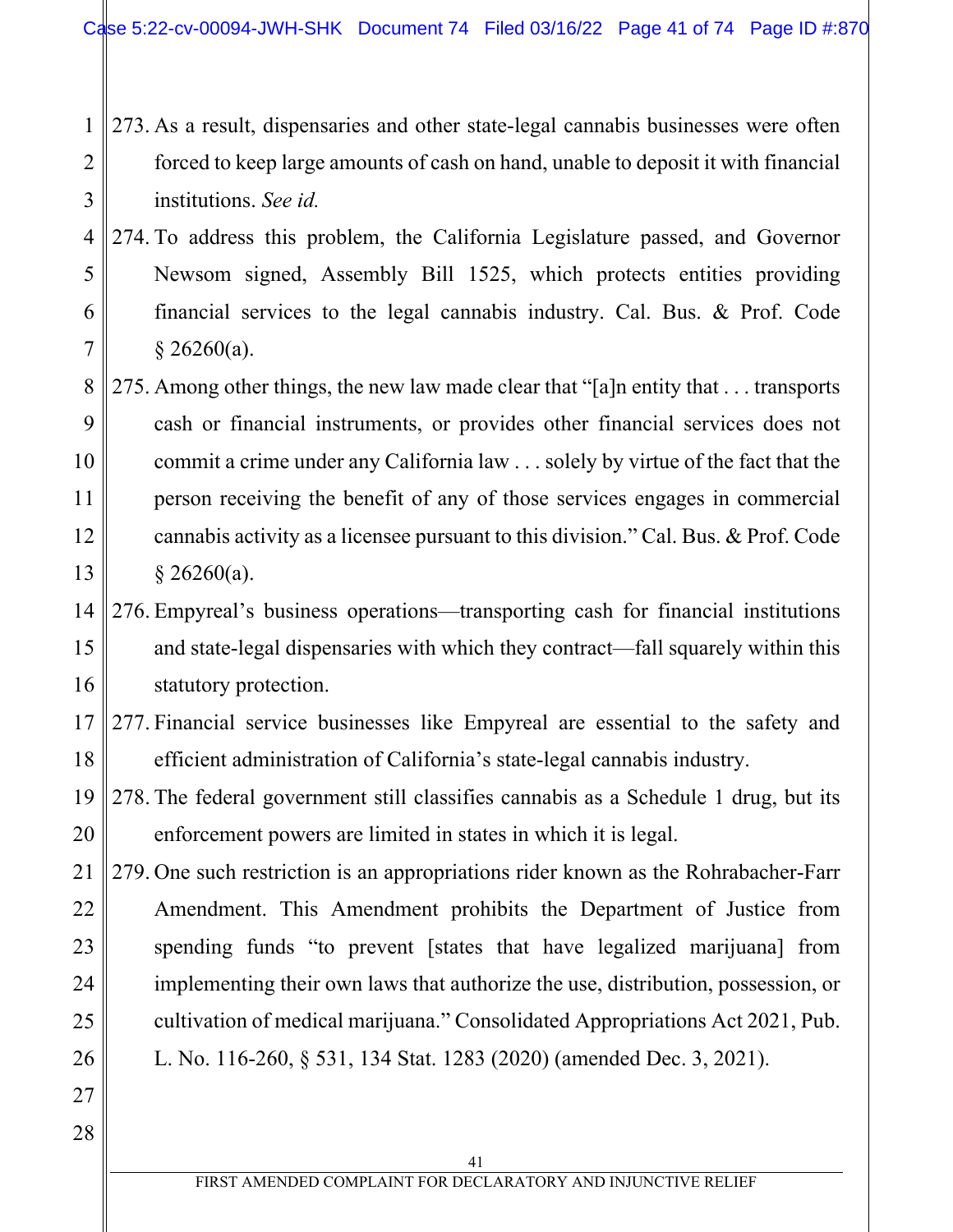- 1 2 3 273. As a result, dispensaries and other state-legal cannabis businesses were often forced to keep large amounts of cash on hand, unable to deposit it with financial institutions. *See id.*
- 4 5 6 7 274. To address this problem, the California Legislature passed, and Governor Newsom signed, Assembly Bill 1525, which protects entities providing financial services to the legal cannabis industry. Cal. Bus. & Prof. Code  $§$  26260(a).
- 8 9 10 11 12 13 275. Among other things, the new law made clear that "[a]n entity that . . . transports cash or financial instruments, or provides other financial services does not commit a crime under any California law . . . solely by virtue of the fact that the person receiving the benefit of any of those services engages in commercial cannabis activity as a licensee pursuant to this division." Cal. Bus. & Prof. Code  $$26260(a).$
- 14 15 16 276. Empyreal's business operations—transporting cash for financial institutions and state-legal dispensaries with which they contract—fall squarely within this statutory protection.
- 17 18 277. Financial service businesses like Empyreal are essential to the safety and efficient administration of California's state-legal cannabis industry.

19 20 278. The federal government still classifies cannabis as a Schedule 1 drug, but its enforcement powers are limited in states in which it is legal.

21 22 23 24 25 26 279. One such restriction is an appropriations rider known as the Rohrabacher-Farr Amendment. This Amendment prohibits the Department of Justice from spending funds "to prevent [states that have legalized marijuana] from implementing their own laws that authorize the use, distribution, possession, or cultivation of medical marijuana." Consolidated Appropriations Act 2021, Pub. L. No. 116-260, § 531, 134 Stat. 1283 (2020) (amended Dec. 3, 2021).

28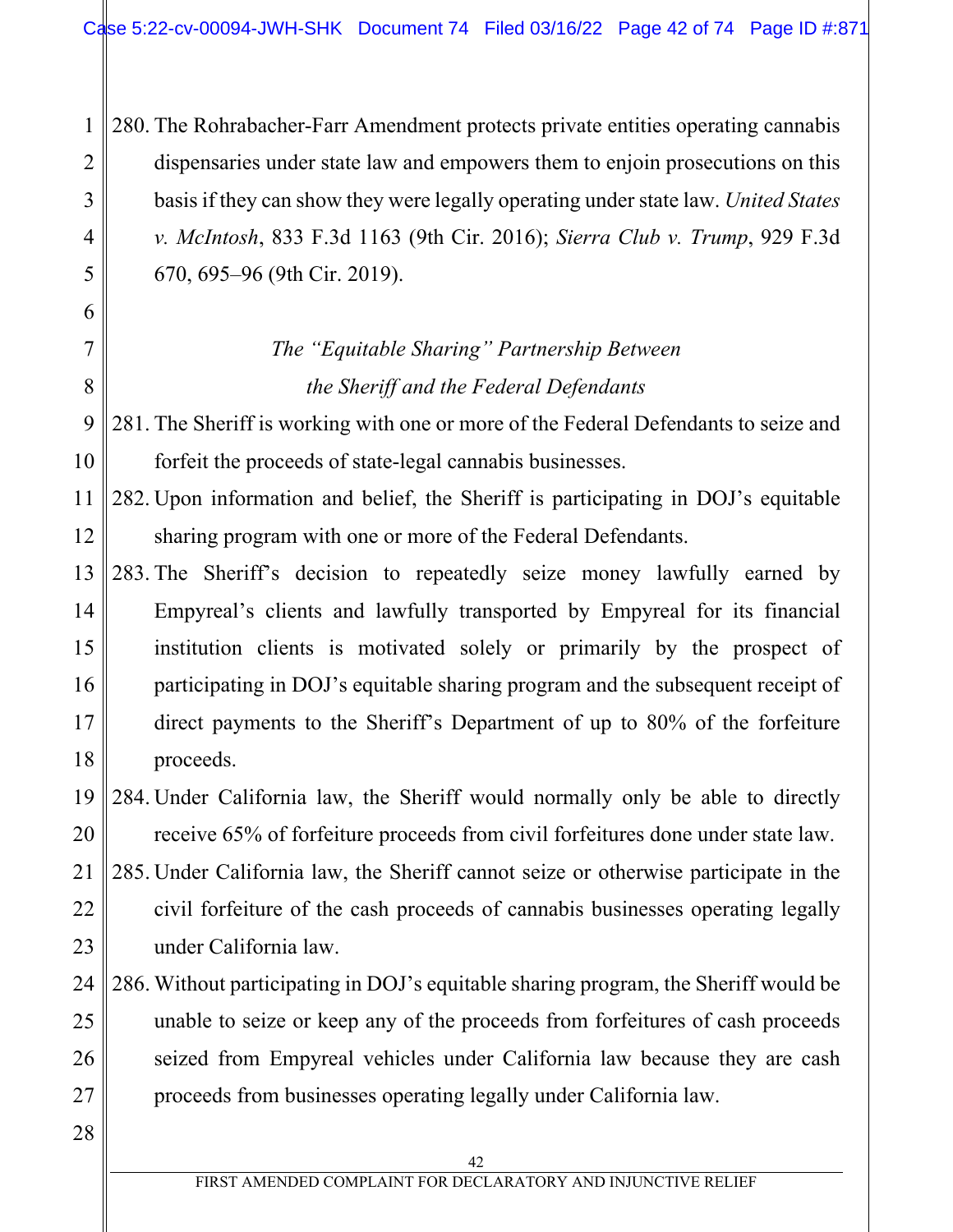280. The Rohrabacher-Farr Amendment protects private entities operating cannabis dispensaries under state law and empowers them to enjoin prosecutions on this basis if they can show they were legally operating under state law. *United States v. McIntosh*, 833 F.3d 1163 (9th Cir. 2016); *Sierra Club v. Trump*, 929 F.3d 670, 695–96 (9th Cir. 2019).

# *The "Equitable Sharing" Partnership Between the Sheriff and the Federal Defendants*

9 10 281. The Sheriff is working with one or more of the Federal Defendants to seize and forfeit the proceeds of state-legal cannabis businesses.

11 12 282. Upon information and belief, the Sheriff is participating in DOJ's equitable sharing program with one or more of the Federal Defendants.

13 14 15 16 17 18 283. The Sheriff's decision to repeatedly seize money lawfully earned by Empyreal's clients and lawfully transported by Empyreal for its financial institution clients is motivated solely or primarily by the prospect of participating in DOJ's equitable sharing program and the subsequent receipt of direct payments to the Sheriff's Department of up to 80% of the forfeiture proceeds.

19 20 284. Under California law, the Sheriff would normally only be able to directly receive 65% of forfeiture proceeds from civil forfeitures done under state law.

21 22 23 285. Under California law, the Sheriff cannot seize or otherwise participate in the civil forfeiture of the cash proceeds of cannabis businesses operating legally under California law.

#### 24 25 26 27 286. Without participating in DOJ's equitable sharing program, the Sheriff would be unable to seize or keep any of the proceeds from forfeitures of cash proceeds seized from Empyreal vehicles under California law because they are cash proceeds from businesses operating legally under California law.

28

1

2

3

4

5

6

7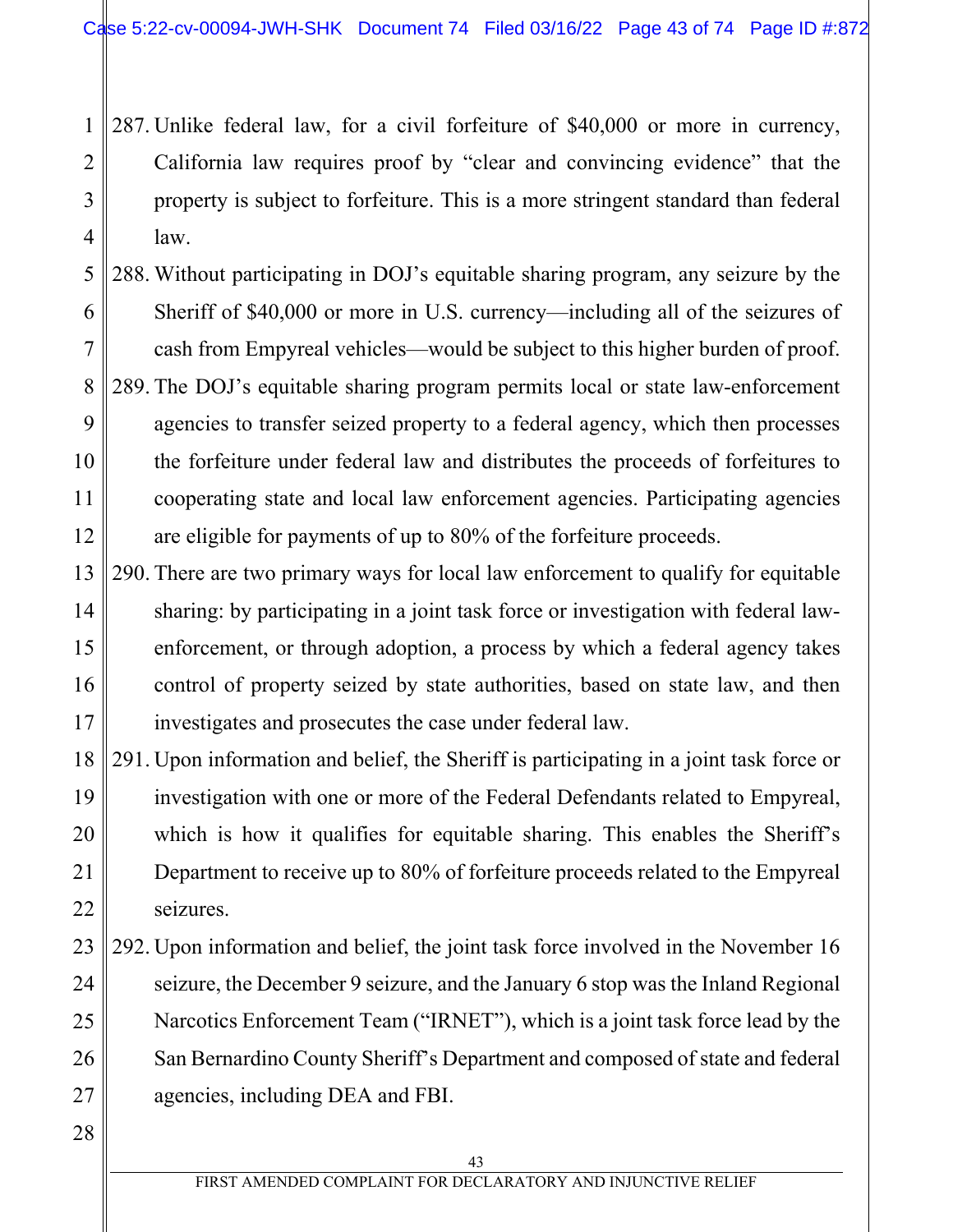1 2 3 4 287. Unlike federal law, for a civil forfeiture of \$40,000 or more in currency, California law requires proof by "clear and convincing evidence" that the property is subject to forfeiture. This is a more stringent standard than federal law.

5 6 7 8 9 10 11 12 288. Without participating in DOJ's equitable sharing program, any seizure by the Sheriff of \$40,000 or more in U.S. currency—including all of the seizures of cash from Empyreal vehicles—would be subject to this higher burden of proof. 289. The DOJ's equitable sharing program permits local or state law-enforcement agencies to transfer seized property to a federal agency, which then processes the forfeiture under federal law and distributes the proceeds of forfeitures to cooperating state and local law enforcement agencies. Participating agencies are eligible for payments of up to 80% of the forfeiture proceeds.

13 14 15 16 17 290. There are two primary ways for local law enforcement to qualify for equitable sharing: by participating in a joint task force or investigation with federal lawenforcement, or through adoption, a process by which a federal agency takes control of property seized by state authorities, based on state law, and then investigates and prosecutes the case under federal law.

18 19 20 21 22 291. Upon information and belief, the Sheriff is participating in a joint task force or investigation with one or more of the Federal Defendants related to Empyreal, which is how it qualifies for equitable sharing. This enables the Sheriff's Department to receive up to 80% of forfeiture proceeds related to the Empyreal seizures.

23 24 25 26 27 292. Upon information and belief, the joint task force involved in the November 16 seizure, the December 9 seizure, and the January 6 stop was the Inland Regional Narcotics Enforcement Team ("IRNET"), which is a joint task force lead by the San Bernardino County Sheriff's Department and composed of state and federal agencies, including DEA and FBI.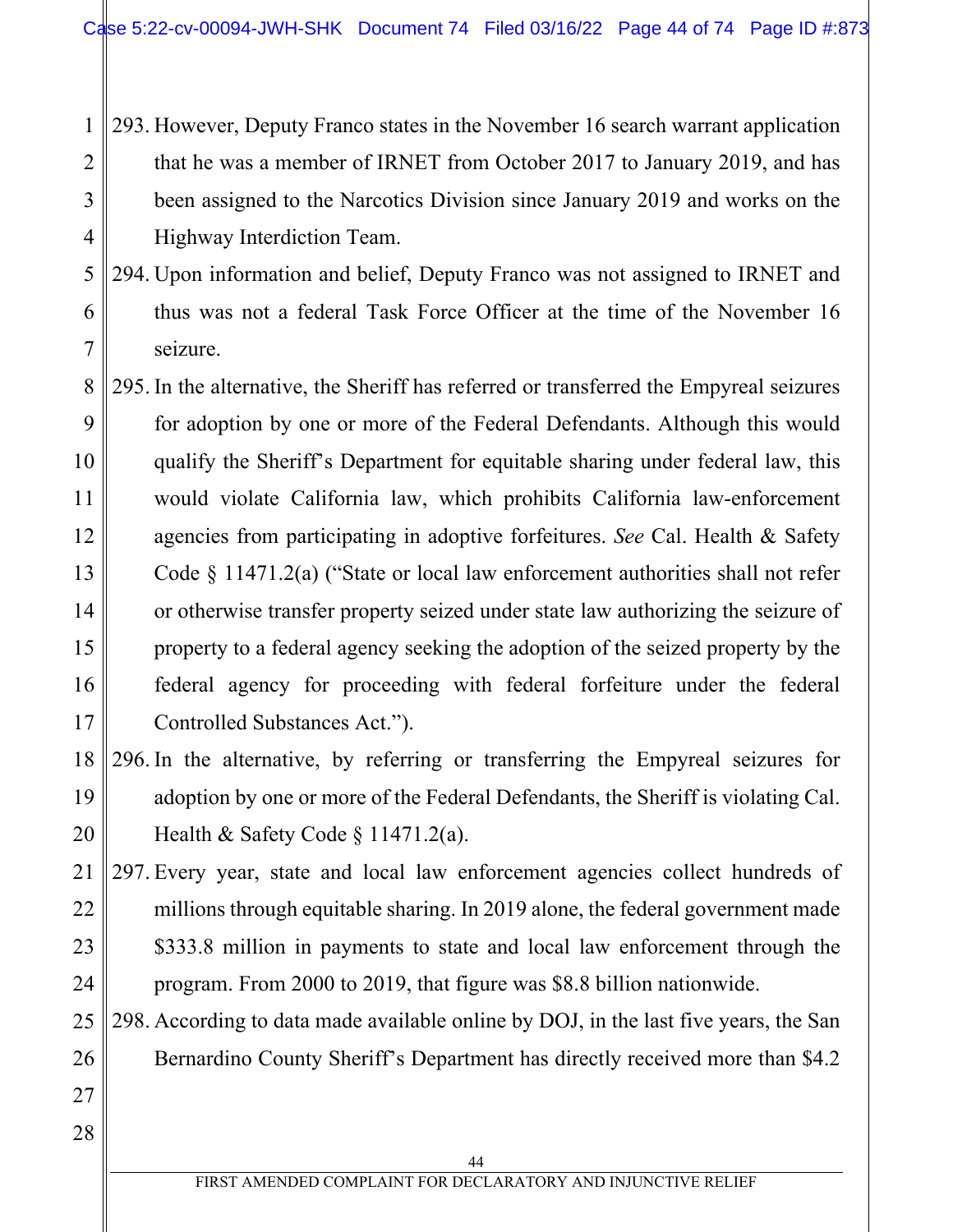- 1 2 3 4 293. However, Deputy Franco states in the November 16 search warrant application that he was a member of IRNET from October 2017 to January 2019, and has been assigned to the Narcotics Division since January 2019 and works on the Highway Interdiction Team.
- 5 6 7 294. Upon information and belief, Deputy Franco was not assigned to IRNET and thus was not a federal Task Force Officer at the time of the November 16 seizure.
- 8 9 10 11 12 13 14 15 16 17 295. In the alternative, the Sheriff has referred or transferred the Empyreal seizures for adoption by one or more of the Federal Defendants. Although this would qualify the Sheriff's Department for equitable sharing under federal law, this would violate California law, which prohibits California law-enforcement agencies from participating in adoptive forfeitures. *See* Cal. Health & Safety Code § 11471.2(a) ("State or local law enforcement authorities shall not refer or otherwise transfer property seized under state law authorizing the seizure of property to a federal agency seeking the adoption of the seized property by the federal agency for proceeding with federal forfeiture under the federal Controlled Substances Act.").
- 18 19 20 296. In the alternative, by referring or transferring the Empyreal seizures for adoption by one or more of the Federal Defendants, the Sheriff is violating Cal. Health & Safety Code  $\S$  11471.2(a).
- 21 22 23 24 297. Every year, state and local law enforcement agencies collect hundreds of millions through equitable sharing. In 2019 alone, the federal government made \$333.8 million in payments to state and local law enforcement through the program. From 2000 to 2019, that figure was \$8.8 billion nationwide.
- 25 26 298. According to data made available online by DOJ, in the last five years, the San Bernardino County Sheriff's Department has directly received more than \$4.2
- 28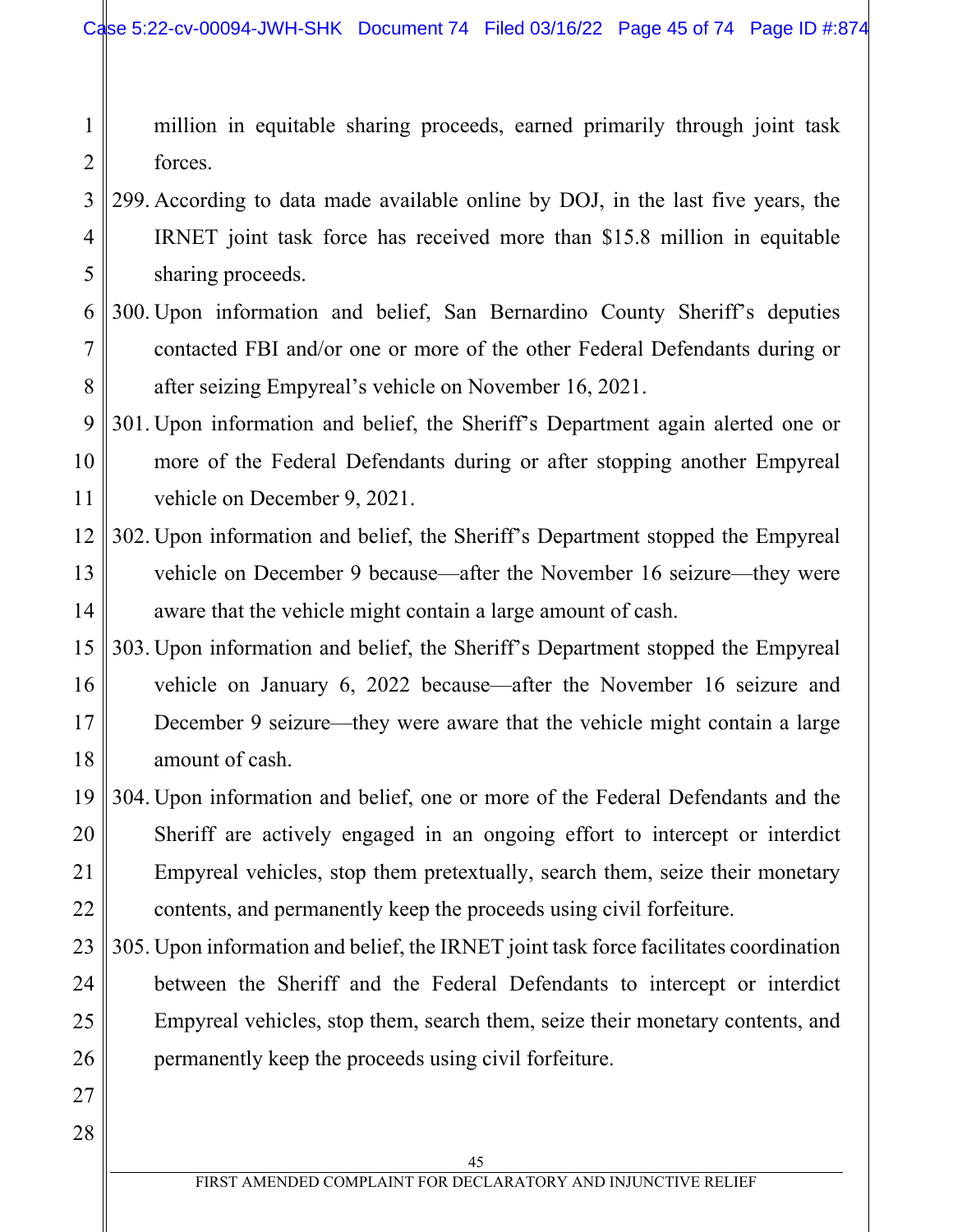1 2 million in equitable sharing proceeds, earned primarily through joint task forces.

- 3 4 5 299. According to data made available online by DOJ, in the last five years, the IRNET joint task force has received more than \$15.8 million in equitable sharing proceeds.
- 6 7 8 300. Upon information and belief, San Bernardino County Sheriff's deputies contacted FBI and/or one or more of the other Federal Defendants during or after seizing Empyreal's vehicle on November 16, 2021.

9 10 11 301. Upon information and belief, the Sheriff's Department again alerted one or more of the Federal Defendants during or after stopping another Empyreal vehicle on December 9, 2021.

- 12 13 14 302. Upon information and belief, the Sheriff's Department stopped the Empyreal vehicle on December 9 because—after the November 16 seizure—they were aware that the vehicle might contain a large amount of cash.
- 15 16 17 18 303. Upon information and belief, the Sheriff's Department stopped the Empyreal vehicle on January 6, 2022 because—after the November 16 seizure and December 9 seizure—they were aware that the vehicle might contain a large amount of cash.
- 19 20 21 22 304. Upon information and belief, one or more of the Federal Defendants and the Sheriff are actively engaged in an ongoing effort to intercept or interdict Empyreal vehicles, stop them pretextually, search them, seize their monetary contents, and permanently keep the proceeds using civil forfeiture.
- 23 24 25 26 305. Upon information and belief, the IRNET joint task force facilitates coordination between the Sheriff and the Federal Defendants to intercept or interdict Empyreal vehicles, stop them, search them, seize their monetary contents, and permanently keep the proceeds using civil forfeiture.
- 27 28
- 45 FIRST AMENDED COMPLAINT FOR DECLARATORY AND INJUNCTIVE RELIEF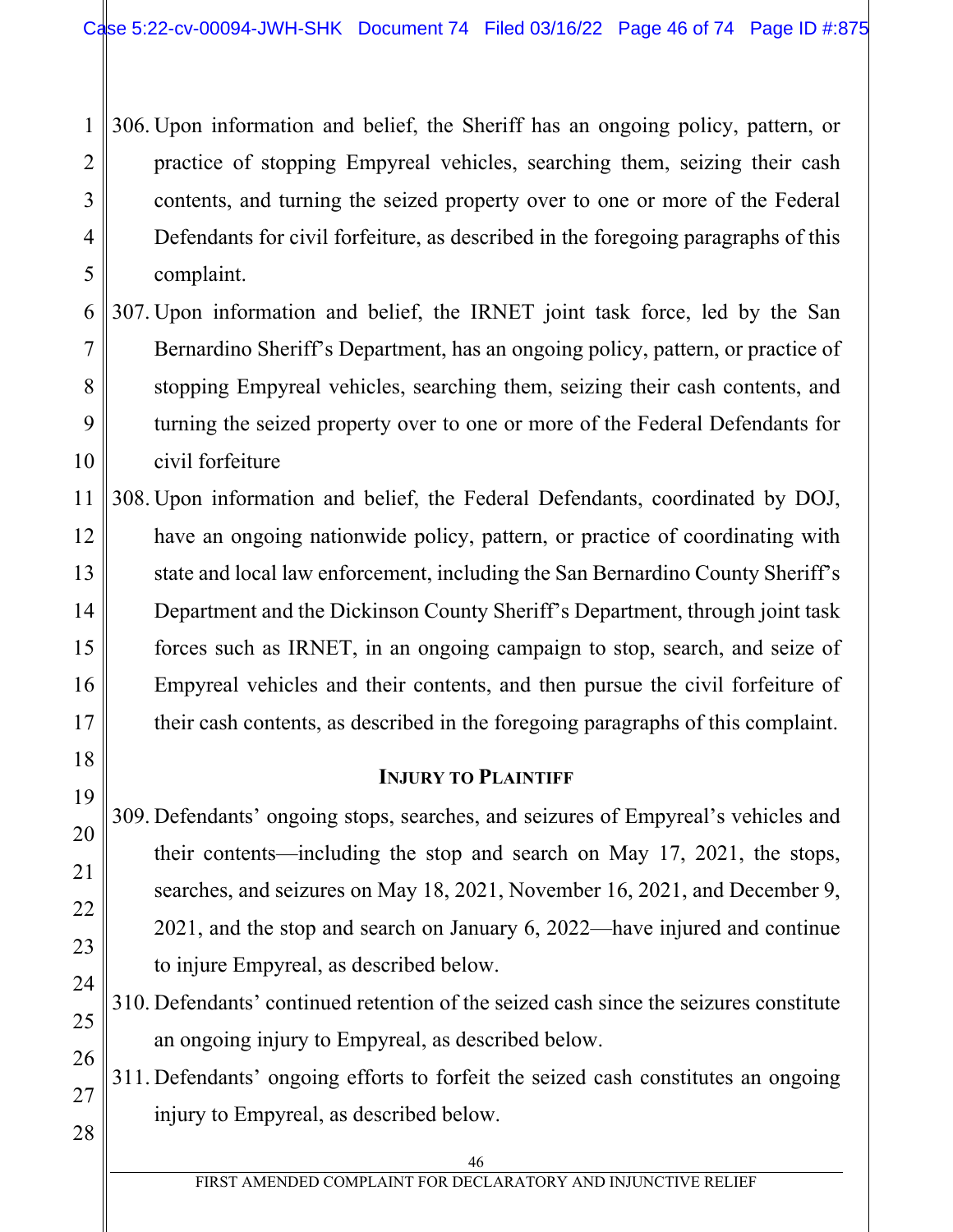1 2 3 4 5 306. Upon information and belief, the Sheriff has an ongoing policy, pattern, or practice of stopping Empyreal vehicles, searching them, seizing their cash contents, and turning the seized property over to one or more of the Federal Defendants for civil forfeiture, as described in the foregoing paragraphs of this complaint.

6 7 8 9 10 307. Upon information and belief, the IRNET joint task force, led by the San Bernardino Sheriff's Department, has an ongoing policy, pattern, or practice of stopping Empyreal vehicles, searching them, seizing their cash contents, and turning the seized property over to one or more of the Federal Defendants for civil forfeiture

11 12 13 14 15 16 17 308. Upon information and belief, the Federal Defendants, coordinated by DOJ, have an ongoing nationwide policy, pattern, or practice of coordinating with state and local law enforcement, including the San Bernardino County Sheriff's Department and the Dickinson County Sheriff's Department, through joint task forces such as IRNET, in an ongoing campaign to stop, search, and seize of Empyreal vehicles and their contents, and then pursue the civil forfeiture of their cash contents, as described in the foregoing paragraphs of this complaint.

## **INJURY TO PLAINTIFF**

309. Defendants' ongoing stops, searches, and seizures of Empyreal's vehicles and their contents—including the stop and search on May 17, 2021, the stops, searches, and seizures on May 18, 2021, November 16, 2021, and December 9, 2021, and the stop and search on January 6, 2022—have injured and continue to injure Empyreal, as described below.

310. Defendants' continued retention of the seized cash since the seizures constitute an ongoing injury to Empyreal, as described below.

26 27 311. Defendants' ongoing efforts to forfeit the seized cash constitutes an ongoing injury to Empyreal, as described below.

18

19

20

21

22

23

24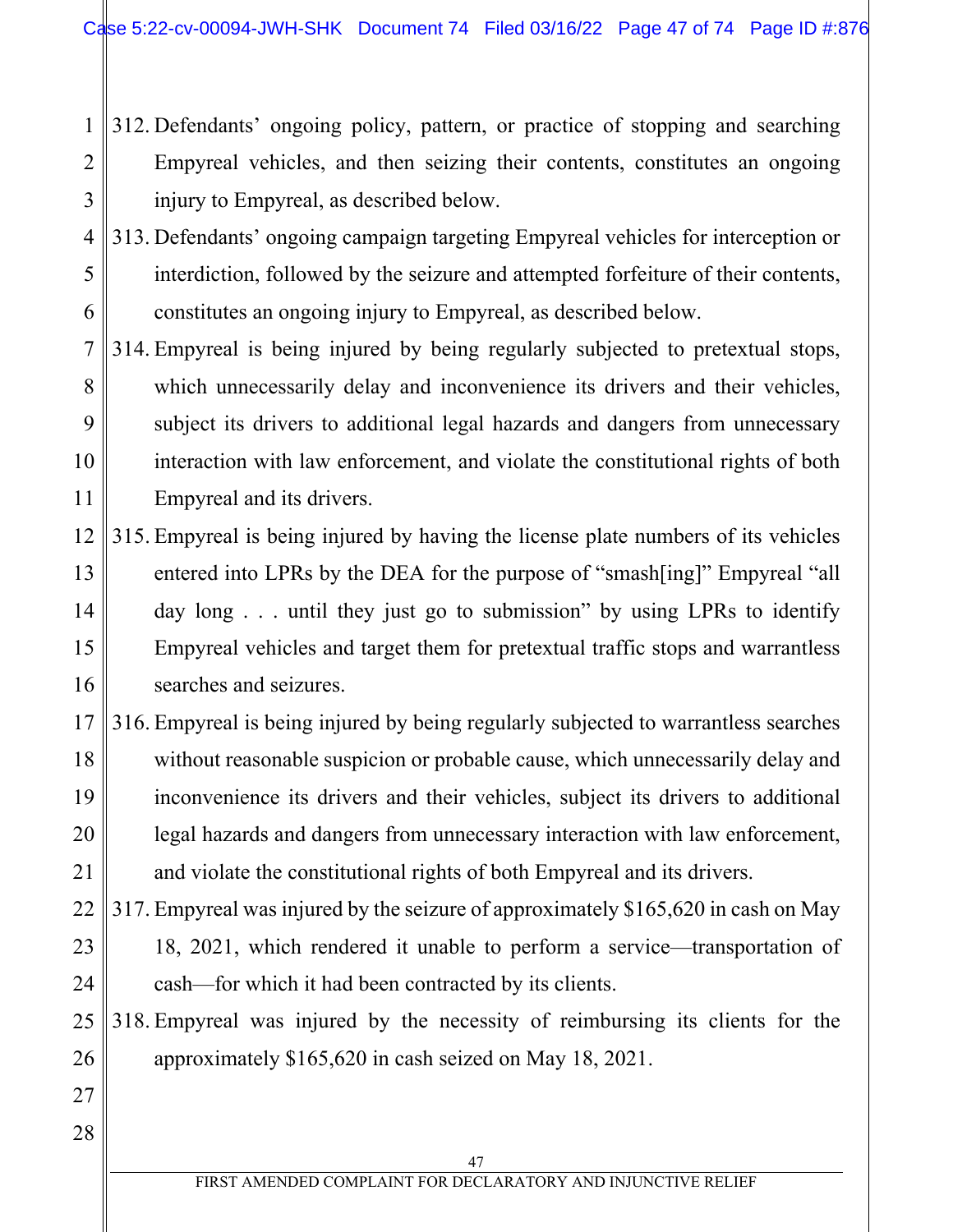- 1 2 3 312. Defendants' ongoing policy, pattern, or practice of stopping and searching Empyreal vehicles, and then seizing their contents, constitutes an ongoing injury to Empyreal, as described below.
- 4 5 6 313. Defendants' ongoing campaign targeting Empyreal vehicles for interception or interdiction, followed by the seizure and attempted forfeiture of their contents, constitutes an ongoing injury to Empyreal, as described below.
- 7 8 9 10 11 314. Empyreal is being injured by being regularly subjected to pretextual stops, which unnecessarily delay and inconvenience its drivers and their vehicles, subject its drivers to additional legal hazards and dangers from unnecessary interaction with law enforcement, and violate the constitutional rights of both Empyreal and its drivers.
- 12 13 14 15 16 315. Empyreal is being injured by having the license plate numbers of its vehicles entered into LPRs by the DEA for the purpose of "smash[ing]" Empyreal "all day long . . . until they just go to submission" by using LPRs to identify Empyreal vehicles and target them for pretextual traffic stops and warrantless searches and seizures.
- 17 18 19 20 21 316. Empyreal is being injured by being regularly subjected to warrantless searches without reasonable suspicion or probable cause, which unnecessarily delay and inconvenience its drivers and their vehicles, subject its drivers to additional legal hazards and dangers from unnecessary interaction with law enforcement, and violate the constitutional rights of both Empyreal and its drivers.
- 22 23 24 317. Empyreal was injured by the seizure of approximately \$165,620 in cash on May 18, 2021, which rendered it unable to perform a service—transportation of cash—for which it had been contracted by its clients.
- 25 26 318. Empyreal was injured by the necessity of reimbursing its clients for the approximately \$165,620 in cash seized on May 18, 2021.
- 27 28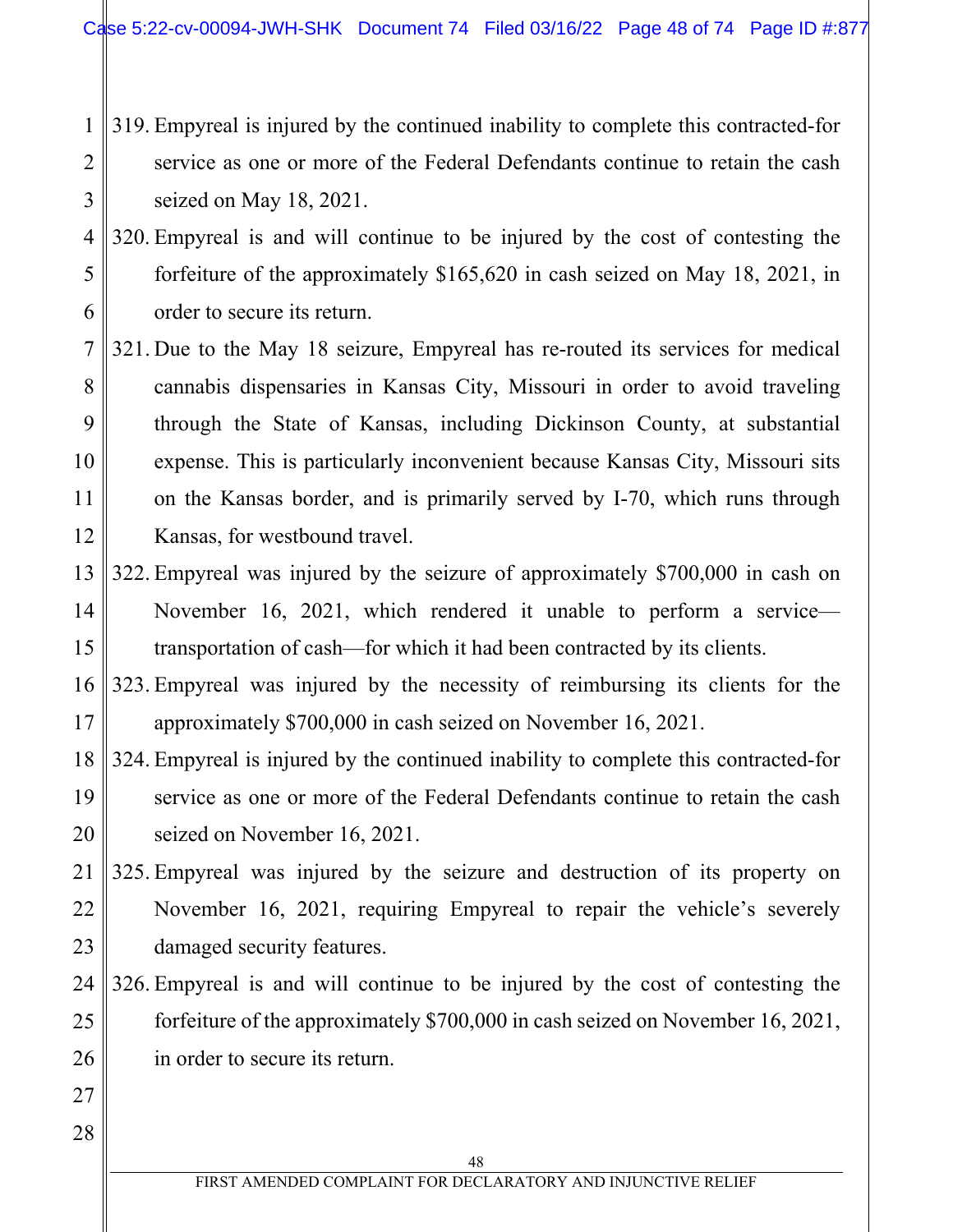- 1 2 3 319. Empyreal is injured by the continued inability to complete this contracted-for service as one or more of the Federal Defendants continue to retain the cash seized on May 18, 2021.
- 4 5 6 320. Empyreal is and will continue to be injured by the cost of contesting the forfeiture of the approximately \$165,620 in cash seized on May 18, 2021, in order to secure its return.
- 7 8 9 10 11 12 321. Due to the May 18 seizure, Empyreal has re-routed its services for medical cannabis dispensaries in Kansas City, Missouri in order to avoid traveling through the State of Kansas, including Dickinson County, at substantial expense. This is particularly inconvenient because Kansas City, Missouri sits on the Kansas border, and is primarily served by I-70, which runs through Kansas, for westbound travel.
- 13 14 15 322. Empyreal was injured by the seizure of approximately \$700,000 in cash on November 16, 2021, which rendered it unable to perform a service transportation of cash—for which it had been contracted by its clients.
- 16 17 323. Empyreal was injured by the necessity of reimbursing its clients for the approximately \$700,000 in cash seized on November 16, 2021.
- 18 19 20 324. Empyreal is injured by the continued inability to complete this contracted-for service as one or more of the Federal Defendants continue to retain the cash seized on November 16, 2021.
- 21 22 23 325. Empyreal was injured by the seizure and destruction of its property on November 16, 2021, requiring Empyreal to repair the vehicle's severely damaged security features.
- 24 25 26 326. Empyreal is and will continue to be injured by the cost of contesting the forfeiture of the approximately \$700,000 in cash seized on November 16, 2021, in order to secure its return.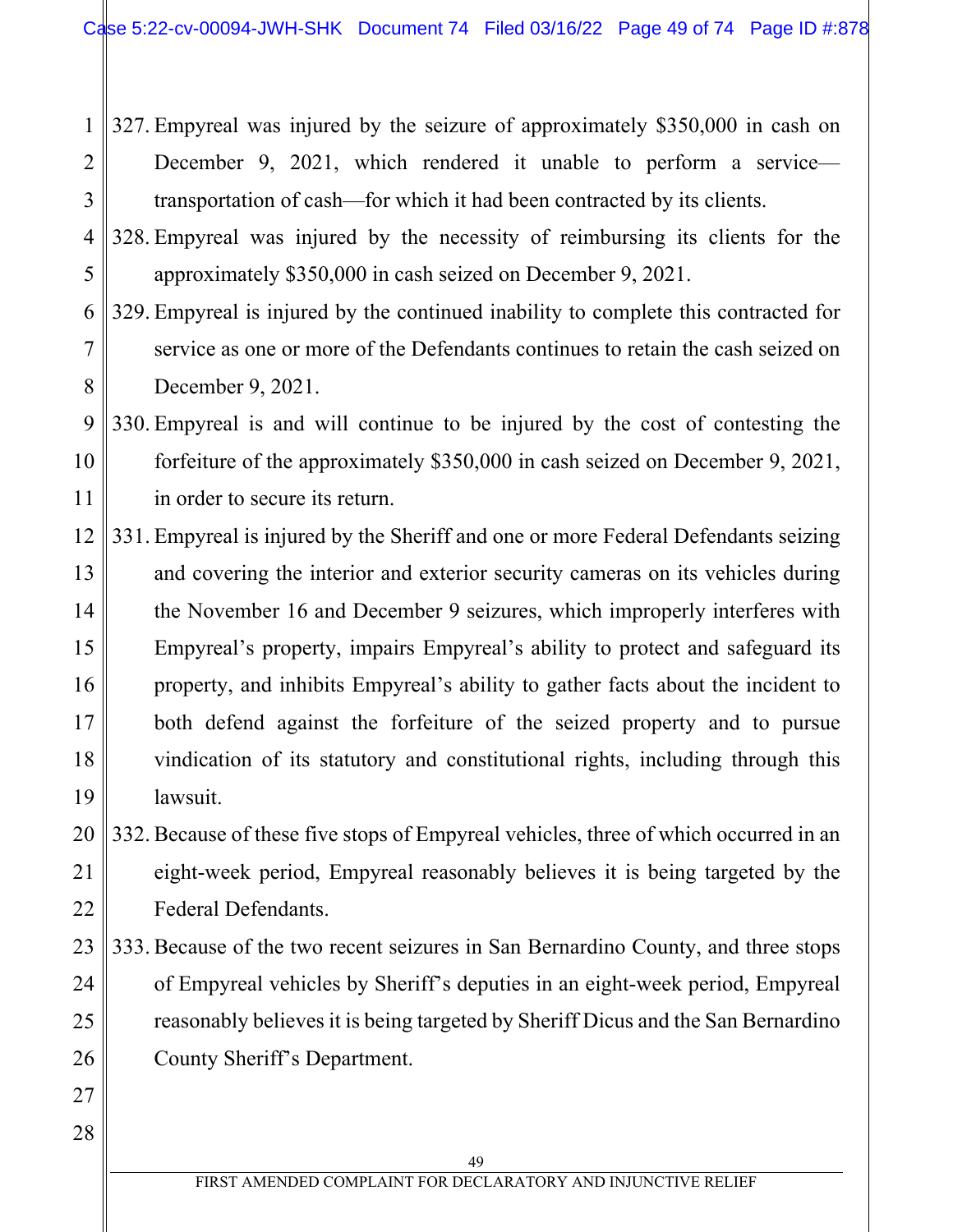1 2 3 327. Empyreal was injured by the seizure of approximately \$350,000 in cash on December 9, 2021, which rendered it unable to perform a service transportation of cash—for which it had been contracted by its clients.

- 4 5 328. Empyreal was injured by the necessity of reimbursing its clients for the approximately \$350,000 in cash seized on December 9, 2021.
- 6 7 8 329. Empyreal is injured by the continued inability to complete this contracted for service as one or more of the Defendants continues to retain the cash seized on December 9, 2021.
- 9 10 11 330. Empyreal is and will continue to be injured by the cost of contesting the forfeiture of the approximately \$350,000 in cash seized on December 9, 2021, in order to secure its return.
- 12 13 14 15 16 17 18 19 331. Empyreal is injured by the Sheriff and one or more Federal Defendants seizing and covering the interior and exterior security cameras on its vehicles during the November 16 and December 9 seizures, which improperly interferes with Empyreal's property, impairs Empyreal's ability to protect and safeguard its property, and inhibits Empyreal's ability to gather facts about the incident to both defend against the forfeiture of the seized property and to pursue vindication of its statutory and constitutional rights, including through this lawsuit.
- 20 21 22 332. Because of these five stops of Empyreal vehicles, three of which occurred in an eight-week period, Empyreal reasonably believes it is being targeted by the Federal Defendants.
- 23 24 25 26 333. Because of the two recent seizures in San Bernardino County, and three stops of Empyreal vehicles by Sheriff's deputies in an eight-week period, Empyreal reasonably believes it is being targeted by Sheriff Dicus and the San Bernardino County Sheriff's Department.
- 28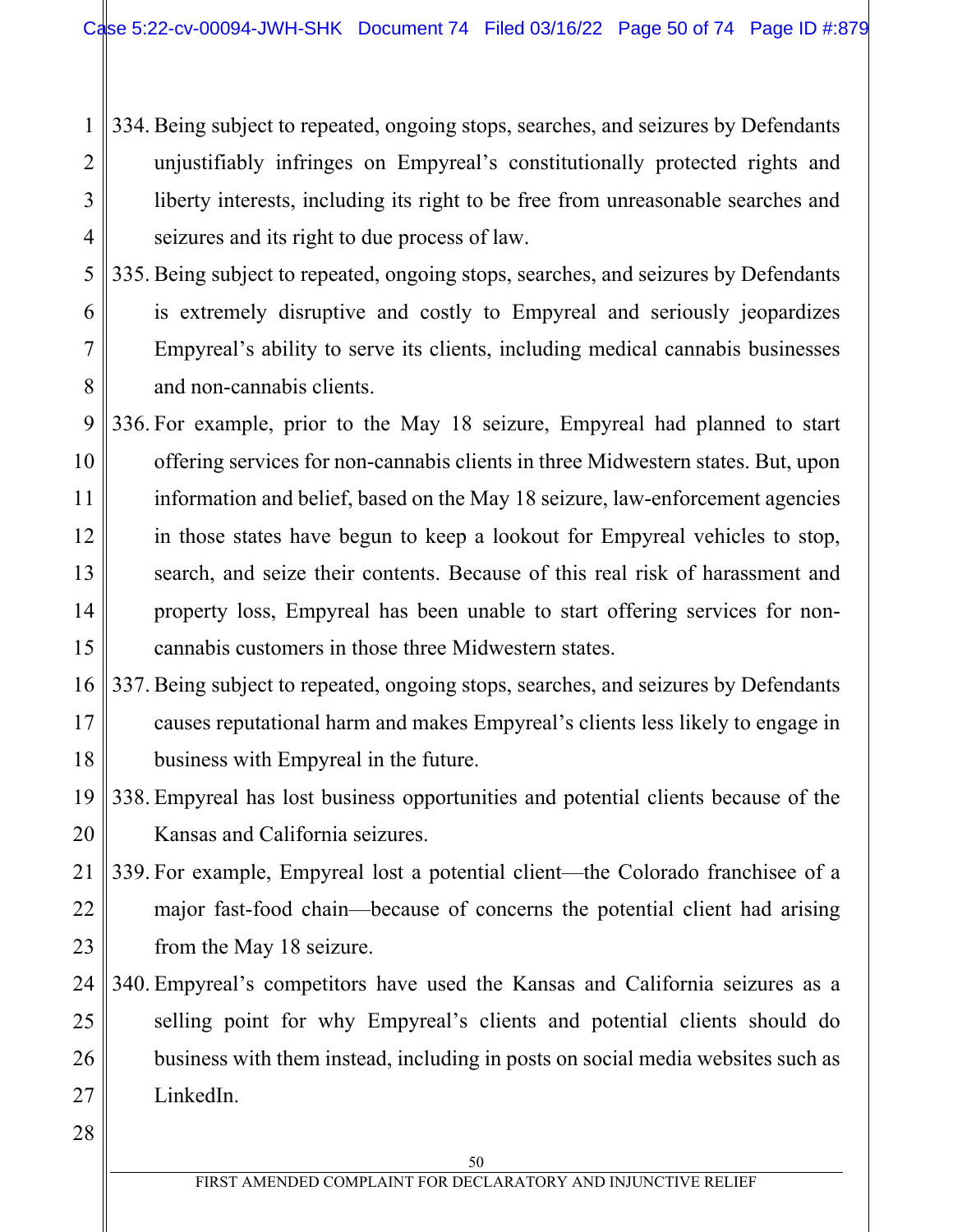1 2 3 4 334. Being subject to repeated, ongoing stops, searches, and seizures by Defendants unjustifiably infringes on Empyreal's constitutionally protected rights and liberty interests, including its right to be free from unreasonable searches and seizures and its right to due process of law.

- 5 6 7 8 335. Being subject to repeated, ongoing stops, searches, and seizures by Defendants is extremely disruptive and costly to Empyreal and seriously jeopardizes Empyreal's ability to serve its clients, including medical cannabis businesses and non-cannabis clients.
- 9 10 11 12 13 14 15 336. For example, prior to the May 18 seizure, Empyreal had planned to start offering services for non-cannabis clients in three Midwestern states. But, upon information and belief, based on the May 18 seizure, law-enforcement agencies in those states have begun to keep a lookout for Empyreal vehicles to stop, search, and seize their contents. Because of this real risk of harassment and property loss, Empyreal has been unable to start offering services for noncannabis customers in those three Midwestern states.
- 16 17 18 337. Being subject to repeated, ongoing stops, searches, and seizures by Defendants causes reputational harm and makes Empyreal's clients less likely to engage in business with Empyreal in the future.
- 19 20 338. Empyreal has lost business opportunities and potential clients because of the Kansas and California seizures.
- 21 22 23 339. For example, Empyreal lost a potential client—the Colorado franchisee of a major fast-food chain—because of concerns the potential client had arising from the May 18 seizure.
- 24 25 26 27 340. Empyreal's competitors have used the Kansas and California seizures as a selling point for why Empyreal's clients and potential clients should do business with them instead, including in posts on social media websites such as LinkedIn.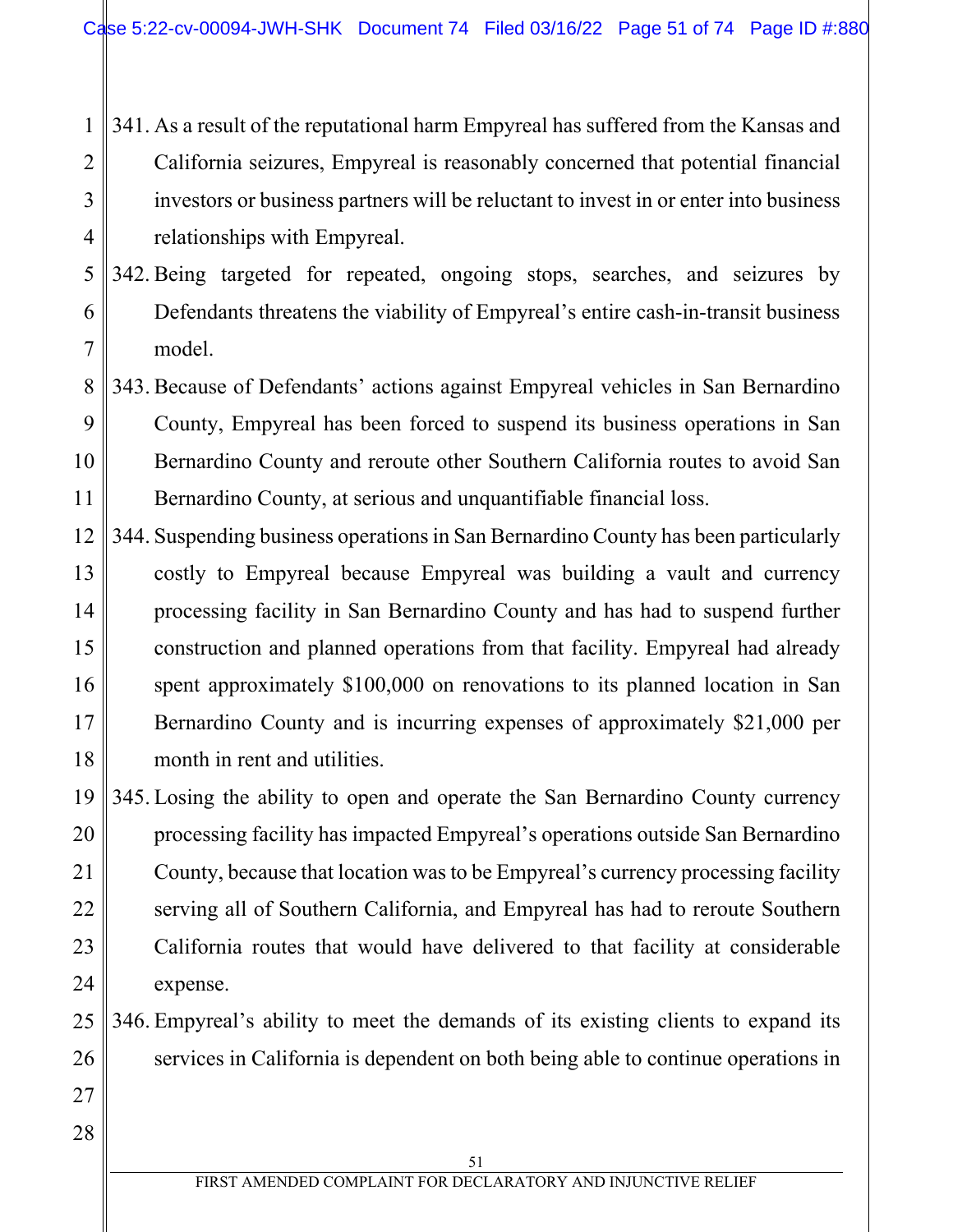#### 1 2 3 4 341. As a result of the reputational harm Empyreal has suffered from the Kansas and California seizures, Empyreal is reasonably concerned that potential financial investors or business partners will be reluctant to invest in or enter into business relationships with Empyreal.

5 6 7 342. Being targeted for repeated, ongoing stops, searches, and seizures by Defendants threatens the viability of Empyreal's entire cash-in-transit business model.

- 8 9 10 11 343. Because of Defendants' actions against Empyreal vehicles in San Bernardino County, Empyreal has been forced to suspend its business operations in San Bernardino County and reroute other Southern California routes to avoid San Bernardino County, at serious and unquantifiable financial loss.
- 12 13 14 15 16 17 18 344. Suspending business operations in San Bernardino County has been particularly costly to Empyreal because Empyreal was building a vault and currency processing facility in San Bernardino County and has had to suspend further construction and planned operations from that facility. Empyreal had already spent approximately \$100,000 on renovations to its planned location in San Bernardino County and is incurring expenses of approximately \$21,000 per month in rent and utilities.

19 20 21 22 23 24 345. Losing the ability to open and operate the San Bernardino County currency processing facility has impacted Empyreal's operations outside San Bernardino County, because that location was to be Empyreal's currency processing facility serving all of Southern California, and Empyreal has had to reroute Southern California routes that would have delivered to that facility at considerable expense.

- 25 26 346. Empyreal's ability to meet the demands of its existing clients to expand its services in California is dependent on both being able to continue operations in
- 28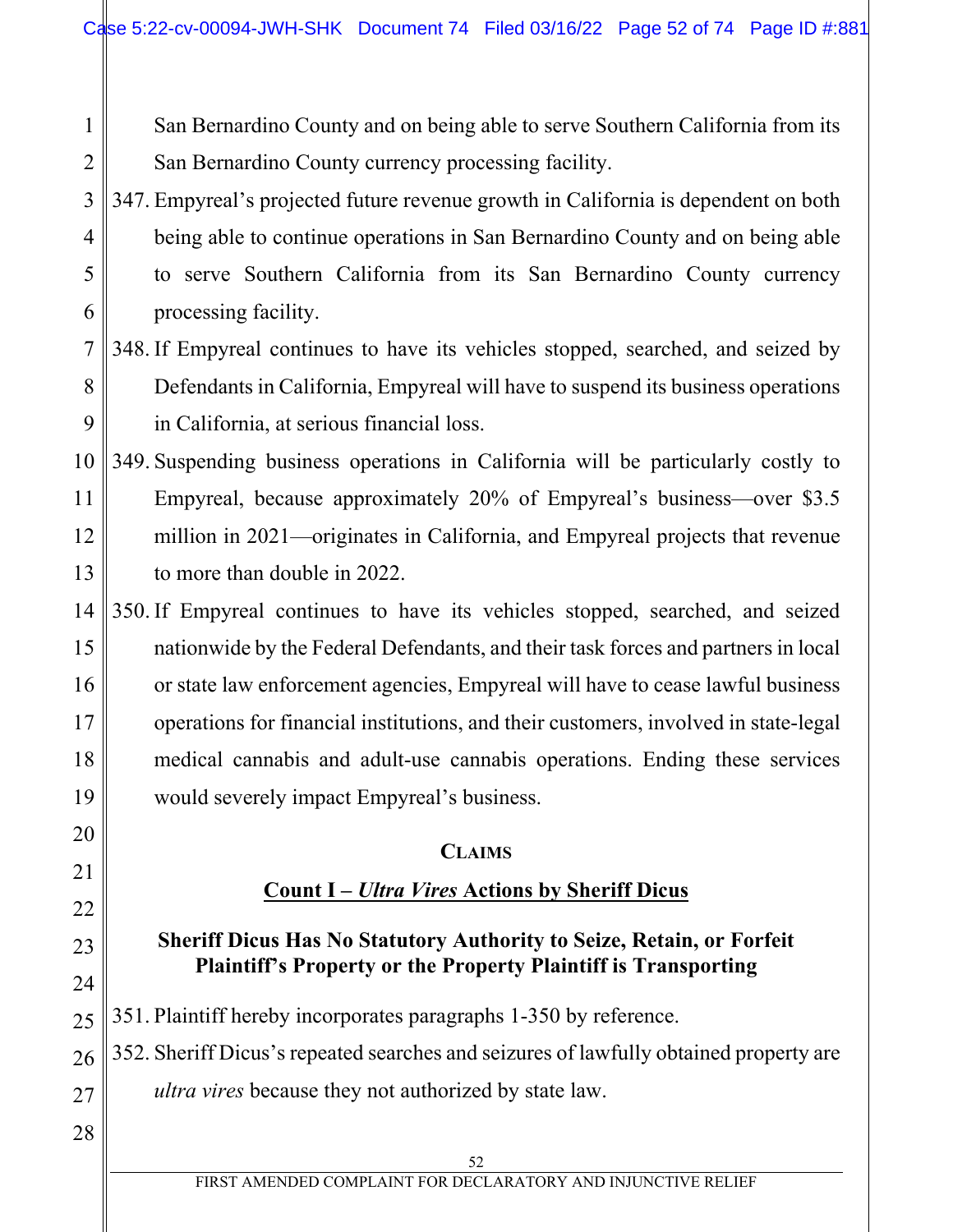San Bernardino County and on being able to serve Southern California from its San Bernardino County currency processing facility.

#### 3 4 5 6 347. Empyreal's projected future revenue growth in California is dependent on both being able to continue operations in San Bernardino County and on being able to serve Southern California from its San Bernardino County currency processing facility.

#### 7 8 9 348. If Empyreal continues to have its vehicles stopped, searched, and seized by Defendants in California, Empyreal will have to suspend its business operations in California, at serious financial loss.

- 10 11 12 13 349. Suspending business operations in California will be particularly costly to Empyreal, because approximately 20% of Empyreal's business—over \$3.5 million in 2021—originates in California, and Empyreal projects that revenue to more than double in 2022.
- 14 15 16 17 18 19 350. If Empyreal continues to have its vehicles stopped, searched, and seized nationwide by the Federal Defendants, and their task forces and partners in local or state law enforcement agencies, Empyreal will have to cease lawful business operations for financial institutions, and their customers, involved in state-legal medical cannabis and adult-use cannabis operations. Ending these services would severely impact Empyreal's business.

### **CLAIMS**

# **Count I –** *Ultra Vires* **Actions by Sheriff Dicus**

# **Sheriff Dicus Has No Statutory Authority to Seize, Retain, or Forfeit Plaintiff's Property or the Property Plaintiff is Transporting**

25 351. Plaintiff hereby incorporates paragraphs 1-350 by reference.

26 27 352. Sheriff Dicus's repeated searches and seizures of lawfully obtained property are *ultra vires* because they not authorized by state law.

28

20

21

22

23

24

1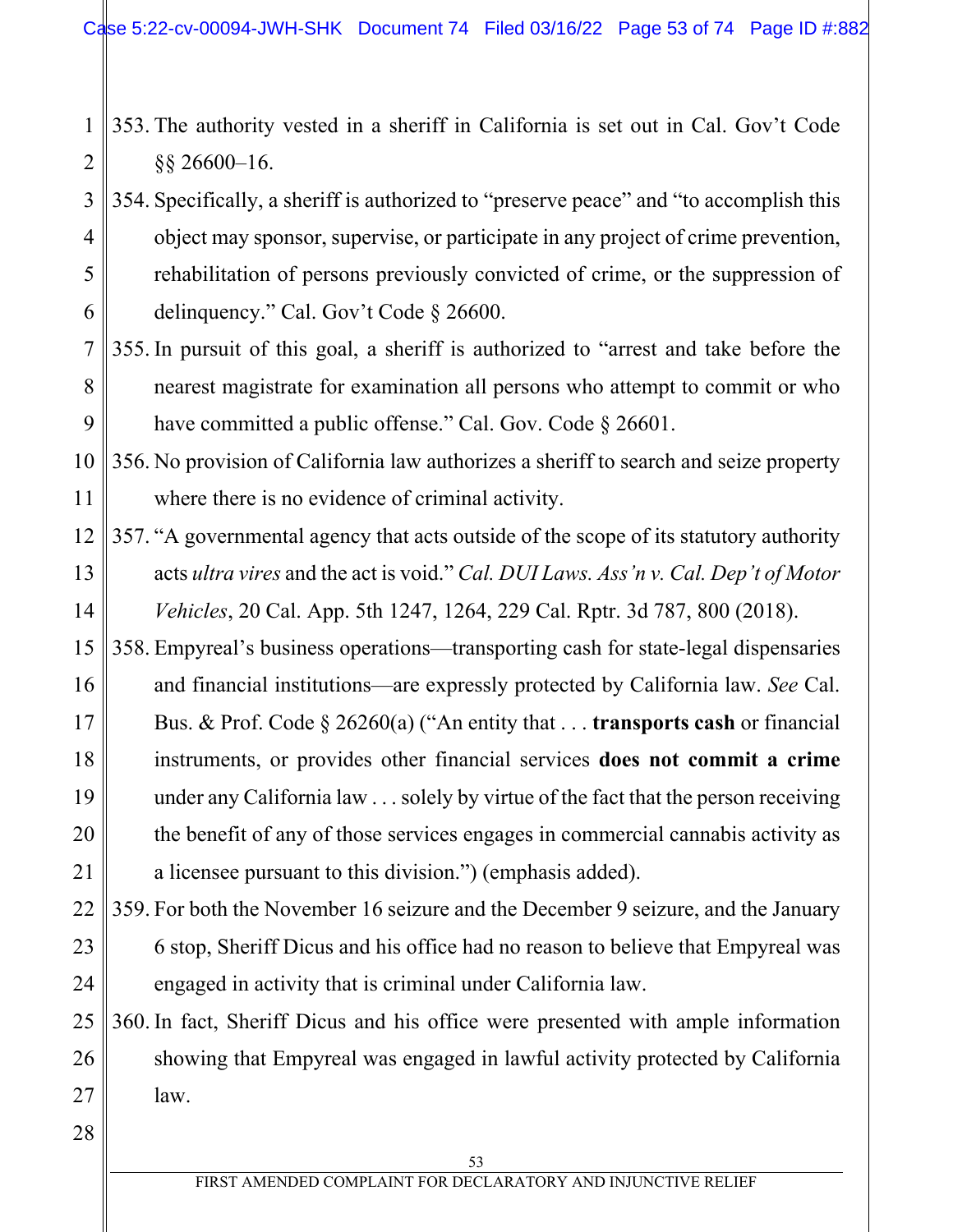1 2 353. The authority vested in a sheriff in California is set out in Cal. Gov't Code §§ 26600–16.

3 4 5 6 354. Specifically, a sheriff is authorized to "preserve peace" and "to accomplish this object may sponsor, supervise, or participate in any project of crime prevention, rehabilitation of persons previously convicted of crime, or the suppression of delinquency." Cal. Gov't Code § 26600.

7 8 9 355. In pursuit of this goal, a sheriff is authorized to "arrest and take before the nearest magistrate for examination all persons who attempt to commit or who have committed a public offense." Cal. Gov. Code § 26601.

10 11 356. No provision of California law authorizes a sheriff to search and seize property where there is no evidence of criminal activity.

- 12 13 14 357. "A governmental agency that acts outside of the scope of its statutory authority acts *ultra vires* and the act is void." *Cal. DUI Laws. Ass'n v. Cal. Dep't of Motor Vehicles*, 20 Cal. App. 5th 1247, 1264, 229 Cal. Rptr. 3d 787, 800 (2018).
- 15 16 17 18 19 20 21 358. Empyreal's business operations—transporting cash for state-legal dispensaries and financial institutions—are expressly protected by California law. *See* Cal. Bus. & Prof. Code § 26260(a) ("An entity that . . . **transports cash** or financial instruments, or provides other financial services **does not commit a crime** under any California law . . . solely by virtue of the fact that the person receiving the benefit of any of those services engages in commercial cannabis activity as a licensee pursuant to this division.") (emphasis added).
- 22 23 24 359. For both the November 16 seizure and the December 9 seizure, and the January 6 stop, Sheriff Dicus and his office had no reason to believe that Empyreal was engaged in activity that is criminal under California law.

25 26 27 360. In fact, Sheriff Dicus and his office were presented with ample information showing that Empyreal was engaged in lawful activity protected by California law.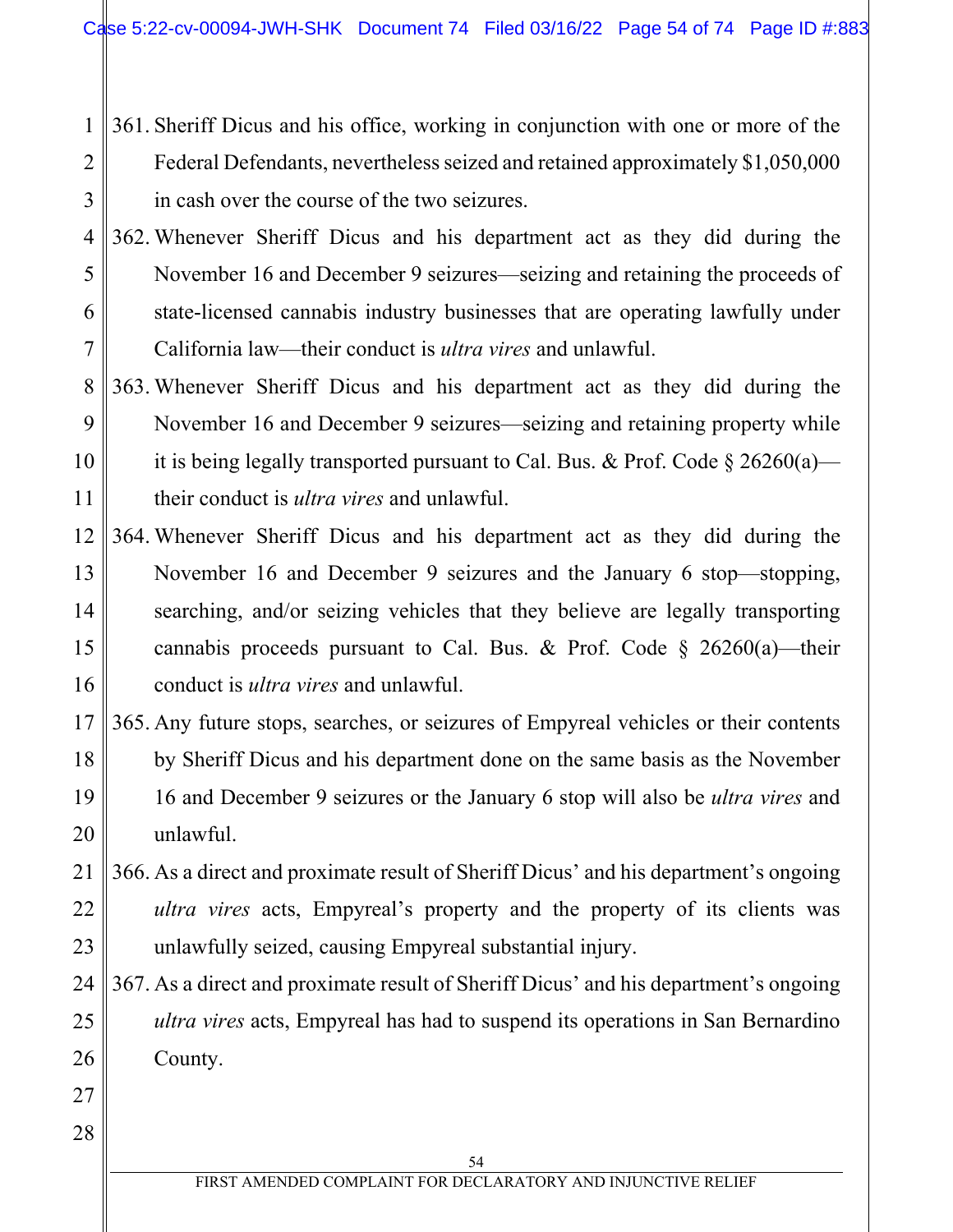- 1 2 3 361. Sheriff Dicus and his office, working in conjunction with one or more of the Federal Defendants, nevertheless seized and retained approximately \$1,050,000 in cash over the course of the two seizures.
- 4 5 6 7 362. Whenever Sheriff Dicus and his department act as they did during the November 16 and December 9 seizures—seizing and retaining the proceeds of state-licensed cannabis industry businesses that are operating lawfully under California law—their conduct is *ultra vires* and unlawful.
- 8 9 10 11 363. Whenever Sheriff Dicus and his department act as they did during the November 16 and December 9 seizures—seizing and retaining property while it is being legally transported pursuant to Cal. Bus. & Prof. Code  $\S 26260(a)$  their conduct is *ultra vires* and unlawful.
- 12 13 14 15 16 364. Whenever Sheriff Dicus and his department act as they did during the November 16 and December 9 seizures and the January 6 stop—stopping, searching, and/or seizing vehicles that they believe are legally transporting cannabis proceeds pursuant to Cal. Bus. & Prof. Code  $\S$  26260(a)—their conduct is *ultra vires* and unlawful.
- 17 18 19 20 365. Any future stops, searches, or seizures of Empyreal vehicles or their contents by Sheriff Dicus and his department done on the same basis as the November 16 and December 9 seizures or the January 6 stop will also be *ultra vires* and unlawful.
- 21 22 23 366. As a direct and proximate result of Sheriff Dicus' and his department's ongoing *ultra vires* acts, Empyreal's property and the property of its clients was unlawfully seized, causing Empyreal substantial injury.
- 24 25 26 367. As a direct and proximate result of Sheriff Dicus' and his department's ongoing *ultra vires* acts, Empyreal has had to suspend its operations in San Bernardino County.
- 27 28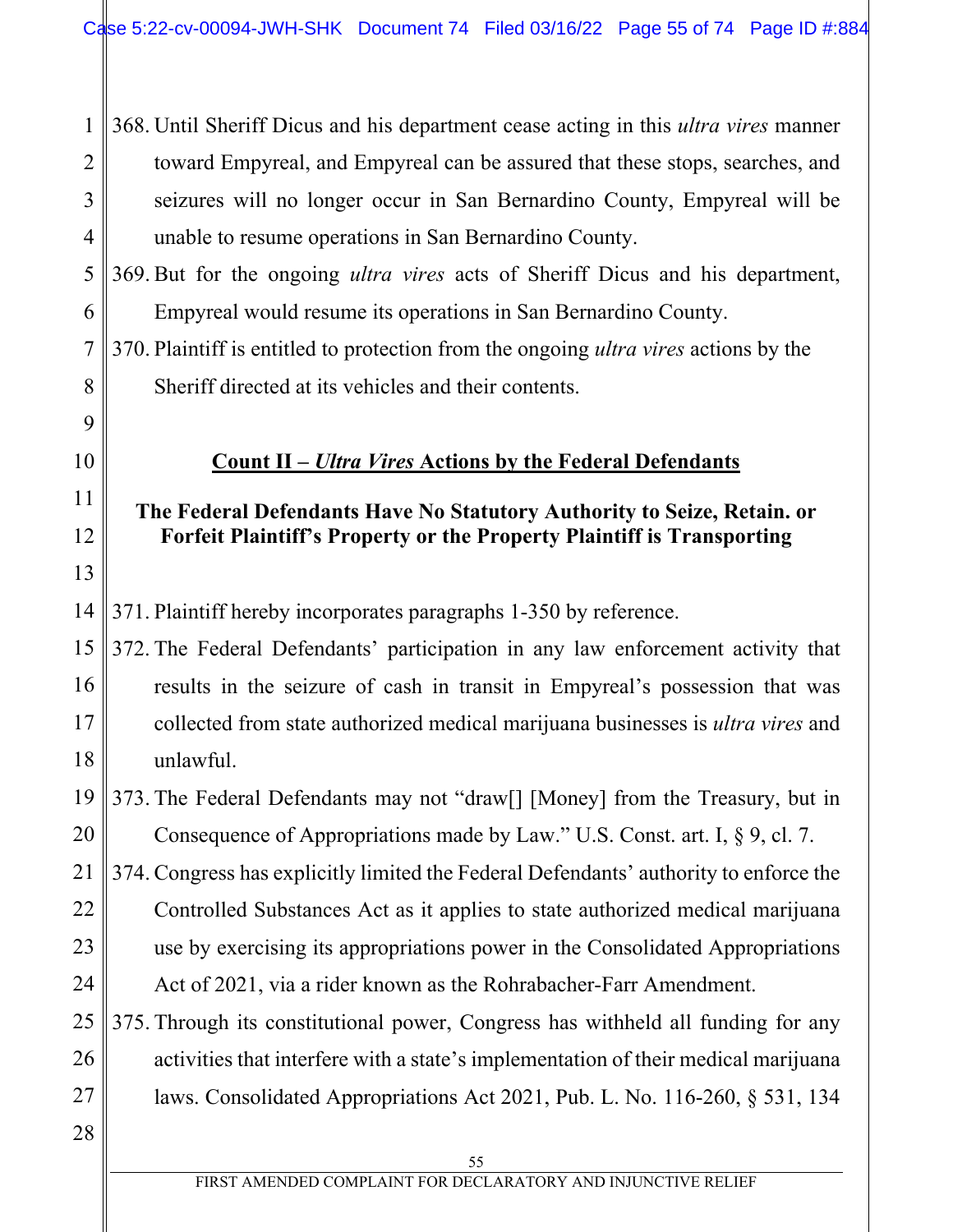1 2 3 4 368. Until Sheriff Dicus and his department cease acting in this *ultra vires* manner toward Empyreal, and Empyreal can be assured that these stops, searches, and seizures will no longer occur in San Bernardino County, Empyreal will be unable to resume operations in San Bernardino County.

5 6 369. But for the ongoing *ultra vires* acts of Sheriff Dicus and his department, Empyreal would resume its operations in San Bernardino County.

7 8 370. Plaintiff is entitled to protection from the ongoing *ultra vires* actions by the Sheriff directed at its vehicles and their contents.

# **Count II –** *Ultra Vires* **Actions by the Federal Defendants**

# **The Federal Defendants Have No Statutory Authority to Seize, Retain. or Forfeit Plaintiff's Property or the Property Plaintiff is Transporting**

371. Plaintiff hereby incorporates paragraphs 1-350 by reference.

15 16 17 18 372. The Federal Defendants' participation in any law enforcement activity that results in the seizure of cash in transit in Empyreal's possession that was collected from state authorized medical marijuana businesses is *ultra vires* and unlawful.

19 20 373. The Federal Defendants may not "draw[] [Money] from the Treasury, but in Consequence of Appropriations made by Law." U.S. Const. art. I, § 9, cl. 7.

21 22 23 24 374. Congress has explicitly limited the Federal Defendants' authority to enforce the Controlled Substances Act as it applies to state authorized medical marijuana use by exercising its appropriations power in the Consolidated Appropriations Act of 2021, via a rider known as the Rohrabacher-Farr Amendment.

25 26 27 375. Through its constitutional power, Congress has withheld all funding for any activities that interfere with a state's implementation of their medical marijuana laws. Consolidated Appropriations Act 2021, Pub. L. No. 116-260, § 531, 134

28

9

10

11

12

13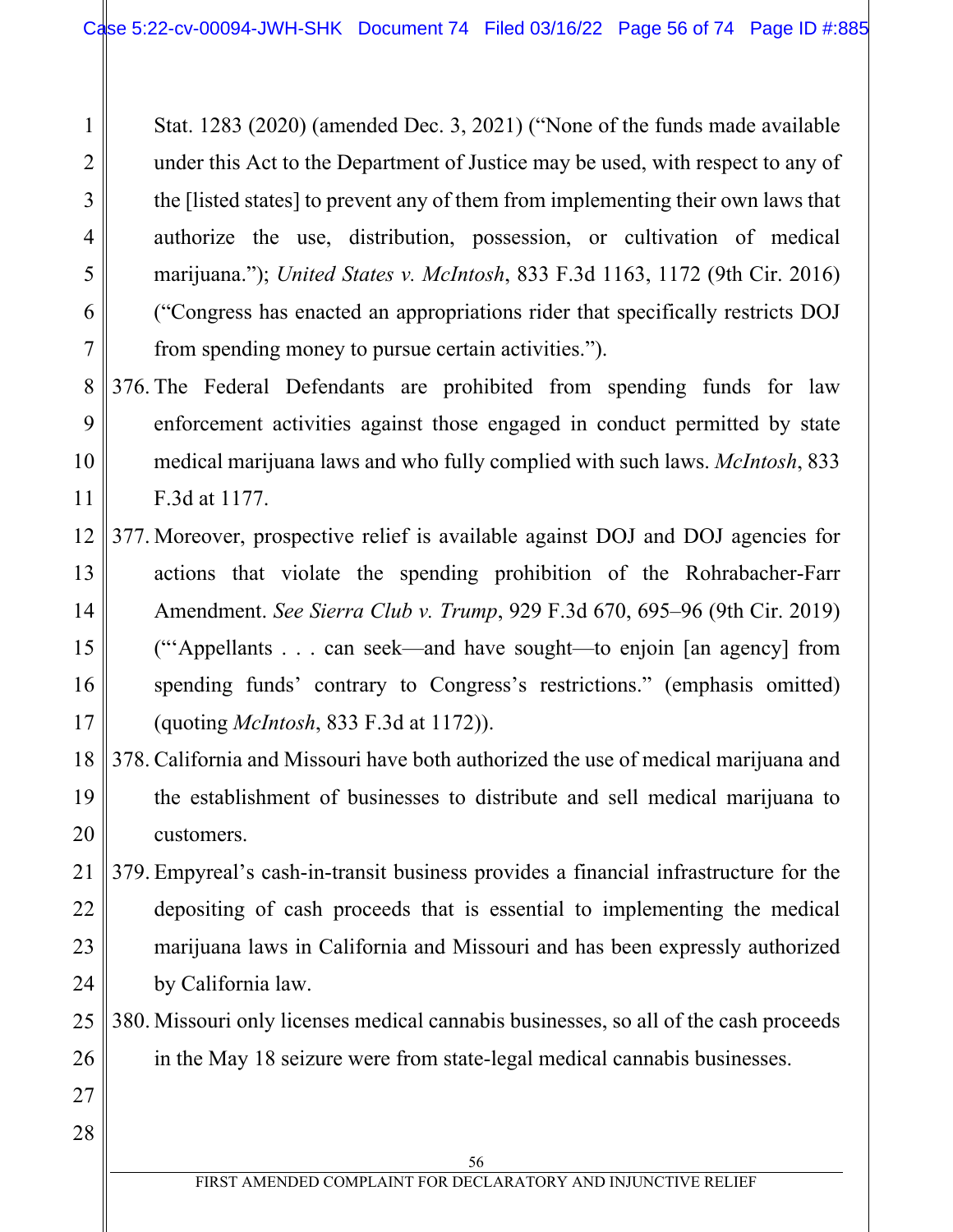Stat. 1283 (2020) (amended Dec. 3, 2021) ("None of the funds made available under this Act to the Department of Justice may be used, with respect to any of the [listed states] to prevent any of them from implementing their own laws that authorize the use, distribution, possession, or cultivation of medical marijuana."); *United States v. McIntosh*, 833 F.3d 1163, 1172 (9th Cir. 2016) ("Congress has enacted an appropriations rider that specifically restricts DOJ from spending money to pursue certain activities.").

8 9 10 11 376. The Federal Defendants are prohibited from spending funds for law enforcement activities against those engaged in conduct permitted by state medical marijuana laws and who fully complied with such laws. *McIntosh*, 833 F.3d at 1177.

- 12 13 14 15 16 17 377. Moreover, prospective relief is available against DOJ and DOJ agencies for actions that violate the spending prohibition of the Rohrabacher-Farr Amendment. *See Sierra Club v. Trump*, 929 F.3d 670, 695–96 (9th Cir. 2019) ("'Appellants . . . can seek—and have sought—to enjoin [an agency] from spending funds' contrary to Congress's restrictions." (emphasis omitted) (quoting *McIntosh*, 833 F.3d at 1172)).
- 18 19 20 378. California and Missouri have both authorized the use of medical marijuana and the establishment of businesses to distribute and sell medical marijuana to customers.
- 21 22 23 24 379. Empyreal's cash-in-transit business provides a financial infrastructure for the depositing of cash proceeds that is essential to implementing the medical marijuana laws in California and Missouri and has been expressly authorized by California law.
- 25 26 380. Missouri only licenses medical cannabis businesses, so all of the cash proceeds in the May 18 seizure were from state-legal medical cannabis businesses.

28

27

1

2

3

4

5

6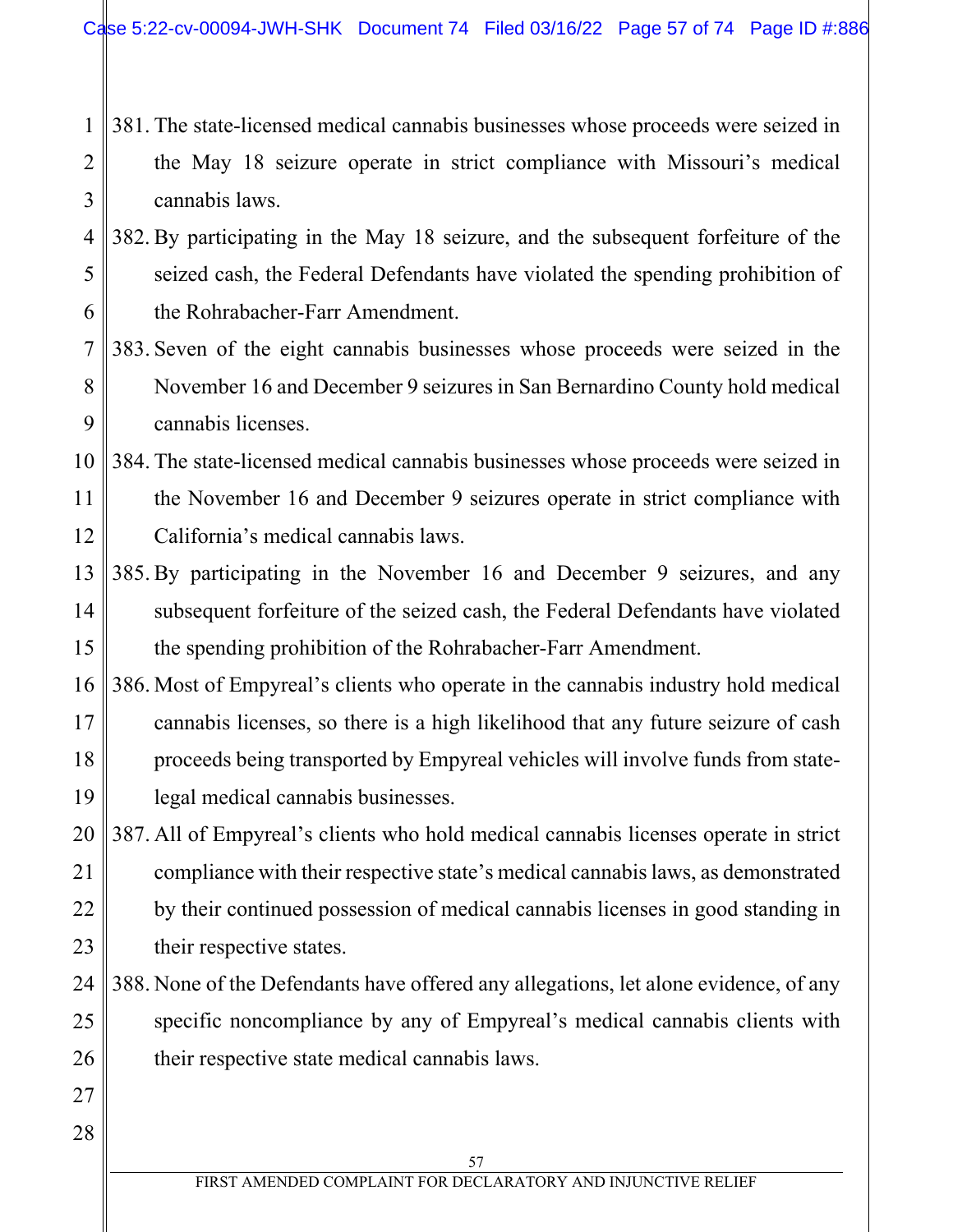- 1 2 3 381. The state-licensed medical cannabis businesses whose proceeds were seized in the May 18 seizure operate in strict compliance with Missouri's medical cannabis laws.
- 4 5 6 382. By participating in the May 18 seizure, and the subsequent forfeiture of the seized cash, the Federal Defendants have violated the spending prohibition of the Rohrabacher-Farr Amendment.
- 7 8 9 383. Seven of the eight cannabis businesses whose proceeds were seized in the November 16 and December 9 seizures in San Bernardino County hold medical cannabis licenses.
- 10 11 12 384. The state-licensed medical cannabis businesses whose proceeds were seized in the November 16 and December 9 seizures operate in strict compliance with California's medical cannabis laws.
- 13 14 15 385. By participating in the November 16 and December 9 seizures, and any subsequent forfeiture of the seized cash, the Federal Defendants have violated the spending prohibition of the Rohrabacher-Farr Amendment.
- 16 17 18 19 386. Most of Empyreal's clients who operate in the cannabis industry hold medical cannabis licenses, so there is a high likelihood that any future seizure of cash proceeds being transported by Empyreal vehicles will involve funds from statelegal medical cannabis businesses.
- 20 21 22 23 387. All of Empyreal's clients who hold medical cannabis licenses operate in strict compliance with their respective state's medical cannabis laws, as demonstrated by their continued possession of medical cannabis licenses in good standing in their respective states.
- 24 25 26 388. None of the Defendants have offered any allegations, let alone evidence, of any specific noncompliance by any of Empyreal's medical cannabis clients with their respective state medical cannabis laws.
- 27 28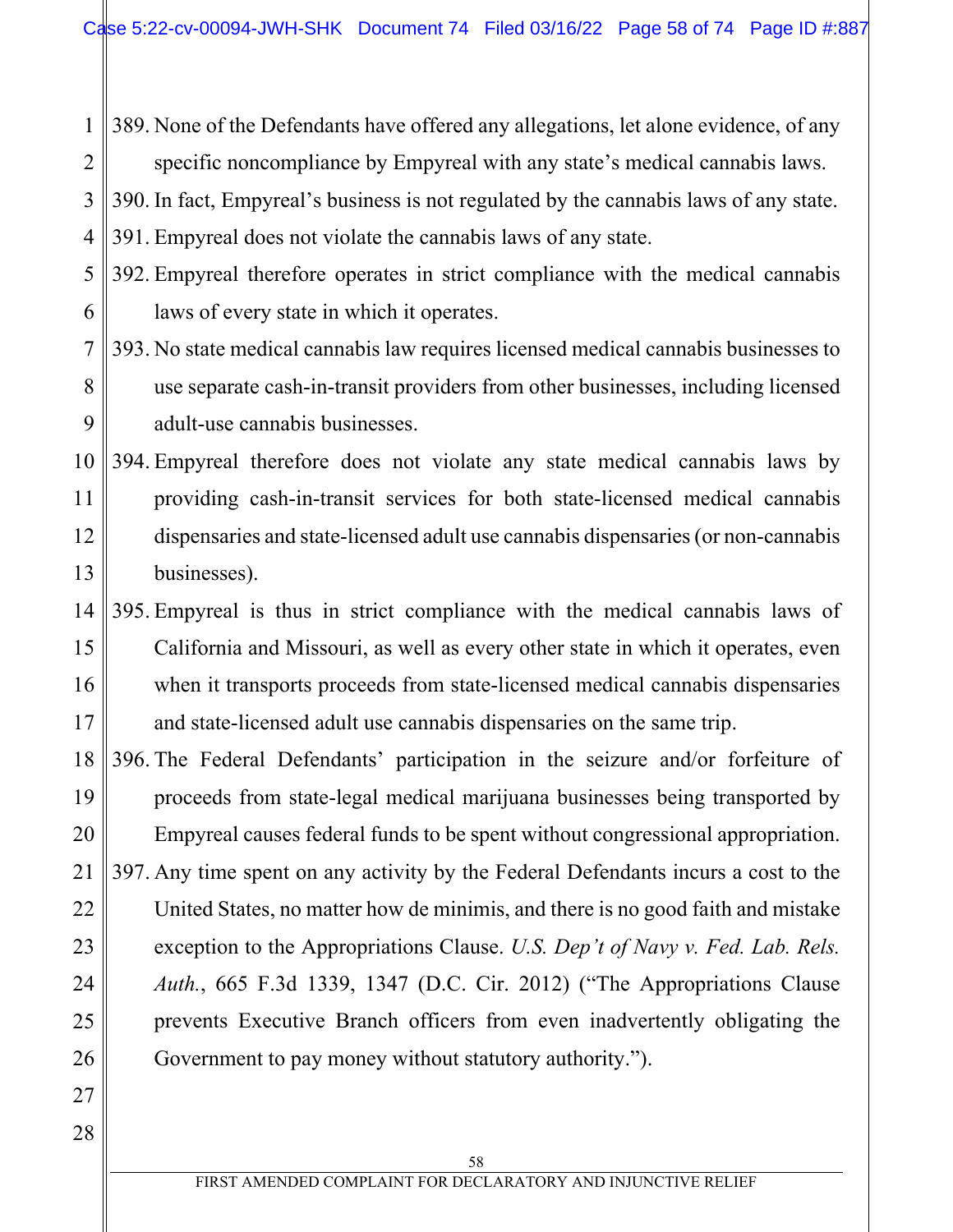1 2 3 4 389. None of the Defendants have offered any allegations, let alone evidence, of any specific noncompliance by Empyreal with any state's medical cannabis laws. 390. In fact, Empyreal's business is not regulated by the cannabis laws of any state. 391. Empyreal does not violate the cannabis laws of any state.

5 6 392. Empyreal therefore operates in strict compliance with the medical cannabis laws of every state in which it operates.

#### 7 8 9 393. No state medical cannabis law requires licensed medical cannabis businesses to use separate cash-in-transit providers from other businesses, including licensed adult-use cannabis businesses.

10 11 12 13 394. Empyreal therefore does not violate any state medical cannabis laws by providing cash-in-transit services for both state-licensed medical cannabis dispensaries and state-licensed adult use cannabis dispensaries (or non-cannabis businesses).

14 15 16 17 395. Empyreal is thus in strict compliance with the medical cannabis laws of California and Missouri, as well as every other state in which it operates, even when it transports proceeds from state-licensed medical cannabis dispensaries and state-licensed adult use cannabis dispensaries on the same trip.

18 19 20 21 22 23 24 25 26 396. The Federal Defendants' participation in the seizure and/or forfeiture of proceeds from state-legal medical marijuana businesses being transported by Empyreal causes federal funds to be spent without congressional appropriation. 397. Any time spent on any activity by the Federal Defendants incurs a cost to the United States, no matter how de minimis, and there is no good faith and mistake exception to the Appropriations Clause. *U.S. Dep't of Navy v. Fed. Lab. Rels. Auth.*, 665 F.3d 1339, 1347 (D.C. Cir. 2012) ("The Appropriations Clause prevents Executive Branch officers from even inadvertently obligating the Government to pay money without statutory authority.").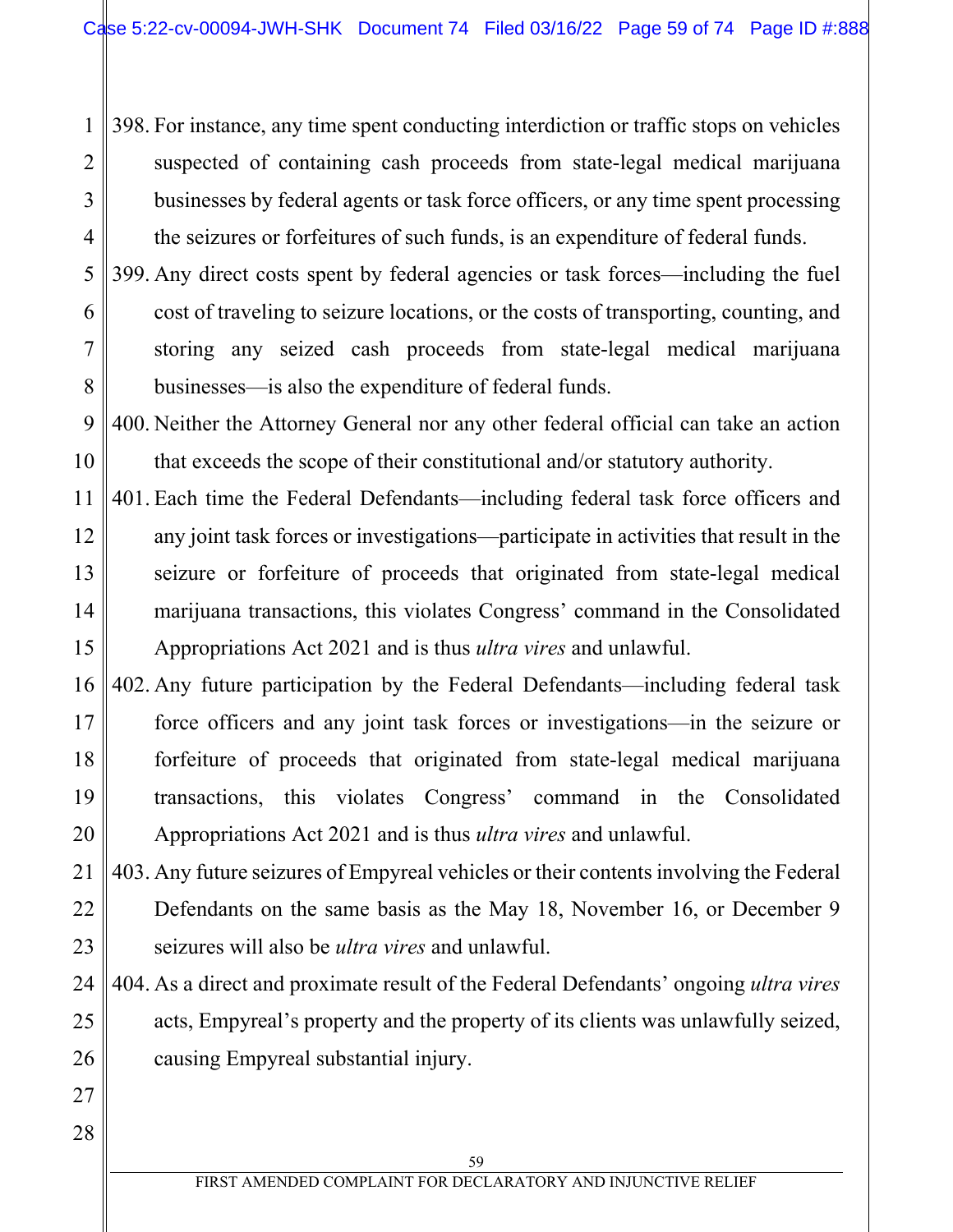1 2 3 4 398. For instance, any time spent conducting interdiction or traffic stops on vehicles suspected of containing cash proceeds from state-legal medical marijuana businesses by federal agents or task force officers, or any time spent processing the seizures or forfeitures of such funds, is an expenditure of federal funds.

5 6 7 8 399. Any direct costs spent by federal agencies or task forces—including the fuel cost of traveling to seizure locations, or the costs of transporting, counting, and storing any seized cash proceeds from state-legal medical marijuana businesses—is also the expenditure of federal funds.

9 10 400. Neither the Attorney General nor any other federal official can take an action that exceeds the scope of their constitutional and/or statutory authority.

- 11 12 13 14 15 401. Each time the Federal Defendants—including federal task force officers and any joint task forces or investigations—participate in activities that result in the seizure or forfeiture of proceeds that originated from state-legal medical marijuana transactions, this violates Congress' command in the Consolidated Appropriations Act 2021 and is thus *ultra vires* and unlawful.
- 16 17 18 19 20 402. Any future participation by the Federal Defendants—including federal task force officers and any joint task forces or investigations—in the seizure or forfeiture of proceeds that originated from state-legal medical marijuana transactions, this violates Congress' command in the Consolidated Appropriations Act 2021 and is thus *ultra vires* and unlawful.
- 21 22 23 403. Any future seizures of Empyreal vehicles or their contents involving the Federal Defendants on the same basis as the May 18, November 16, or December 9 seizures will also be *ultra vires* and unlawful.
- 24 25 26 404. As a direct and proximate result of the Federal Defendants' ongoing *ultra vires* acts, Empyreal's property and the property of its clients was unlawfully seized, causing Empyreal substantial injury.
- 28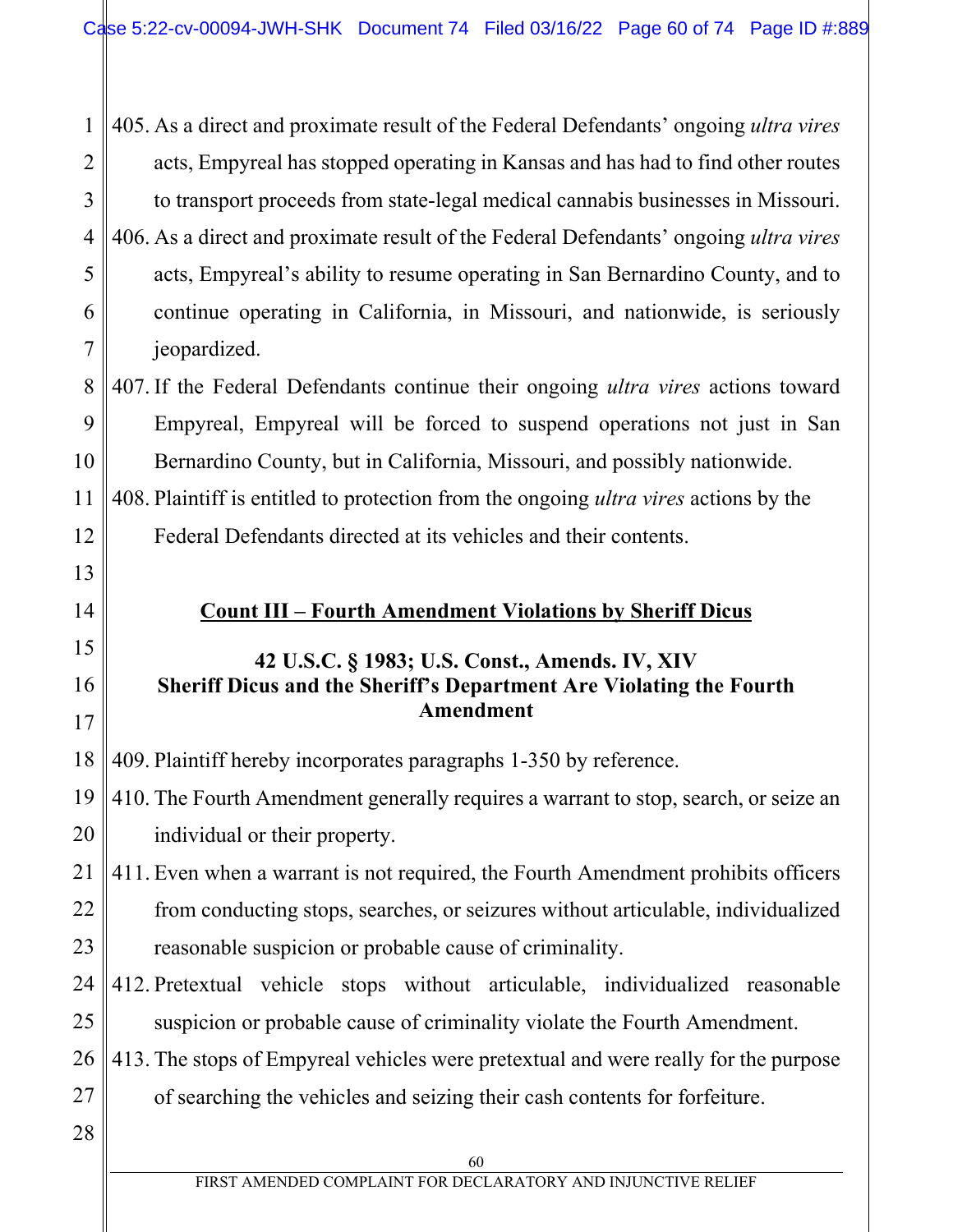1 2 3 4 5 6 7 405. As a direct and proximate result of the Federal Defendants' ongoing *ultra vires* acts, Empyreal has stopped operating in Kansas and has had to find other routes to transport proceeds from state-legal medical cannabis businesses in Missouri. 406. As a direct and proximate result of the Federal Defendants' ongoing *ultra vires* acts, Empyreal's ability to resume operating in San Bernardino County, and to continue operating in California, in Missouri, and nationwide, is seriously jeopardized.

8 9 10 407. If the Federal Defendants continue their ongoing *ultra vires* actions toward Empyreal, Empyreal will be forced to suspend operations not just in San Bernardino County, but in California, Missouri, and possibly nationwide.

12 408. Plaintiff is entitled to protection from the ongoing *ultra vires* actions by the Federal Defendants directed at its vehicles and their contents.

# **Count III – Fourth Amendment Violations by Sheriff Dicus**

# **42 U.S.C. § 1983; U.S. Const., Amends. IV, XIV Sheriff Dicus and the Sheriff's Department Are Violating the Fourth Amendment**

18 409. Plaintiff hereby incorporates paragraphs 1-350 by reference.

19 20 410. The Fourth Amendment generally requires a warrant to stop, search, or seize an individual or their property.

21 22 23 411. Even when a warrant is not required, the Fourth Amendment prohibits officers from conducting stops, searches, or seizures without articulable, individualized reasonable suspicion or probable cause of criminality.

- 24 25 412. Pretextual vehicle stops without articulable, individualized reasonable suspicion or probable cause of criminality violate the Fourth Amendment.
- 26 27 413. The stops of Empyreal vehicles were pretextual and were really for the purpose of searching the vehicles and seizing their cash contents for forfeiture.
- 28

11

13

14

15

16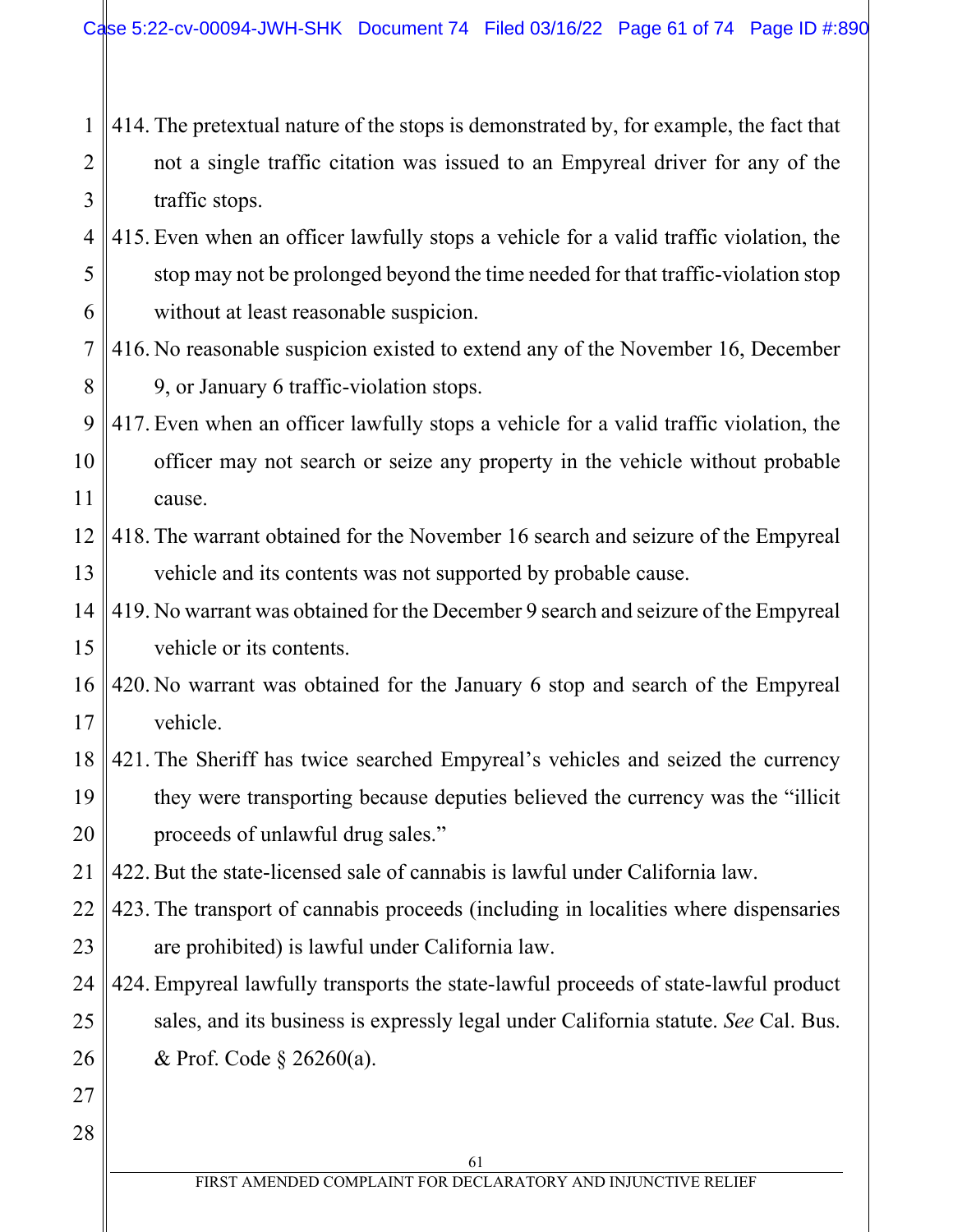- 1 2 3 414. The pretextual nature of the stops is demonstrated by, for example, the fact that not a single traffic citation was issued to an Empyreal driver for any of the traffic stops.
- 4 5 6 415. Even when an officer lawfully stops a vehicle for a valid traffic violation, the stop may not be prolonged beyond the time needed for that traffic-violation stop without at least reasonable suspicion.
- 7 8 416. No reasonable suspicion existed to extend any of the November 16, December 9, or January 6 traffic-violation stops.
- 9 10 11 417. Even when an officer lawfully stops a vehicle for a valid traffic violation, the officer may not search or seize any property in the vehicle without probable cause.
- 12 13 418. The warrant obtained for the November 16 search and seizure of the Empyreal vehicle and its contents was not supported by probable cause.
- 14 15 419. No warrant was obtained for the December 9 search and seizure of the Empyreal vehicle or its contents.
- 16 17 420. No warrant was obtained for the January 6 stop and search of the Empyreal vehicle.
- 18 19 20 421. The Sheriff has twice searched Empyreal's vehicles and seized the currency they were transporting because deputies believed the currency was the "illicit proceeds of unlawful drug sales."
- 21 422. But the state-licensed sale of cannabis is lawful under California law.
- 22 23 423. The transport of cannabis proceeds (including in localities where dispensaries are prohibited) is lawful under California law.
- 24 25 26 424. Empyreal lawfully transports the state-lawful proceeds of state-lawful product sales, and its business is expressly legal under California statute. *See* Cal. Bus. & Prof. Code § 26260(a).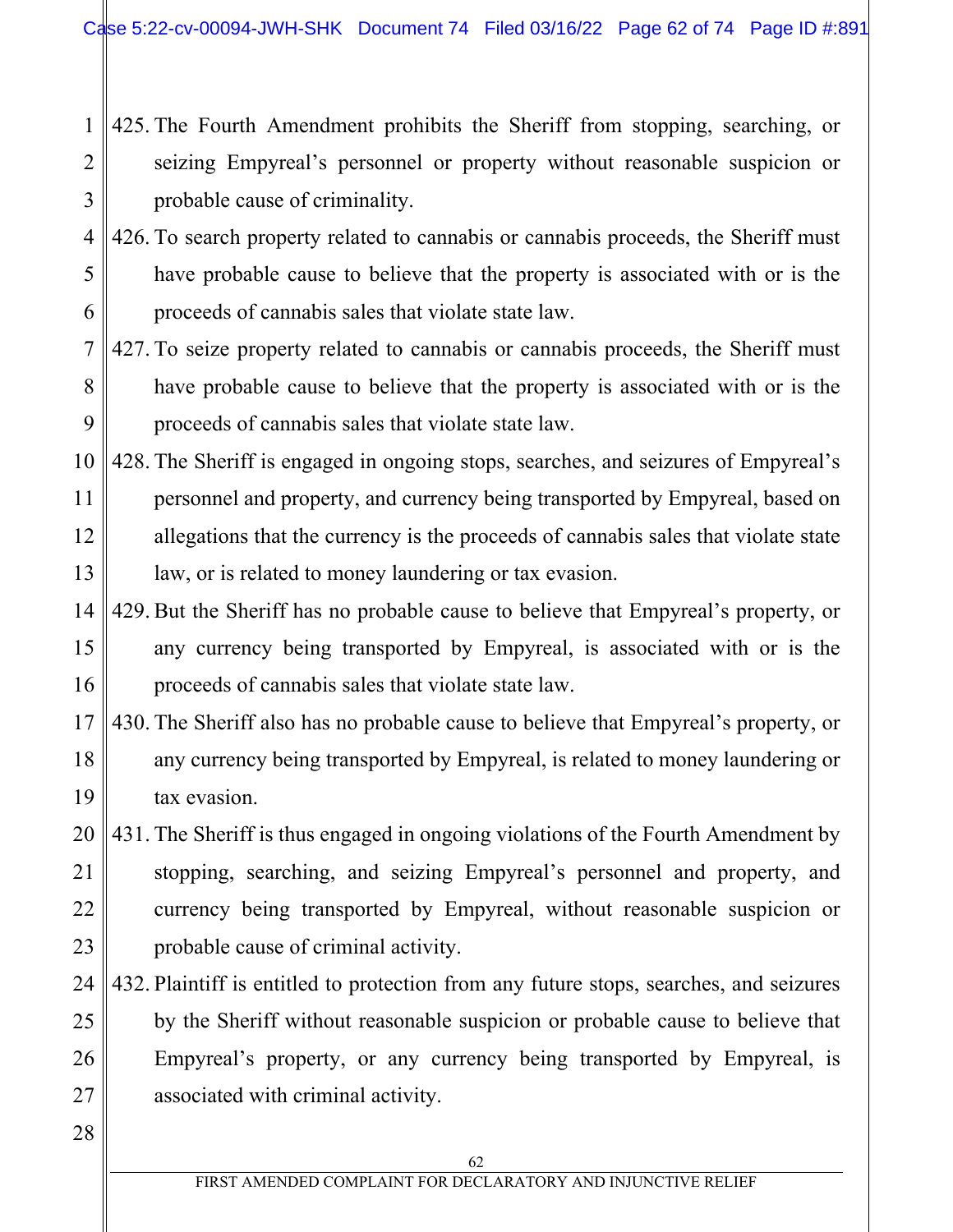- 1 2 3 425. The Fourth Amendment prohibits the Sheriff from stopping, searching, or seizing Empyreal's personnel or property without reasonable suspicion or probable cause of criminality.
- 4 5 6 426. To search property related to cannabis or cannabis proceeds, the Sheriff must have probable cause to believe that the property is associated with or is the proceeds of cannabis sales that violate state law.
- 7 8 9 427. To seize property related to cannabis or cannabis proceeds, the Sheriff must have probable cause to believe that the property is associated with or is the proceeds of cannabis sales that violate state law.
- 10 11 12 13 428. The Sheriff is engaged in ongoing stops, searches, and seizures of Empyreal's personnel and property, and currency being transported by Empyreal, based on allegations that the currency is the proceeds of cannabis sales that violate state law, or is related to money laundering or tax evasion.
- 14 15 16 429. But the Sheriff has no probable cause to believe that Empyreal's property, or any currency being transported by Empyreal, is associated with or is the proceeds of cannabis sales that violate state law.
- 17 18 19 430. The Sheriff also has no probable cause to believe that Empyreal's property, or any currency being transported by Empyreal, is related to money laundering or tax evasion.
- 20 21 22 23 431. The Sheriff is thus engaged in ongoing violations of the Fourth Amendment by stopping, searching, and seizing Empyreal's personnel and property, and currency being transported by Empyreal, without reasonable suspicion or probable cause of criminal activity.
- 24 25 26 27 432. Plaintiff is entitled to protection from any future stops, searches, and seizures by the Sheriff without reasonable suspicion or probable cause to believe that Empyreal's property, or any currency being transported by Empyreal, is associated with criminal activity.
- 28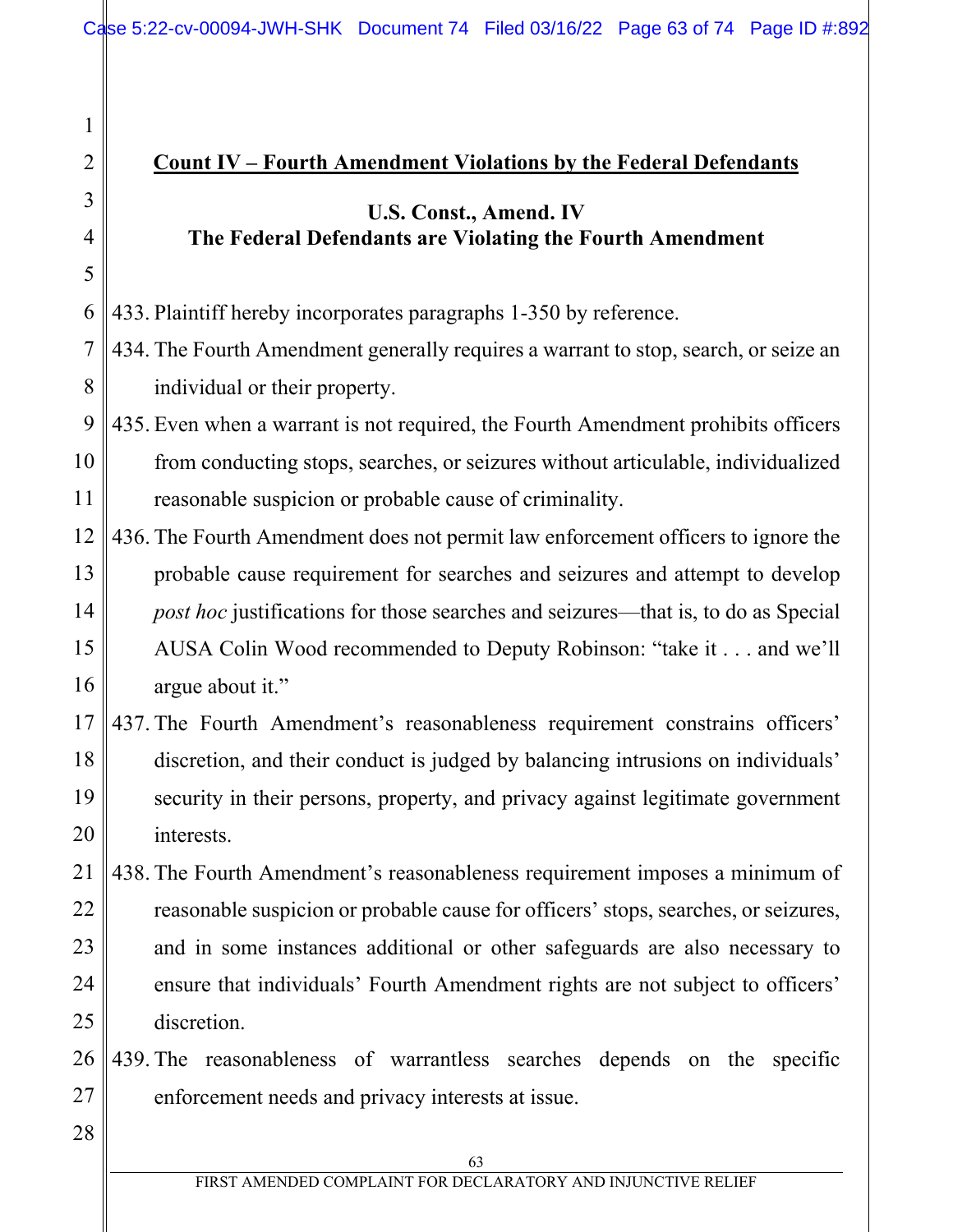## **Count IV – Fourth Amendment Violations by the Federal Defendants**

# **U.S. Const., Amend. IV The Federal Defendants are Violating the Fourth Amendment**

6 433. Plaintiff hereby incorporates paragraphs 1-350 by reference.

7 8 434. The Fourth Amendment generally requires a warrant to stop, search, or seize an individual or their property.

9 10 11 435. Even when a warrant is not required, the Fourth Amendment prohibits officers from conducting stops, searches, or seizures without articulable, individualized reasonable suspicion or probable cause of criminality.

- 12 13 14 15 16 436. The Fourth Amendment does not permit law enforcement officers to ignore the probable cause requirement for searches and seizures and attempt to develop *post hoc* justifications for those searches and seizures—that is, to do as Special AUSA Colin Wood recommended to Deputy Robinson: "take it . . . and we'll argue about it."
- 17 18 19 20 437. The Fourth Amendment's reasonableness requirement constrains officers' discretion, and their conduct is judged by balancing intrusions on individuals' security in their persons, property, and privacy against legitimate government interests.
- 21 22 23 24 25 438. The Fourth Amendment's reasonableness requirement imposes a minimum of reasonable suspicion or probable cause for officers' stops, searches, or seizures, and in some instances additional or other safeguards are also necessary to ensure that individuals' Fourth Amendment rights are not subject to officers' discretion.
- 26 27 439. The reasonableness of warrantless searches depends on the specific enforcement needs and privacy interests at issue.
- 28

1

2

3

4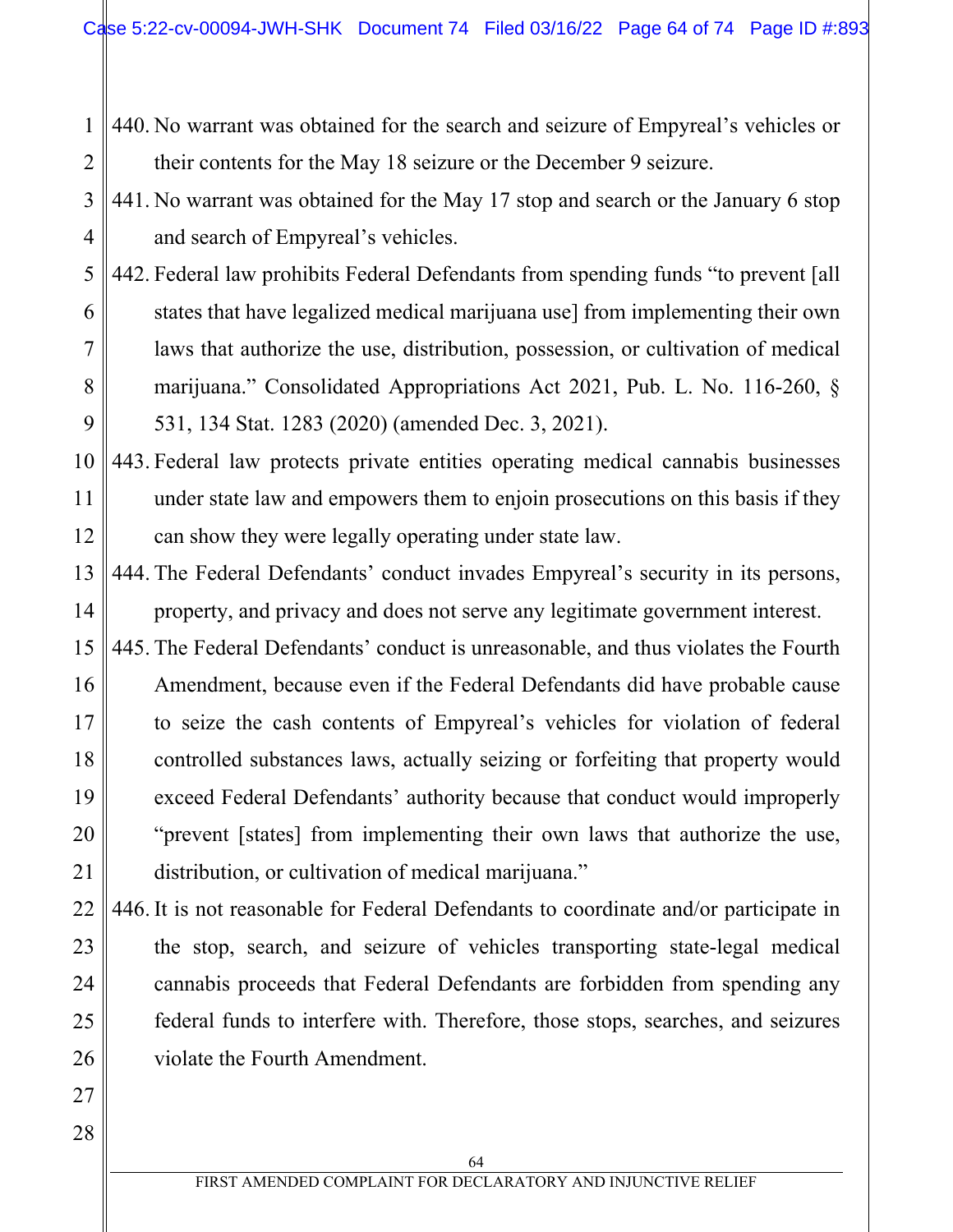1 2 440. No warrant was obtained for the search and seizure of Empyreal's vehicles or their contents for the May 18 seizure or the December 9 seizure.

3 4 441. No warrant was obtained for the May 17 stop and search or the January 6 stop and search of Empyreal's vehicles.

5 6 7 8 9 442. Federal law prohibits Federal Defendants from spending funds "to prevent [all states that have legalized medical marijuana use] from implementing their own laws that authorize the use, distribution, possession, or cultivation of medical marijuana." Consolidated Appropriations Act 2021, Pub. L. No. 116-260, § 531, 134 Stat. 1283 (2020) (amended Dec. 3, 2021).

10 11 12 443. Federal law protects private entities operating medical cannabis businesses under state law and empowers them to enjoin prosecutions on this basis if they can show they were legally operating under state law.

13 14 444. The Federal Defendants' conduct invades Empyreal's security in its persons, property, and privacy and does not serve any legitimate government interest.

15 16 17 18 19 20 21 445. The Federal Defendants' conduct is unreasonable, and thus violates the Fourth Amendment, because even if the Federal Defendants did have probable cause to seize the cash contents of Empyreal's vehicles for violation of federal controlled substances laws, actually seizing or forfeiting that property would exceed Federal Defendants' authority because that conduct would improperly "prevent [states] from implementing their own laws that authorize the use, distribution, or cultivation of medical marijuana."

- 22 23 24 25 26 446. It is not reasonable for Federal Defendants to coordinate and/or participate in the stop, search, and seizure of vehicles transporting state-legal medical cannabis proceeds that Federal Defendants are forbidden from spending any federal funds to interfere with. Therefore, those stops, searches, and seizures violate the Fourth Amendment.
- 28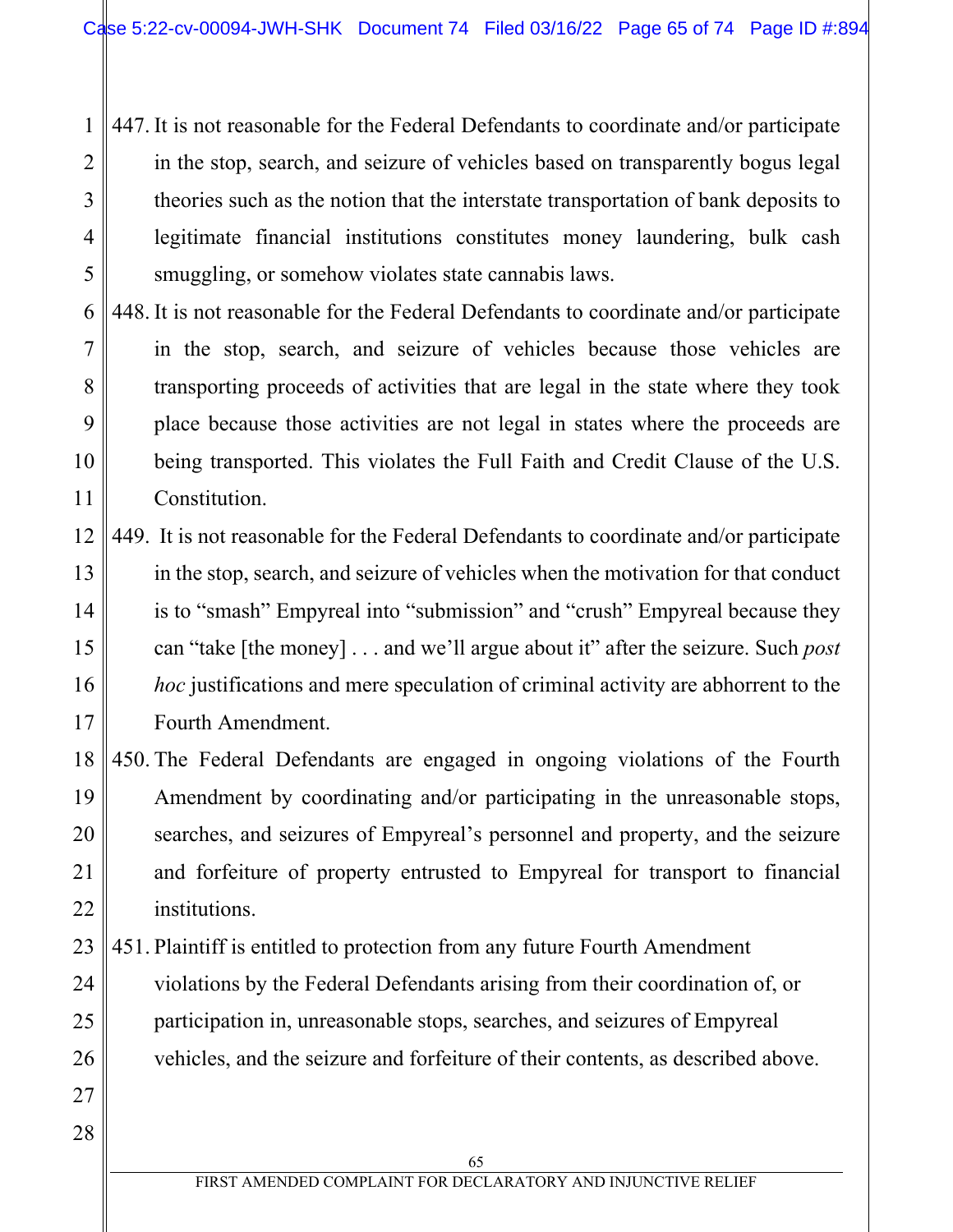1 2 3 4 5 447. It is not reasonable for the Federal Defendants to coordinate and/or participate in the stop, search, and seizure of vehicles based on transparently bogus legal theories such as the notion that the interstate transportation of bank deposits to legitimate financial institutions constitutes money laundering, bulk cash smuggling, or somehow violates state cannabis laws.

6 7 8 9 10 11 448. It is not reasonable for the Federal Defendants to coordinate and/or participate in the stop, search, and seizure of vehicles because those vehicles are transporting proceeds of activities that are legal in the state where they took place because those activities are not legal in states where the proceeds are being transported. This violates the Full Faith and Credit Clause of the U.S. Constitution.

12 13 14 15 16 17 449. It is not reasonable for the Federal Defendants to coordinate and/or participate in the stop, search, and seizure of vehicles when the motivation for that conduct is to "smash" Empyreal into "submission" and "crush" Empyreal because they can "take [the money] . . . and we'll argue about it" after the seizure. Such *post hoc* justifications and mere speculation of criminal activity are abhorrent to the Fourth Amendment.

18 19 20 21 22 450. The Federal Defendants are engaged in ongoing violations of the Fourth Amendment by coordinating and/or participating in the unreasonable stops, searches, and seizures of Empyreal's personnel and property, and the seizure and forfeiture of property entrusted to Empyreal for transport to financial institutions.

23 24 25 26 451. Plaintiff is entitled to protection from any future Fourth Amendment violations by the Federal Defendants arising from their coordination of, or participation in, unreasonable stops, searches, and seizures of Empyreal vehicles, and the seizure and forfeiture of their contents, as described above.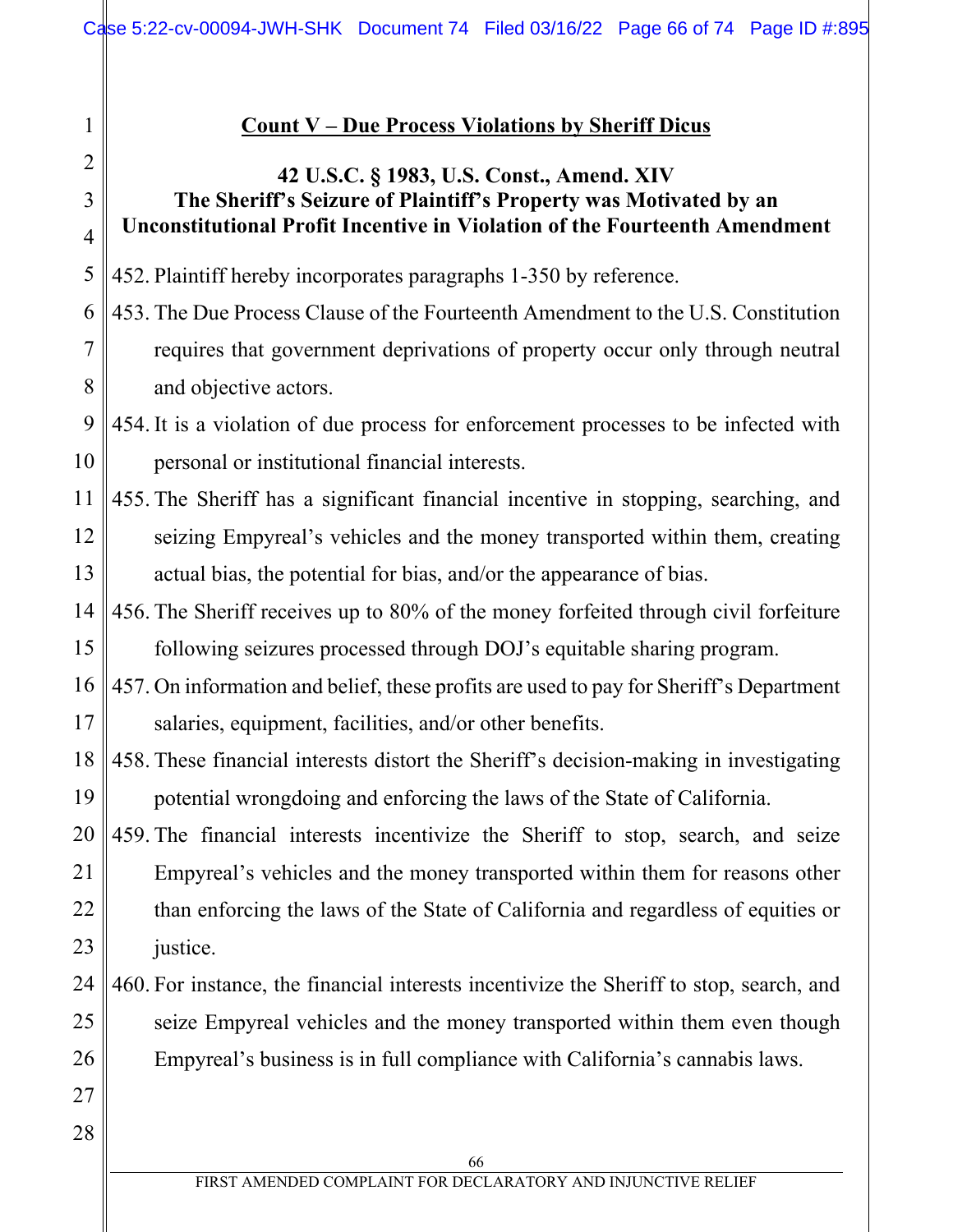### **Count V – Due Process Violations by Sheriff Dicus**

## **42 U.S.C. § 1983, U.S. Const., Amend. XIV The Sheriff's Seizure of Plaintiff's Property was Motivated by an Unconstitutional Profit Incentive in Violation of the Fourteenth Amendment**

5 452. Plaintiff hereby incorporates paragraphs 1-350 by reference.

6 7 8 453. The Due Process Clause of the Fourteenth Amendment to the U.S. Constitution requires that government deprivations of property occur only through neutral and objective actors.

9 10 454. It is a violation of due process for enforcement processes to be infected with personal or institutional financial interests.

- 11 12 13 455. The Sheriff has a significant financial incentive in stopping, searching, and seizing Empyreal's vehicles and the money transported within them, creating actual bias, the potential for bias, and/or the appearance of bias.
- 14 15 456. The Sheriff receives up to 80% of the money forfeited through civil forfeiture following seizures processed through DOJ's equitable sharing program.

16 17 457. On information and belief, these profits are used to pay for Sheriff's Department salaries, equipment, facilities, and/or other benefits.

18 19 458. These financial interests distort the Sheriff's decision-making in investigating potential wrongdoing and enforcing the laws of the State of California.

20 21 22 23 459. The financial interests incentivize the Sheriff to stop, search, and seize Empyreal's vehicles and the money transported within them for reasons other than enforcing the laws of the State of California and regardless of equities or justice.

- 24 25 26 460. For instance, the financial interests incentivize the Sheriff to stop, search, and seize Empyreal vehicles and the money transported within them even though Empyreal's business is in full compliance with California's cannabis laws.
- 28

27

1

2

3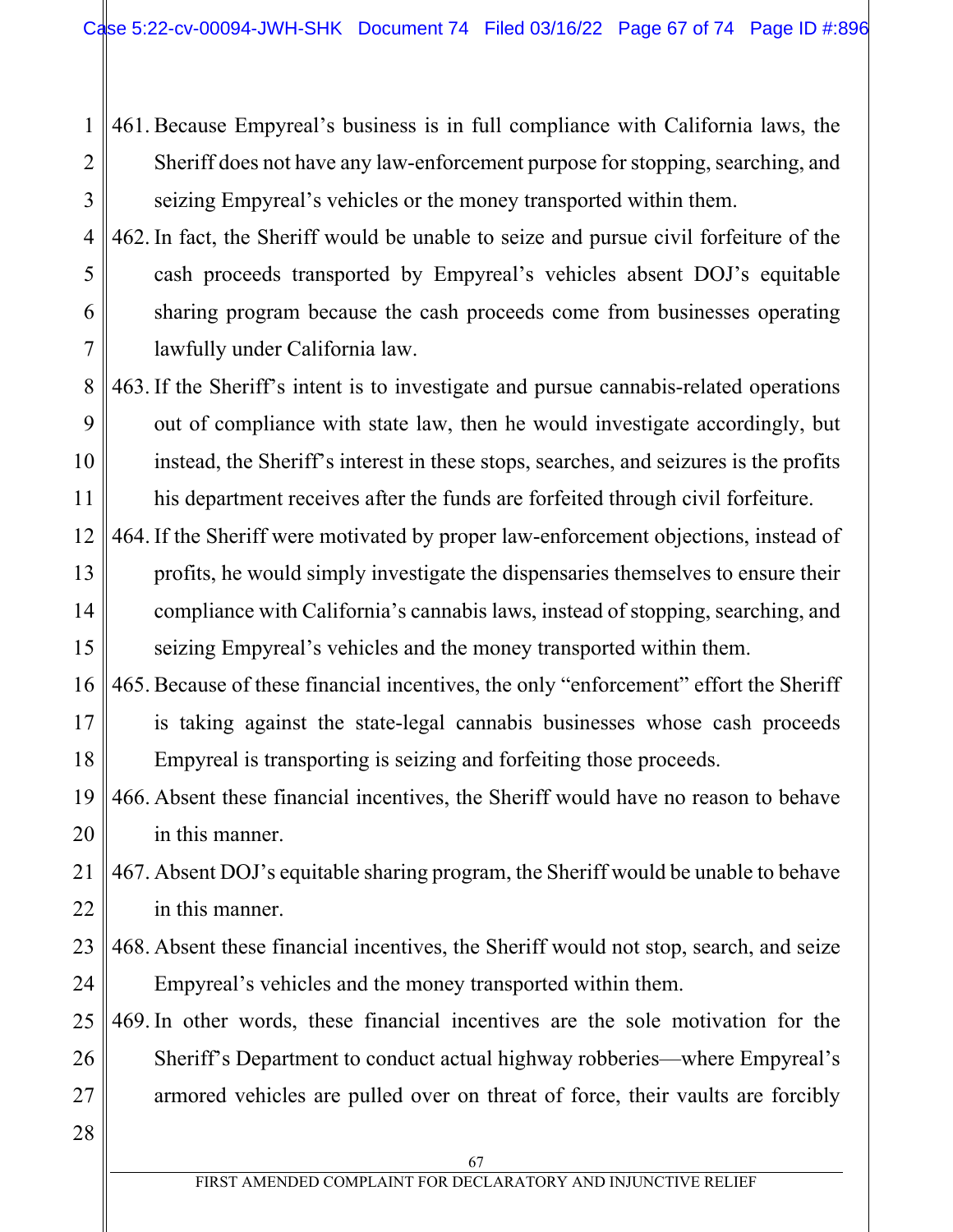1 2 3 461. Because Empyreal's business is in full compliance with California laws, the Sheriff does not have any law-enforcement purpose for stopping, searching, and seizing Empyreal's vehicles or the money transported within them.

4 5 6 7 462. In fact, the Sheriff would be unable to seize and pursue civil forfeiture of the cash proceeds transported by Empyreal's vehicles absent DOJ's equitable sharing program because the cash proceeds come from businesses operating lawfully under California law.

- 8 9 10 11 463. If the Sheriff's intent is to investigate and pursue cannabis-related operations out of compliance with state law, then he would investigate accordingly, but instead, the Sheriff's interest in these stops, searches, and seizures is the profits his department receives after the funds are forfeited through civil forfeiture.
- 12 13 14 15 464. If the Sheriff were motivated by proper law-enforcement objections, instead of profits, he would simply investigate the dispensaries themselves to ensure their compliance with California's cannabis laws, instead of stopping, searching, and seizing Empyreal's vehicles and the money transported within them.
- 16 17 18 465. Because of these financial incentives, the only "enforcement" effort the Sheriff is taking against the state-legal cannabis businesses whose cash proceeds Empyreal is transporting is seizing and forfeiting those proceeds.
- 19 20 466. Absent these financial incentives, the Sheriff would have no reason to behave in this manner.
- 21 22 467. Absent DOJ's equitable sharing program, the Sheriff would be unable to behave in this manner.
- 23 24 468. Absent these financial incentives, the Sheriff would not stop, search, and seize Empyreal's vehicles and the money transported within them.
- 25 26 27 469. In other words, these financial incentives are the sole motivation for the Sheriff's Department to conduct actual highway robberies—where Empyreal's armored vehicles are pulled over on threat of force, their vaults are forcibly
- 28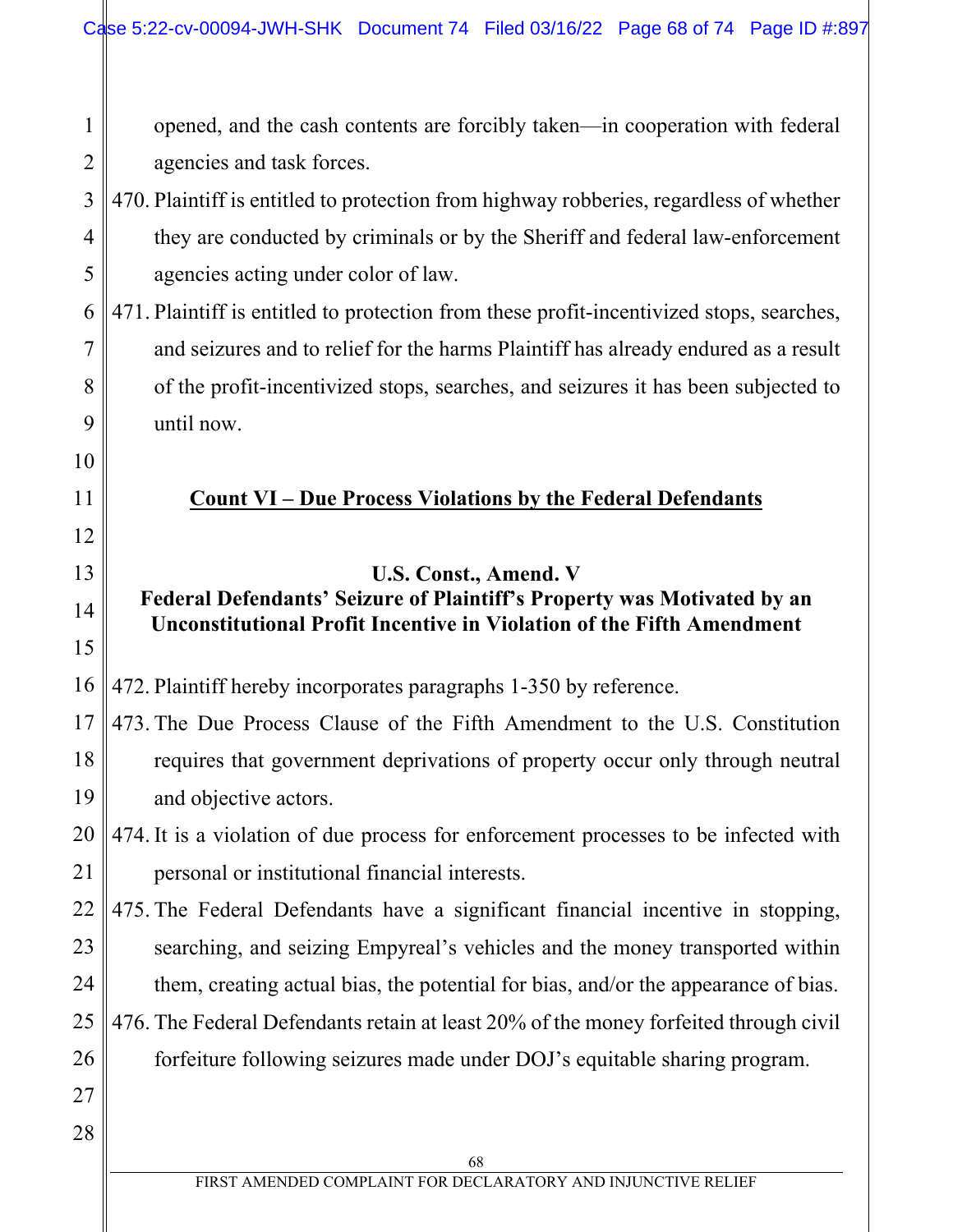68 FIRST AMENDED COMPLAINT FOR DECLARATORY AND INJUNCTIVE RELIEF 1 2 3 4 5 6 7 8 9 10 11 12 13 14 15 16 17 18 19 20 21 22 23 24 25 26 27 28 opened, and the cash contents are forcibly taken—in cooperation with federal agencies and task forces. 470. Plaintiff is entitled to protection from highway robberies, regardless of whether they are conducted by criminals or by the Sheriff and federal law-enforcement agencies acting under color of law. 471. Plaintiff is entitled to protection from these profit-incentivized stops, searches, and seizures and to relief for the harms Plaintiff has already endured as a result of the profit-incentivized stops, searches, and seizures it has been subjected to until now. **Count VI – Due Process Violations by the Federal Defendants U.S. Const., Amend. V Federal Defendants' Seizure of Plaintiff's Property was Motivated by an Unconstitutional Profit Incentive in Violation of the Fifth Amendment**  472. Plaintiff hereby incorporates paragraphs 1-350 by reference. 473. The Due Process Clause of the Fifth Amendment to the U.S. Constitution requires that government deprivations of property occur only through neutral and objective actors. 474. It is a violation of due process for enforcement processes to be infected with personal or institutional financial interests. 475. The Federal Defendants have a significant financial incentive in stopping, searching, and seizing Empyreal's vehicles and the money transported within them, creating actual bias, the potential for bias, and/or the appearance of bias. 476. The Federal Defendants retain at least 20% of the money forfeited through civil forfeiture following seizures made under DOJ's equitable sharing program.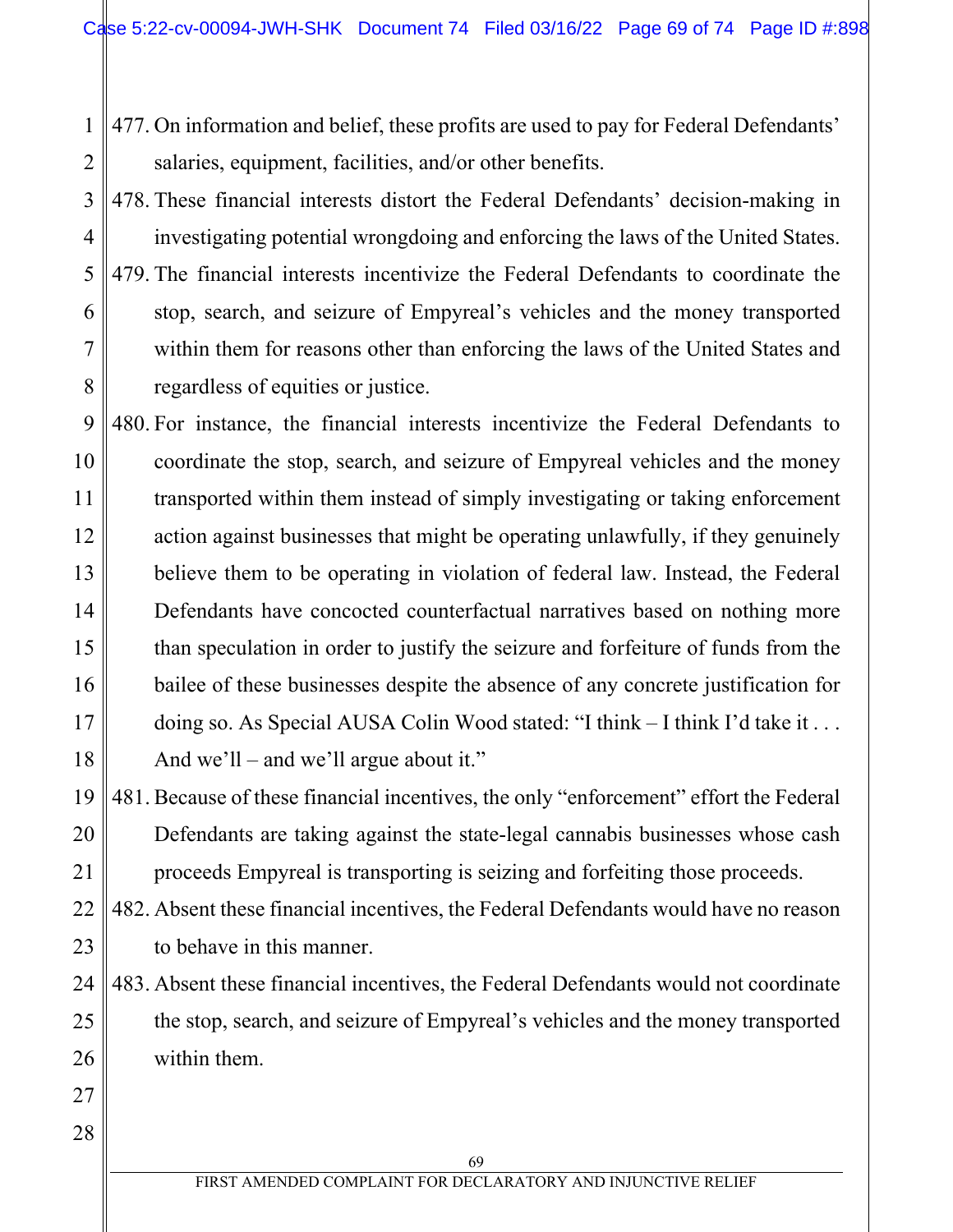1 2 477. On information and belief, these profits are used to pay for Federal Defendants' salaries, equipment, facilities, and/or other benefits.

3 4 5 6 7 8 478. These financial interests distort the Federal Defendants' decision-making in investigating potential wrongdoing and enforcing the laws of the United States. 479. The financial interests incentivize the Federal Defendants to coordinate the stop, search, and seizure of Empyreal's vehicles and the money transported within them for reasons other than enforcing the laws of the United States and regardless of equities or justice.

9 10 11 12 13 14 15 16 17 18 480. For instance, the financial interests incentivize the Federal Defendants to coordinate the stop, search, and seizure of Empyreal vehicles and the money transported within them instead of simply investigating or taking enforcement action against businesses that might be operating unlawfully, if they genuinely believe them to be operating in violation of federal law. Instead, the Federal Defendants have concocted counterfactual narratives based on nothing more than speculation in order to justify the seizure and forfeiture of funds from the bailee of these businesses despite the absence of any concrete justification for doing so. As Special AUSA Colin Wood stated: "I think – I think I'd take it . . . And we'll – and we'll argue about it."

19 20 21 481. Because of these financial incentives, the only "enforcement" effort the Federal Defendants are taking against the state-legal cannabis businesses whose cash proceeds Empyreal is transporting is seizing and forfeiting those proceeds.

22 23 482. Absent these financial incentives, the Federal Defendants would have no reason to behave in this manner.

24 25 26 483. Absent these financial incentives, the Federal Defendants would not coordinate the stop, search, and seizure of Empyreal's vehicles and the money transported within them.

28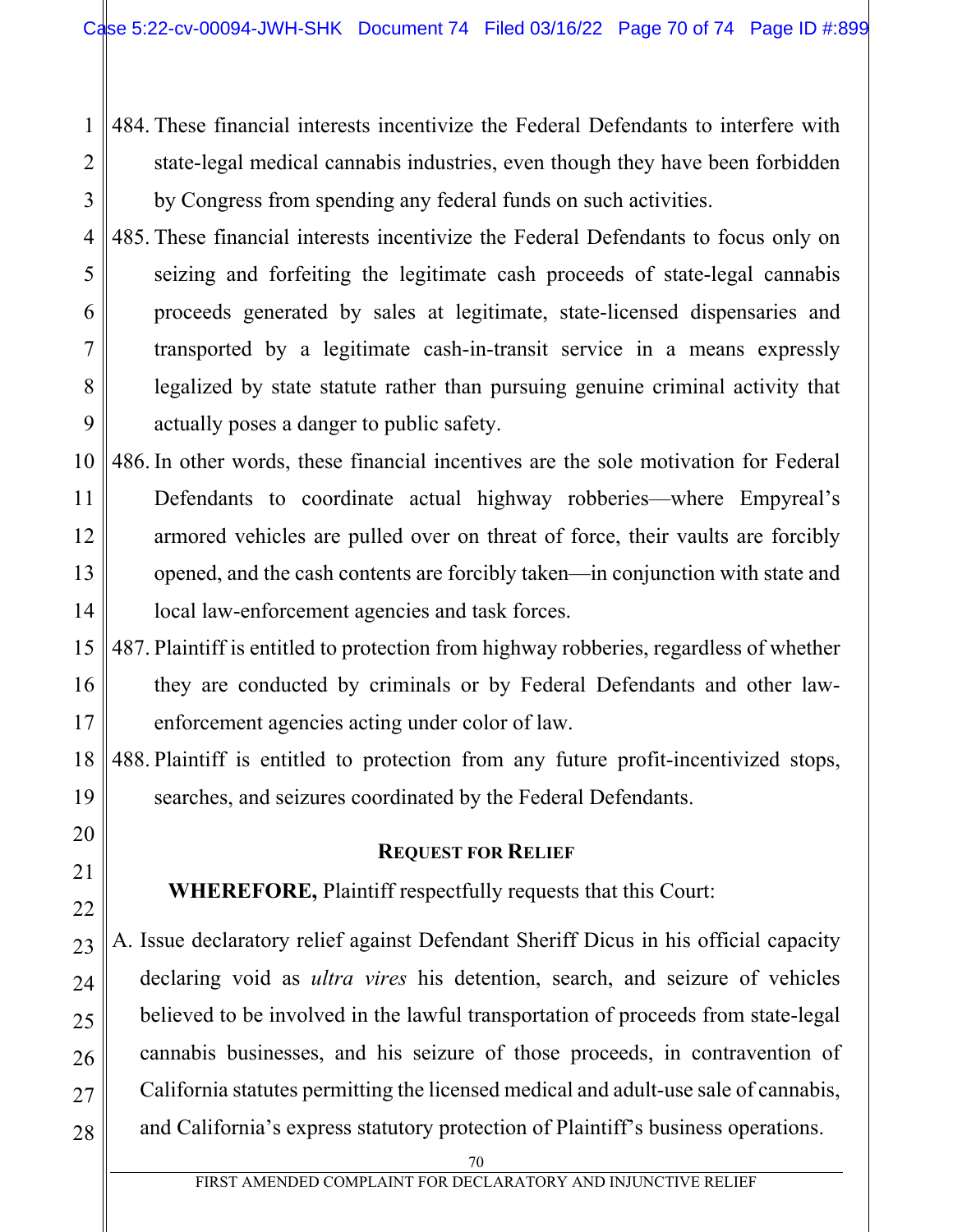484. These financial interests incentivize the Federal Defendants to interfere with state-legal medical cannabis industries, even though they have been forbidden by Congress from spending any federal funds on such activities.

1

2

3

20

21

22

4 5 6 7 8 9 485. These financial interests incentivize the Federal Defendants to focus only on seizing and forfeiting the legitimate cash proceeds of state-legal cannabis proceeds generated by sales at legitimate, state-licensed dispensaries and transported by a legitimate cash-in-transit service in a means expressly legalized by state statute rather than pursuing genuine criminal activity that actually poses a danger to public safety.

- 10 11 12 13 14 486. In other words, these financial incentives are the sole motivation for Federal Defendants to coordinate actual highway robberies—where Empyreal's armored vehicles are pulled over on threat of force, their vaults are forcibly opened, and the cash contents are forcibly taken—in conjunction with state and local law-enforcement agencies and task forces.
- 15 16 17 487. Plaintiff is entitled to protection from highway robberies, regardless of whether they are conducted by criminals or by Federal Defendants and other lawenforcement agencies acting under color of law.

18 19 488. Plaintiff is entitled to protection from any future profit-incentivized stops, searches, and seizures coordinated by the Federal Defendants.

## **REQUEST FOR RELIEF**

**WHEREFORE,** Plaintiff respectfully requests that this Court:

23 24 25 26 27 28 A. Issue declaratory relief against Defendant Sheriff Dicus in his official capacity declaring void as *ultra vires* his detention, search, and seizure of vehicles believed to be involved in the lawful transportation of proceeds from state-legal cannabis businesses, and his seizure of those proceeds, in contravention of California statutes permitting the licensed medical and adult-use sale of cannabis, and California's express statutory protection of Plaintiff's business operations.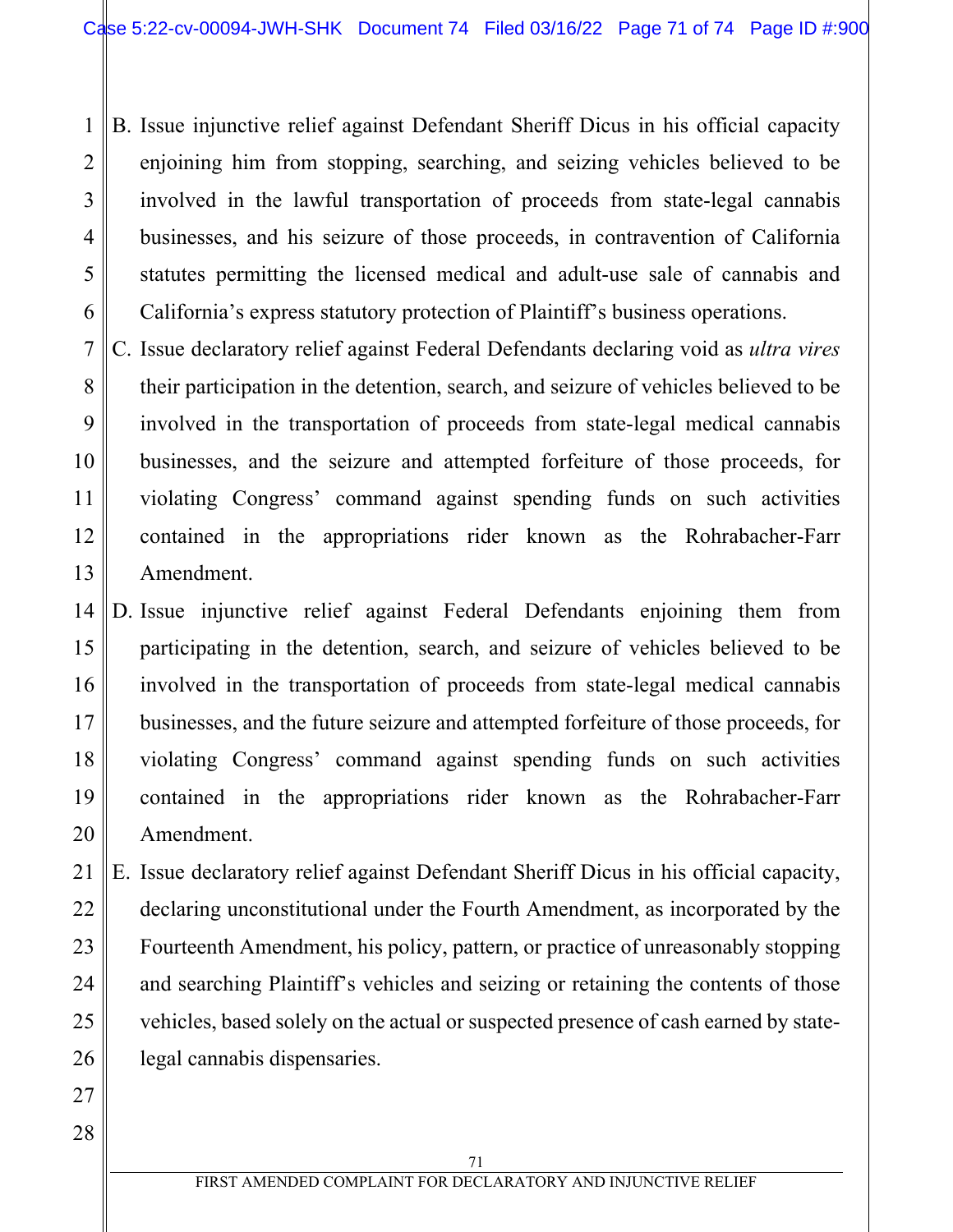1 2 3 4 5 6 B. Issue injunctive relief against Defendant Sheriff Dicus in his official capacity enjoining him from stopping, searching, and seizing vehicles believed to be involved in the lawful transportation of proceeds from state-legal cannabis businesses, and his seizure of those proceeds, in contravention of California statutes permitting the licensed medical and adult-use sale of cannabis and California's express statutory protection of Plaintiff's business operations.

- 7 8 9 10 11 12 13 C. Issue declaratory relief against Federal Defendants declaring void as *ultra vires* their participation in the detention, search, and seizure of vehicles believed to be involved in the transportation of proceeds from state-legal medical cannabis businesses, and the seizure and attempted forfeiture of those proceeds, for violating Congress' command against spending funds on such activities contained in the appropriations rider known as the Rohrabacher-Farr Amendment.
- 14 15 16 17 18 19 20 D. Issue injunctive relief against Federal Defendants enjoining them from participating in the detention, search, and seizure of vehicles believed to be involved in the transportation of proceeds from state-legal medical cannabis businesses, and the future seizure and attempted forfeiture of those proceeds, for violating Congress' command against spending funds on such activities contained in the appropriations rider known as the Rohrabacher-Farr Amendment.

21 22 23 24 25 26 E. Issue declaratory relief against Defendant Sheriff Dicus in his official capacity, declaring unconstitutional under the Fourth Amendment, as incorporated by the Fourteenth Amendment, his policy, pattern, or practice of unreasonably stopping and searching Plaintiff's vehicles and seizing or retaining the contents of those vehicles, based solely on the actual or suspected presence of cash earned by statelegal cannabis dispensaries.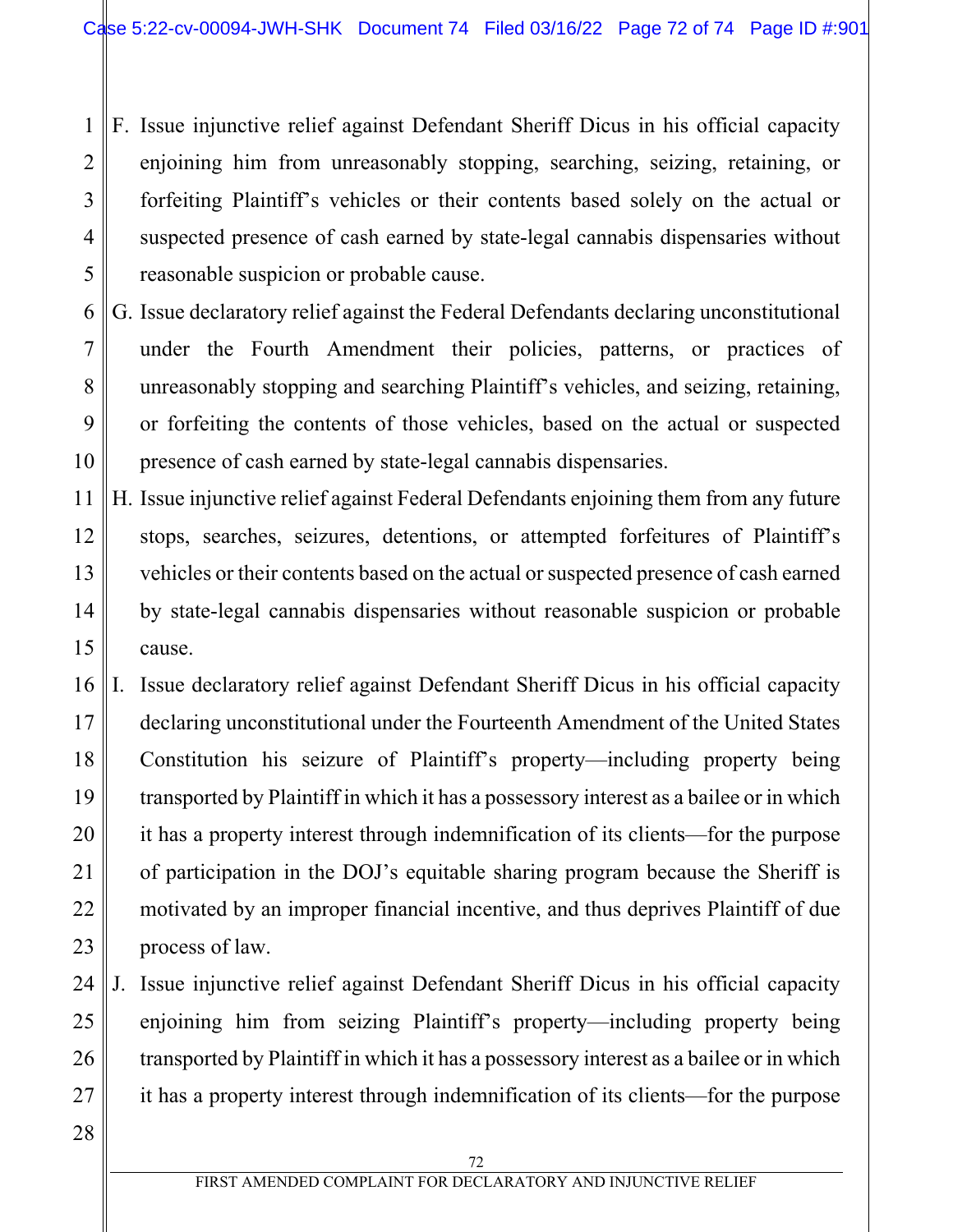1 2 3 4 5 F. Issue injunctive relief against Defendant Sheriff Dicus in his official capacity enjoining him from unreasonably stopping, searching, seizing, retaining, or forfeiting Plaintiff's vehicles or their contents based solely on the actual or suspected presence of cash earned by state-legal cannabis dispensaries without reasonable suspicion or probable cause.

- 6 7 8 9 10 G. Issue declaratory relief against the Federal Defendants declaring unconstitutional under the Fourth Amendment their policies, patterns, or practices of unreasonably stopping and searching Plaintiff's vehicles, and seizing, retaining, or forfeiting the contents of those vehicles, based on the actual or suspected presence of cash earned by state-legal cannabis dispensaries.
- 11 12 13 14 15 H. Issue injunctive relief against Federal Defendants enjoining them from any future stops, searches, seizures, detentions, or attempted forfeitures of Plaintiff's vehicles or their contents based on the actual or suspected presence of cash earned by state-legal cannabis dispensaries without reasonable suspicion or probable cause.
- 16 17 18 19 20 21 22 23 I. Issue declaratory relief against Defendant Sheriff Dicus in his official capacity declaring unconstitutional under the Fourteenth Amendment of the United States Constitution his seizure of Plaintiff's property—including property being transported by Plaintiff in which it has a possessory interest as a bailee or in which it has a property interest through indemnification of its clients—for the purpose of participation in the DOJ's equitable sharing program because the Sheriff is motivated by an improper financial incentive, and thus deprives Plaintiff of due process of law.
- 24 25 26 27 J. Issue injunctive relief against Defendant Sheriff Dicus in his official capacity enjoining him from seizing Plaintiff's property—including property being transported by Plaintiff in which it has a possessory interest as a bailee or in which it has a property interest through indemnification of its clients—for the purpose
- 28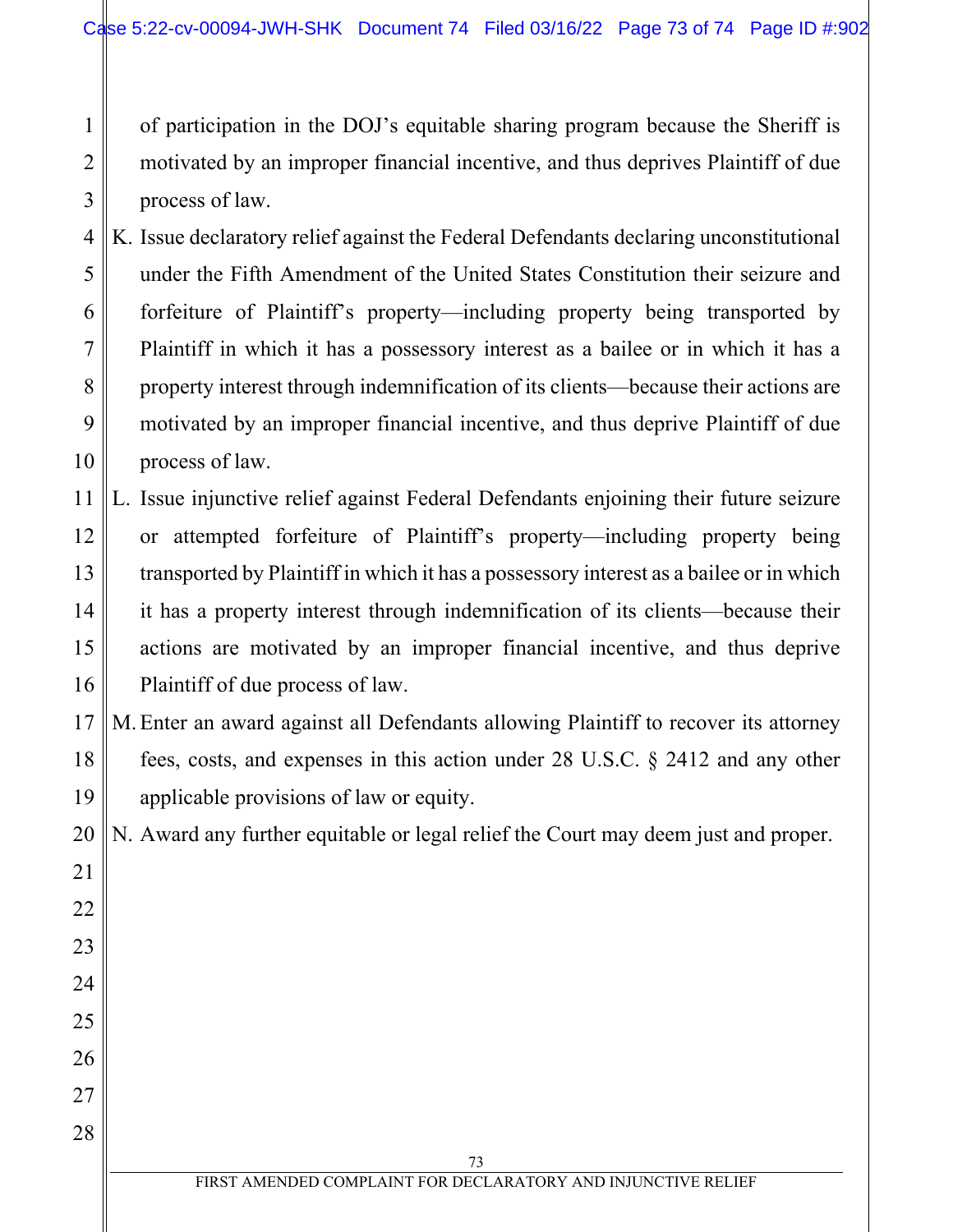of participation in the DOJ's equitable sharing program because the Sheriff is motivated by an improper financial incentive, and thus deprives Plaintiff of due process of law.

1

2

3

21

22

23

24

25

26

27

28

4 5 6 7 8 9 10 K. Issue declaratory relief against the Federal Defendants declaring unconstitutional under the Fifth Amendment of the United States Constitution their seizure and forfeiture of Plaintiff's property—including property being transported by Plaintiff in which it has a possessory interest as a bailee or in which it has a property interest through indemnification of its clients—because their actions are motivated by an improper financial incentive, and thus deprive Plaintiff of due process of law.

11 12 13 14 15 16 L. Issue injunctive relief against Federal Defendants enjoining their future seizure or attempted forfeiture of Plaintiff's property—including property being transported by Plaintiff in which it has a possessory interest as a bailee or in which it has a property interest through indemnification of its clients—because their actions are motivated by an improper financial incentive, and thus deprive Plaintiff of due process of law.

17 18 19 M.Enter an award against all Defendants allowing Plaintiff to recover its attorney fees, costs, and expenses in this action under 28 U.S.C. § 2412 and any other applicable provisions of law or equity.

20 N. Award any further equitable or legal relief the Court may deem just and proper.